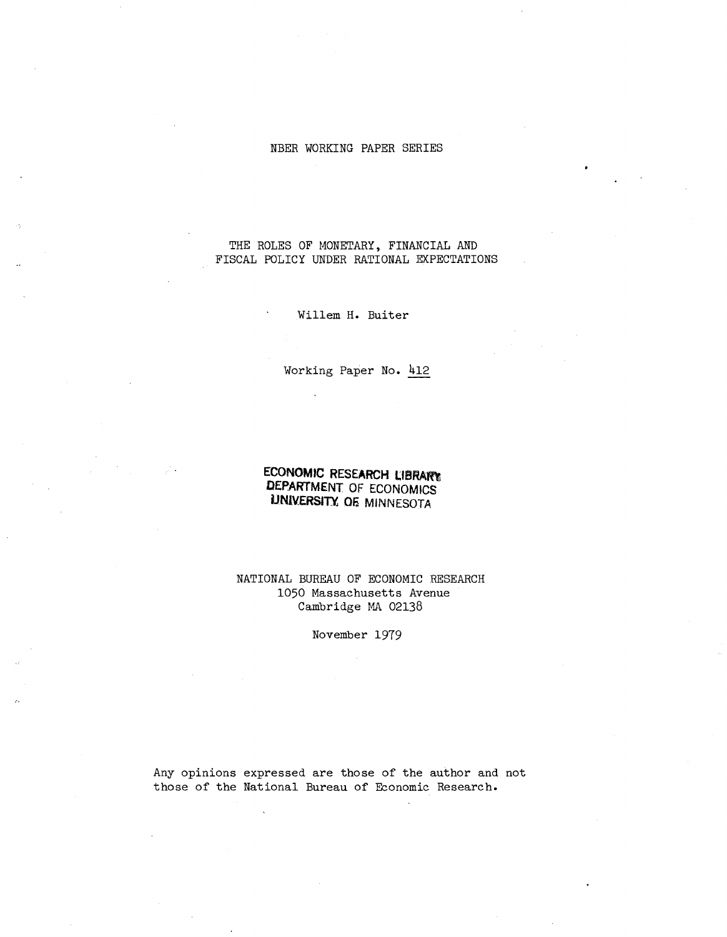### NBER WORKING PAPER SERIES

# THE ROLES OF MONETARY, FINANCIAL AND FISCAL POLICY UNDER RATIONAL EXPECTATIONS

Willem **H.** Buiter

Working Paper **No.** 412

# **ECONOMIC RESEARCH l'BRArft DEPARTMENT OF ECONOMICS UNIVERSITI 06 MINNESOTA**

NATIONAL BUREAU OF ECONOMIC RESEARCH 1050 Massachusetts Avenue Cambridge MA 02138

November 1979

Any opinions expressed are those of the author and not those of the National Bureau of Economic Research.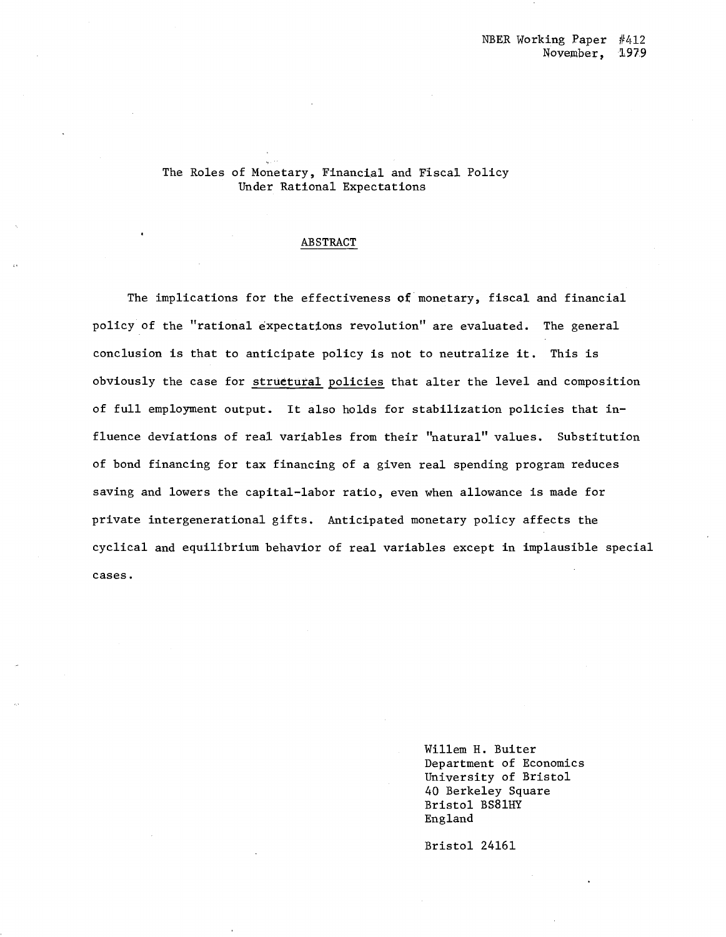# The Roles of Monetary, Financial and Fiscal Policy Under Rational Expectations

### ABSTRACT

The implications for the effectiveness of monetary, fiscal and financial policy of the "rational expectations revolution" are evaluated. The general conclusion is that to anticipate policy is not to neutralize it. This is obviously the case for structural policies that alter the level and composition of full employment output. It also holds for stabilization policies that influence deviations of real variables from their "natural" values. Substitution of bond financing for tax financing of a given real spending program reduces saving and lowers the capital-labor ratio, even when allowance is made for private intergenerational gifts. Anticipated monetary policy affects the cyclical and equilibrium behavior of real variables except in implausible special cases.

> Willem H. Buiter Department of Economics University of Bristol 40 Berkeley Square Bristol BS8lHY England

Bristol 24161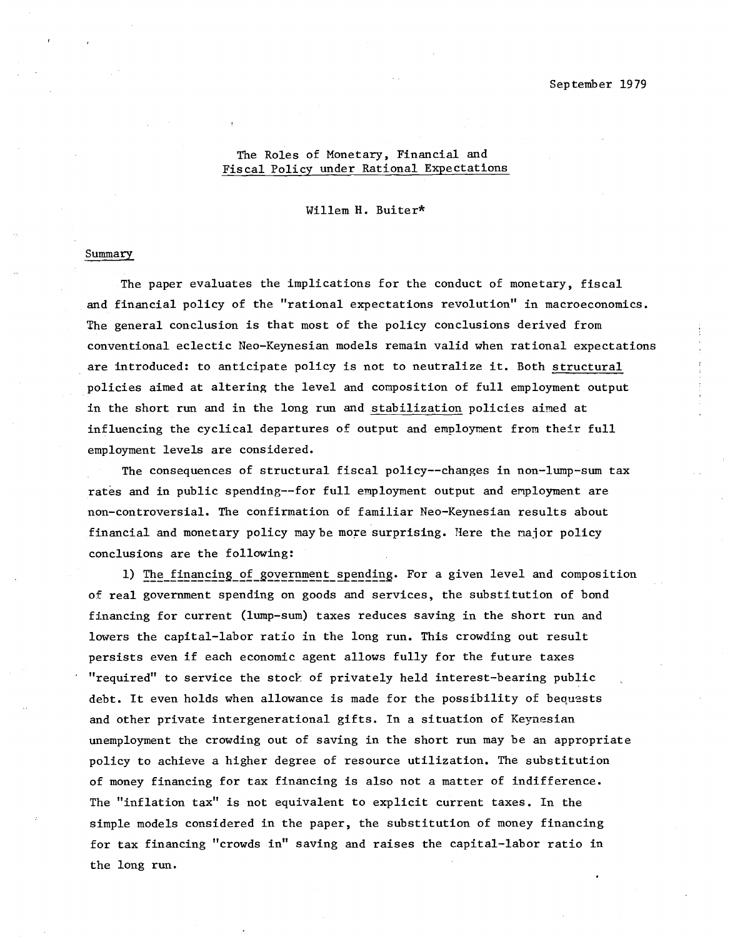## The Roles of Monetary, Financial and Fiscal Policy under Rational Expectations

Willem H. Buiter\*

### Summary

The paper evaluates the implications for the conduct of monetary, fiscal and financial policy of the "rational expectations revolution" in macroeconomics. The general conclusion is that most of the policy conclusions derived from conventional eclectic Neo-Keynesian models remain valid when rational expectations are introduced: to anticipate policy is not to neutralize it. Both structural policies aimed at altering the level and composition of full employment output in the short run and in the long run and stabilization policies aimed at influencing the cyclical departures of output and employment from their full employment levels are considered.

The consequences of structural fiscal policy--changes in non-lump-sum tax rates and in public spending--for full employment output and employment are non-controversial. The confirmation of familiar Neo-Keynesian results about financial and monetary policy may be more surprising. Here the major policy conclusions are the following:

1) The financing of government spending. For a given level and composition of real government spending on goods and services, the substitution of bond financing for current (lump-sum) taxes reduces saving in the short run and lowers the capital-labor ratio in the long run. This crowding out result persists even if each economic agent allows fully for the future taxes "required" to service the stock of privately held interest-bearing public debt. It even holds when allowance is made for the possibility of bequests and other private intergenerational gifts. In a situation of Keynesian unemployment the crowding out of saving in the short run may be an appropriate policy to achieve a higher degree of resource utilization. The substitution of money financing for tax financing is also not a matter of indifference. The "inflation tax" is not equivalent to explicit current taxes. In the simple models considered in the paper, the substitution of money financing for tax financing "crowds in" saving and raises the capital-labor ratio in the long run.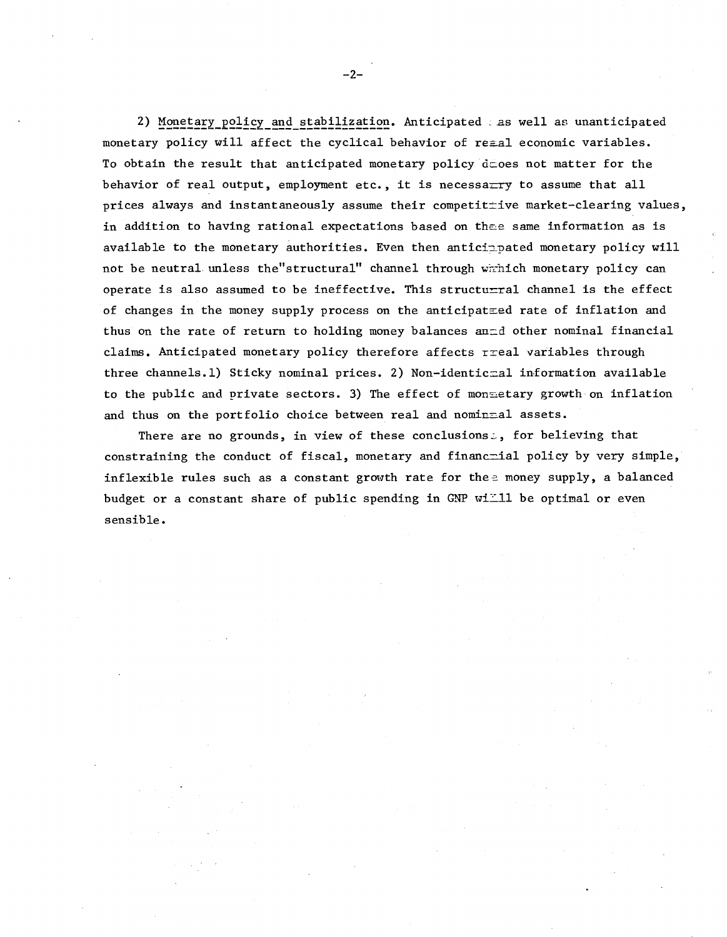2) Monetary policy and stabilization. Anticipated as well as unanticipated monetary policy will affect the cyclical behavior of reaal economic variables. To obtain the result that anticipated monetary policy  $\text{d}$  coes not matter for the behavior of real output, employment etc., it is necessarry to assume that all prices always and instantaneously assume their competitive market-clearing values, in addition to having rational expectations based on thee same information as is available to the monetary authorities. Even then anticipated monetary policy will not be neutral unless the"structural" channel through wirhich monetary policy can operate is also assumed to be ineffective. This structu $\pm$ ral channel is the effect of changes in the money supply process on the anticipatzed rate of inflation and thus on the rate of return to holding money balances anad other nominal financial claims. Anticipated monetary policy therefore affects rreal variables through three channels.1) Sticky nominal prices. 2) Non-identic=al information available to the public and private sectors. 3) The effect of mon=etary growth on inflation and thus on the portfolio choice between real and nominmal assets.

There are no grounds, in view of these conclusions:, for believing that constraining the conduct of fiscal, monetary and financmial policy by very simple, inflexible rules such as a constant growth rate for thee money supply, a balanced budget or a constant share of public spending in GNP will be optimal or even sensible.

 $-2-$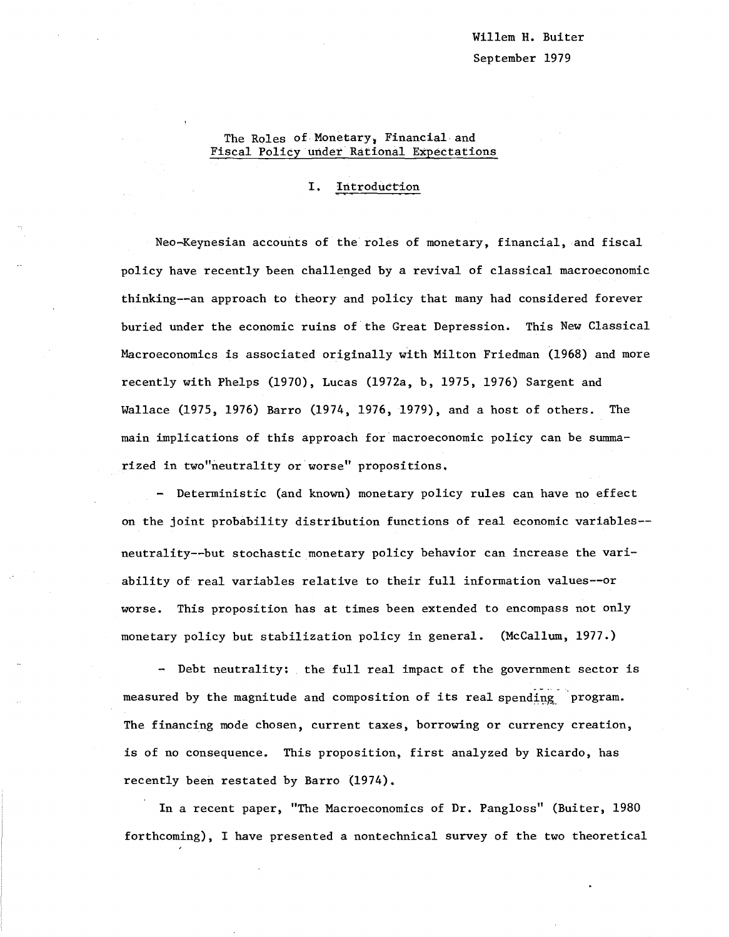# The Roles of Monetary, Financial and Fiscal Policy under Rational Expectations

### I. Introduction

Neo-Keynesian accounts of the roles of monetary, financial, and fiscal policy have recently been challenged by a revival of classical macroeconomic thinking--an approach to theory and policy that many had considered forever buried under the economic ruins of the Great Depression. This New Classical Macroeconomics is associated originally with Milton Friedman (1968) and more recently with Phelps (1970), Lucas (1972a, b, 1975, 1976) Sargent and Wallace (1975, 1976) Barro (1974, 1976, 1979), and a host of others. The main implications of this approach for macroeconomic policy can be summarized in two"neutrality or worse" propositions.

- Deterministic (and known) monetary policy rules can have no effect on the joint probability distribution functions of real economic variab1es- neutrality--but stochastic monetary policy behavior can increase the variability of real variables relative to their full information va1ues--or worse. This proposition has at times been extended to encompass not only monetary policy but stabilization policy in general. (McCallum, 1977.)

- Debt neutrality: the full real impact of the government sector is measured by the magnitude and composition of its real spending program. The financing mode chosen, current taxes, borrowing or currency creation, is of no consequence. This proposition, first analyzed by Ricardo, has recently been restated by Barro (1974).

In a recent paper, "The Macroeconomics of Dr. Pang1oss" (Buiter, 1980 forthcoming), I have presented a nontechnical survey of the two theoretical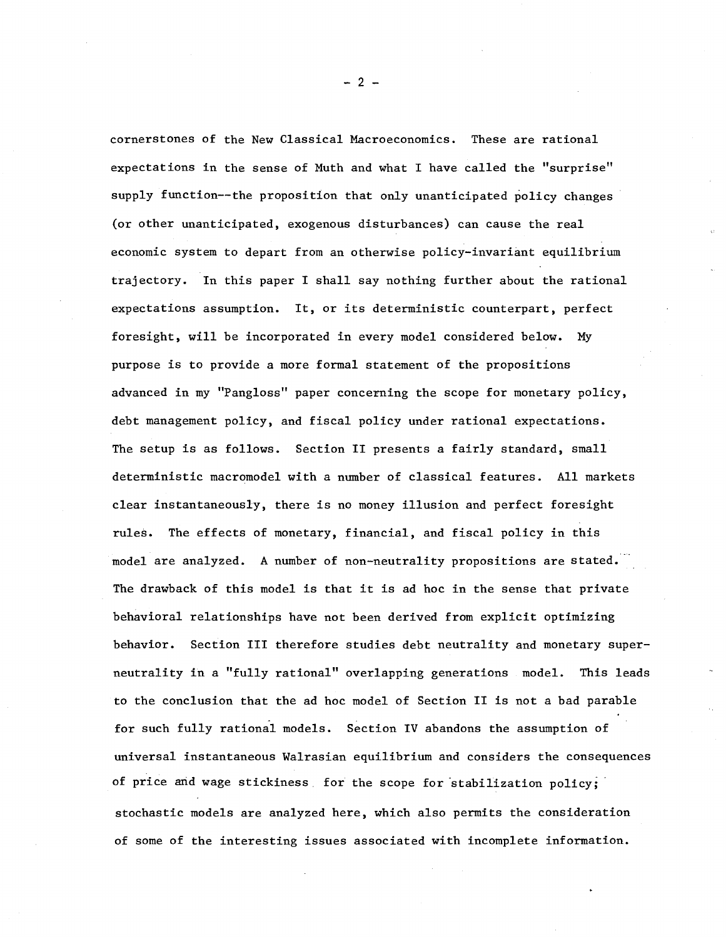cornerstones of the New Classical Macroeconomics. These are rational expectations in the sense of Muth and what I have called the "surprise" supply function--the proposition that only unanticipated policy changes (or other unanticipated, exogenous disturbances) can cause the real economic system to depart from an otherwise policy-invariant equilibrium trajectory. In this paper I shall say nothing further about the rational expectations assumption. It, or its deterministic counterpart, perfect foresight, will be incorporated in every model considered below. My purpose is to provide <sup>a</sup> more formal statement of the propositions advanced in my "Pangloss" paper concerning the scope for monetary policy, debt management policy, and fiscal policy under rational expectations. The setup is as follows. Section II presents <sup>a</sup> fairly standard, small deterministic macromodel with a number of classical features. All markets clear instantaneously, there is no money illusion and perfect foresight rules. The effects of monetary, financial, and fiscal policy in this model are analyzed. A number of non-neutrality propositions are stated. The drawback of this model is that it is ad hoc in the sense that private behavioral relationships have not been derived from explicit optimizing behavior. Section III therefore studies debt neutrality and monetary superneutrality in a "fully rational" overlapping generations model. This leads to the conclusion that the ad hoc model of Section II is not a bad parable for such fully rational models. Section IV abandons the assumption of universal instantaneous Walrasian equilibrium and considers the consequences of price and wage stickiness for the scope for stabilization policy; stochastic models are analyzed here, which also permits the consideration of some of the interesting issues associated with incomplete information.

 $- 2 -$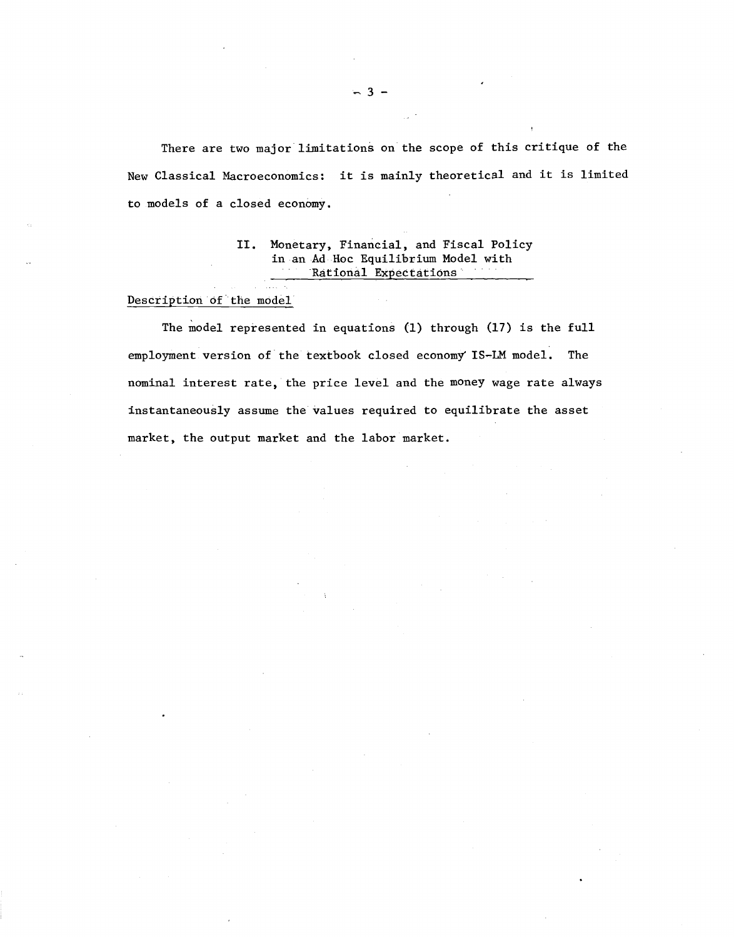There are two major limitations on the scope of this critique of the New Classical Macroeconomics: it is mainly theoretical and it is limited to models of a closed economy.

#### II. Monetary, Financial, and Fiscal Policy in an Ad Hoc Equilibrium Model with Rational Expectations  $\sim$  10  $\sigma$

### Description of the model

The model represented in equations (1) through (17) is the full employment version of the textbook closed economy IS-1M model. The nominal interest rate, the price level and the money wage rate always instantaneously assume the values required to equilibrate the asset market, the output market and the labor market.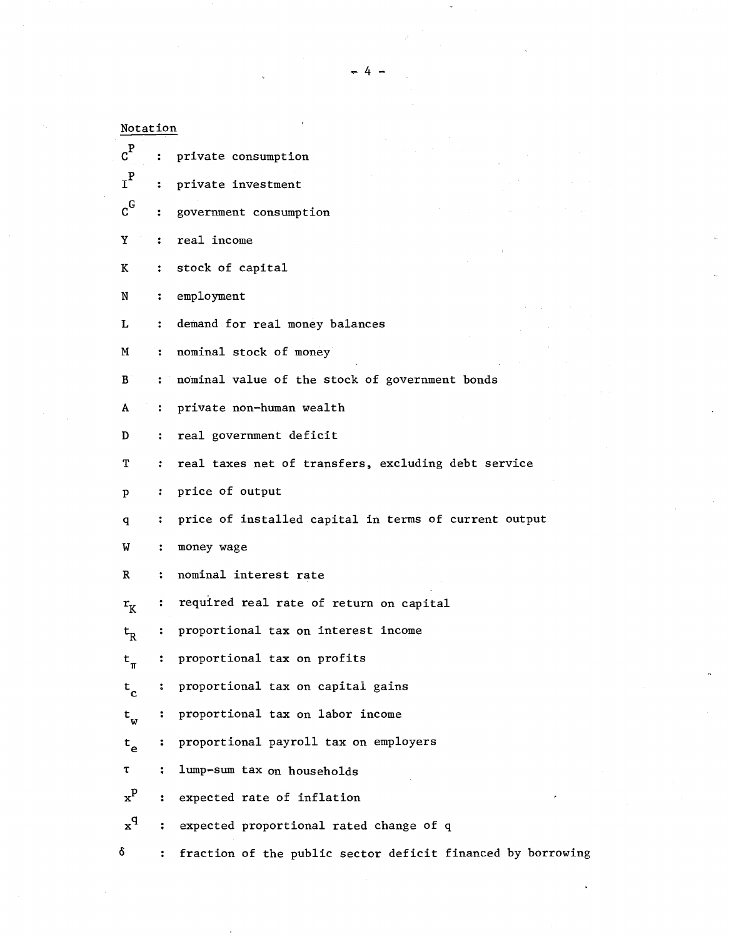| Notation                  |                      |                                                             |
|---------------------------|----------------------|-------------------------------------------------------------|
| $c^{\rm P}$               | $\ddot{\cdot}$       | private consumption                                         |
| $\mathbf{r}^{\mathbf{P}}$ | $\ddot{\cdot}$       | private investment                                          |
| $\rm{c}^G$                | ÷                    | government consumption                                      |
| Y                         | $\ddot{\cdot}$       | real income                                                 |
| K                         | $\ddot{\cdot}$       | stock of capital                                            |
| N                         | $\ddot{\phantom{a}}$ | employment                                                  |
| L                         | $\ddot{\phantom{a}}$ | demand for real money balances                              |
| M                         | $\ddot{\phantom{a}}$ | nominal stock of money                                      |
| B                         | $\ddot{\phantom{a}}$ | nominal value of the stock of government bonds              |
| A                         | $\ddot{\phantom{a}}$ | private non-human wealth                                    |
| D                         | $\ddot{\cdot}$       | real government deficit                                     |
| т                         | $\ddot{\cdot}$       | real taxes net of transfers, excluding debt service         |
| p                         | $\ddot{\cdot}$       | price of output                                             |
| q                         | :                    | price of installed capital in terms of current output       |
| W                         | $\ddot{\cdot}$       | money wage                                                  |
| R                         | ፡                    | nominal interest rate                                       |
| $r_{\rm K}$               | ፡                    | required real rate of return on capital                     |
| $\mathsf{t}_{\mathsf{R}}$ | :                    | proportional tax on interest income                         |
| $\texttt{t}_{\pi}$        | :                    | proportional tax on profits                                 |
| $t_c$                     | ÷                    | proportional tax on capital gains                           |
| $t_w$                     | ።                    | proportional tax on labor income                            |
| $t_{\rm e}$               | ፡                    | proportional payroll tax on employers                       |
| τ                         | $\ddot{\phantom{a}}$ | lump-sum tax on households                                  |
| $\mathbf{x}^{\mathbf{p}}$ | $\ddot{\phantom{a}}$ | expected rate of inflation<br>ø                             |
| $x^{q}$                   | $\ddot{\cdot}$       | expected proportional rated change of q                     |
| δ                         |                      | fraction of the public sector deficit financed by borrowing |

- 4 -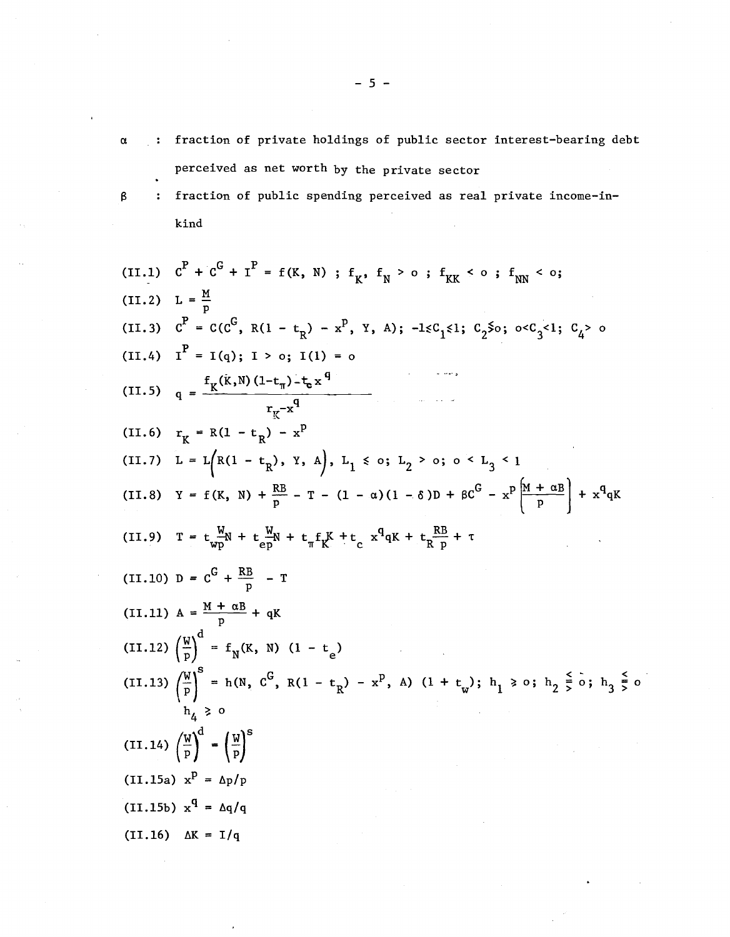- a fraction of private holdings of public sector interest-bearing debt perceived as net worth by the private sector
- $\boldsymbol{\beta}$
- fraction of public spending perceived as real private income-inkind

(II.1) 
$$
c^P + c^G + I^P = f(K, N)
$$
;  $f_K$ ,  $f_N > 0$ ;  $f_{KK} < 0$ ;  $f_{NN} < 0$ ;  
\n(II.2)  $L = \frac{M}{p}$   
\n(II.3)  $c^P = C(c^G, R(1 - t_R) - x^P, Y, A)$ ;  $-1 \leq C_1 \leq 1$ ;  $C_2 \leq 0$ ;  $0 \leq C_3 \leq 1$ ;  $C_4 > 0$   
\n(III.4)  $I^P = I(q)$ ;  $I > 0$ ;  $I(1) = 0$   
\n(III.5)  $q = \frac{f_K(k,N)(1-t_n)-t_n x^q}{r_K - x^q}$   
\n(III.6)  $r_K = R(1 - t_R) - x^P$   
\n(III.7)  $L = L(R(1 - t_R), Y, A), L_1 \leq 0$ ;  $L_2 > 0$ ;  $0 \leq L_3 \leq 1$   
\n(III.8)  $Y = f(K, N) + \frac{RB}{p} - T - (1 - \alpha)(1 - \delta)D + \beta C^G - x^P \frac{[M + \alpha B]}{p} + x^q qK$   
\n(III.9)  $T = t \frac{W}{vp} N + t \frac{W}{p} N + t \frac{r}{n} f_K + t \frac{r}{n} x^q qK + t \frac{RB}{n} + T$   
\n(III.10)  $D = C^G + \frac{RB}{p} - T$   
\n(II.11)  $A = \frac{M + \alpha B}{p} + qK$   
\n(II.12)  $(\frac{W}{p})^8 = f_N(K, N) (1 - t_e)$   
\n(II.13)  $(\frac{W}{p})^8 = h(N, C^G, R(1 - t_R) - x^P, A) (1 + t_w)$ ;  $h_1 \geq 0$ ;  $h_2 \leq 0$ ;  $h_3 \leq 0$   
\n(II.14)  $(\frac{W}{p})^d - (\frac{W}{p})^S$   
\n(II.15a)  $x^q = \Delta q/q$   
\n(III.16)  $\Delta K = I/q$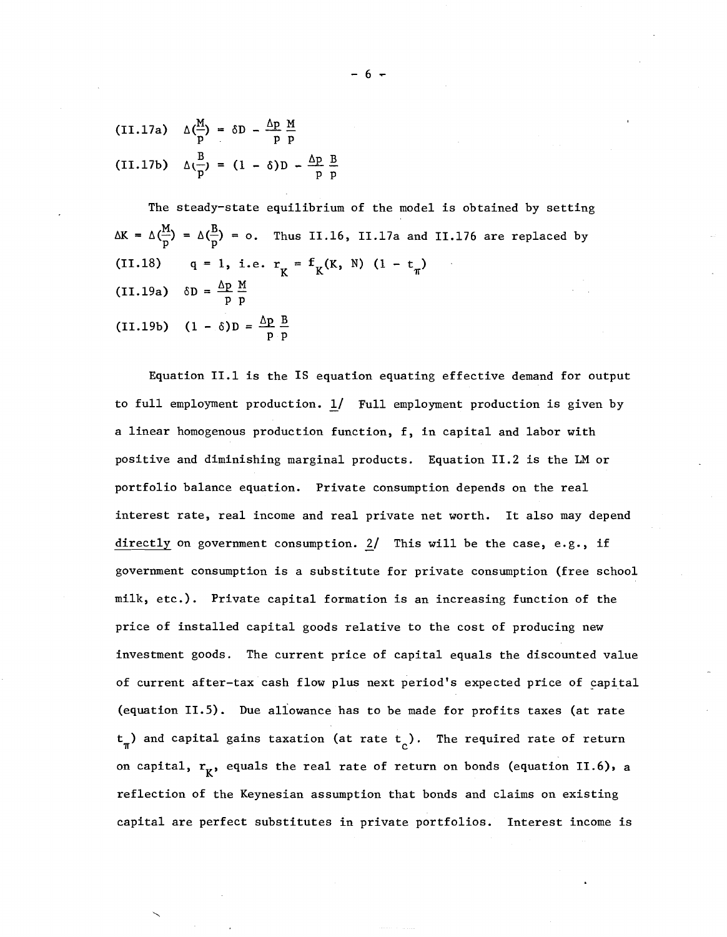(II.17a) 
$$
\Delta(\frac{M}{p}) = \delta D - \frac{\Delta p}{p} \frac{M}{p}
$$
  
(II.17b)  $\Delta(\frac{B}{p}) = (1 - \delta)D - \frac{\Delta p}{p} \frac{B}{p}$ 

The steady-state equilibrium of the model is obtained by setting  $\Delta K = \Delta(\frac{M}{p}) = \Delta(\frac{B}{p}) = o$ . Thus II.16, II.17a and II.176 are replaced by (II.18)  $q = 1$ , i.e.  $r_K = f_K(K, N) (1 - t_m)$ (II.19a)  $\delta D = \frac{\Delta p}{p} \frac{M}{p}$ (II.19b)  $(1 - \delta)D = \frac{\Delta p}{p} \frac{B}{p}$ 

Equation 11.1 is the IS equation equating effective demand for output to full employment production. l/ Full employment production is given by a linear homogenous production function, f, in capital and labor with positive and diminishing marginal products. Equation 11.2 is the LM or portfolio balance equation. Private consumption depends on the real interest rate, real income and real private net worth. It also may depend directly on government consumption.  $2/$  This will be the case, e.g., if government consumption is a substitute for private consumption (free school milk, etc.). Private capital formation is an increasing function of the price of installed capital goods relative to the cost of producing new investment goods. The current price of capital equals the discounted value of current after-tax cash flow plus next period's expected price of capital (equation 11.5). Due aliowance has to be made for profits taxes (at rate  $\mathsf{t}_{_{\mathsf{W}}}$ ) and capital gains taxation (at rate  $\mathsf{t}_{_{\mathsf{C}}})$ . The required rate of return on capital,  $r_{\chi}$ , equals the real rate of return on bonds (equation II.6), a reflection of the Keynesian assumption that bonds and claims on existing capital are perfect substitutes in private portfolios. Interest income is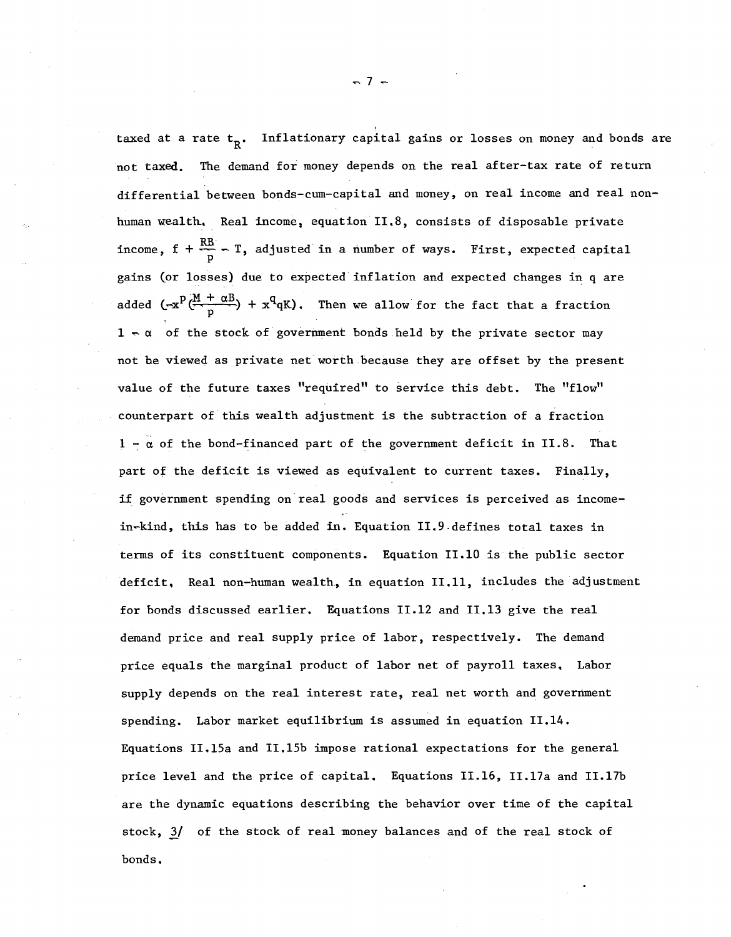taxed at a rate  $tR. Inflationary capital gains or losses on money and bonds are$ not taxed. The demand for money depends on the real after-tax rate of return differential between bonds-cum-capita1 and money, on real income and real nonhuman wealth. Real income, equation 11.8, consists of disposable private income,  $f + \frac{RB}{p} - T$ , adjusted in a number of ways. First, expected capital gains (or losses) due to expected inflation and expected changes in q are added  $(-x^p(\frac{M + \alpha B}{p}) + x^q qK)$ . Then we allow for the fact that a fraction  $1 - \alpha$  of the stock of government bonds held by the private sector may not be viewed as private net worth because they are offset by the present value of the future taxes "required" to service this debt. The "flow" counterpart of this wealth adjustment is the subtraction of a fraction  $1 - \alpha$  of the bond-financed part of the government deficit in II.8. That part of the deficit is viewed as equivalent to current taxes. Finally, if government spending on real goods and services is perceived as incomein-kind, this has to be added in. Equation II.9.defines total taxes in terms of its constituent components. Equation 11.10 is the public sector deficit. Real non-human wealth, in equation 11.11, includes the adjustment for bonds discussed earlier. Equations 11.12 and 11.13 give the real demand price and real supply price of labor, respectively. The demand price equals the marginal product of labor net of payroll taxes. Labor supply depends on the real interest rate, real net worth and government spending. Labor market equilibrium is assumed in equation 11.14. Equations II.15a and II.15b impose rational expectations for the general price level and the price of capital. Equations 11.16, I1.17a and IL17b are the dynamic equations describing the behavior over time of the capital stock,  $3/$  of the stock of real money balances and of the real stock of bonds.

 $-7 -$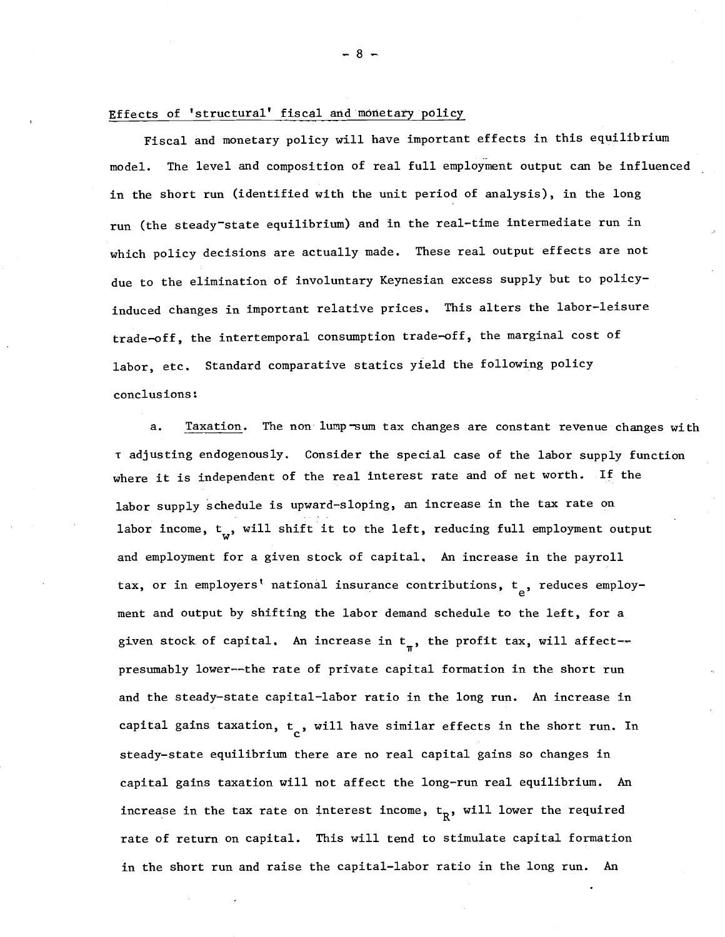### Effects of 'structural' fiscal and monetary policy

Fiscal and monetary policy will have important effects in this equilibrium model. The level and composition of real full employment output can be influenced in the short run (identified with the unit period of analysis), in the long run (the steady-state equilibrium) and in the real-time intermediate run in which policy decisions are actually made. These real output effects are not due to the elimination of involuntary Keynesian excess supply but to policyinduced changes in important relative prices. This alters the labor-leisure trade-off, the intertemporal consumption trade-off, the marginal cost of labor, etc. Standard comparative statics yield the following policy conclusions:

a. Taxation. The non lump-sum tax changes are constant revenue changes with <sup>T</sup> adjusting endogenously. Consider the special case of the labor supply function where it is independent of the real interest rate and of net worth. If the labor supply schedule is upward-sloping, an increase in the tax rate on labor income,  $t_{\alpha}$ , will shift it to the left, reducing full employment output and employment for a given stock of capital. An increase in the payroll tax, or in employers' national insurance contributions,  $t_{\alpha}$ , reduces employment and output by shifting the labor demand schedule to the left, for <sup>a</sup> given stock of capital. An increase in  $t_{\pi}^{\phantom{\dag}},$  the profit tax, will affect-presumably lower--the rate of private capital formation in the short run and the steady-state capital-labor ratio in the long run. An increase in capital gains taxation,  $t_c$ , will have similar effects in the short run. In steady-state equilibrium there are no real capital gains so changes in capital gains taxation will not affect the long-run real equilibrium. An increase in the tax rate on interest income,  $t_R^{\phantom{\dag}}$ , will lower the required rate of return on capital. This will tend to stimulate capital formation in the short run and raise the capital-labor ratio in the long run. An

 $- 8 -$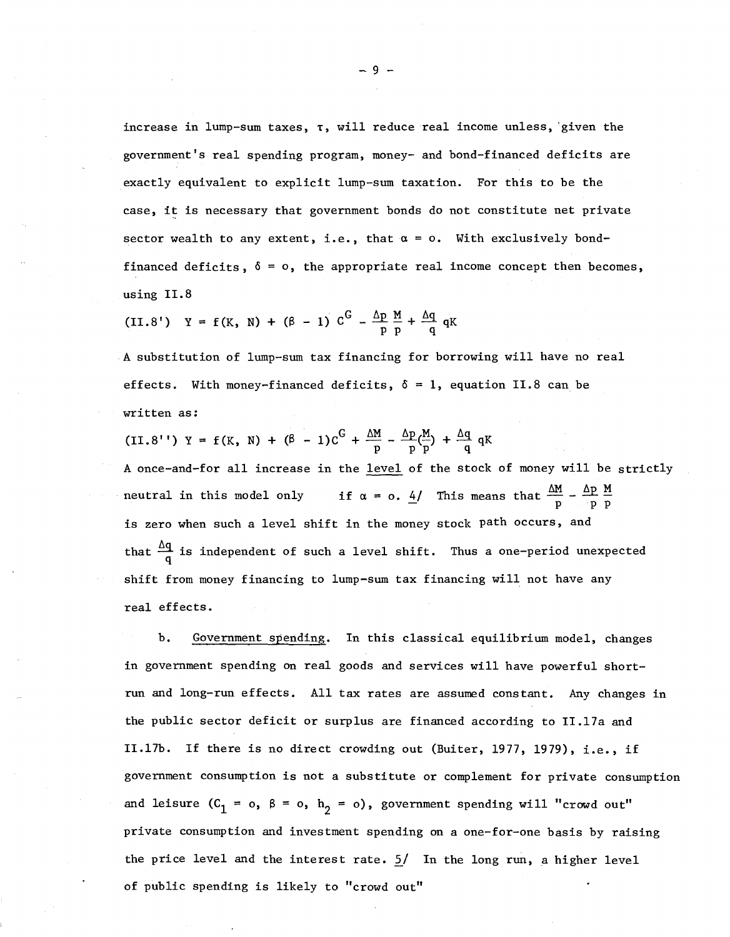increase in lump-sum taxes,  $\tau$ , will reduce real income unless, given the government's real spending program, money- and bond-financed deficits are exactly equivalent to explicit lump-sum taxation. For this to be the case, it is necessary that government bonds do not constitute net private sector wealth to any extent, i.e., that  $\alpha = 0$ . With exclusively bondfinanced deficits,  $\delta = 0$ , the appropriate real income concept then becomes, using II.8

(II.8')  $Y = f(K, N) + (\beta - 1) C^{G} - \frac{\Delta p}{p} \frac{M}{p} + \frac{\Delta q}{q} qK$ 

A substitution of lump-sum tax financing for borrowing will have no real effects. With money-financed deficits,  $\delta = 1$ , equation II.8 can be written as:

(II.8'')  $Y = f(K, N) + (\beta - 1)C^{G} + \frac{\Delta M}{D} - \frac{\Delta p}{p}(\frac{M}{p}) + \frac{\Delta q}{q} qK$ A once-and-for all increase in the level of the stock of money will be strictly neutral in this model only if  $\alpha = o$ . <u>4</u>/ This means that  $\frac{\Delta M}{p} - \frac{\Delta p}{p} \frac{M}{p}$ . is zero when such a level shift in the money stock path occurs, and that  $\frac{\Delta q}{q}$  is independent of such a level shift. Thus a one-period unexpected shift from money financing to lump-sum tax financing will not have any real effects.

b. Government spending. In this classical equilibrium model, changes in government spending on real goods and services will have powerful shortrun and long-run effects. All tax rates are assumed constant. Any changes in the public sector deficit or surplus are financed according to II.17a and ILI7b. If there is no direct crowding out (Buiter, 1977, 1979), Le., if government consumption is not a substitute or complement for private consumption and leisure  $(C_1 = o, \beta = o, h_2 = o)$ , government spending will "crowd out" private consumption and investment spending on a one-for-one basis by raising the price level and the interest rate.  $5/$  In the long run, a higher level of public spending is likely to "crowd out"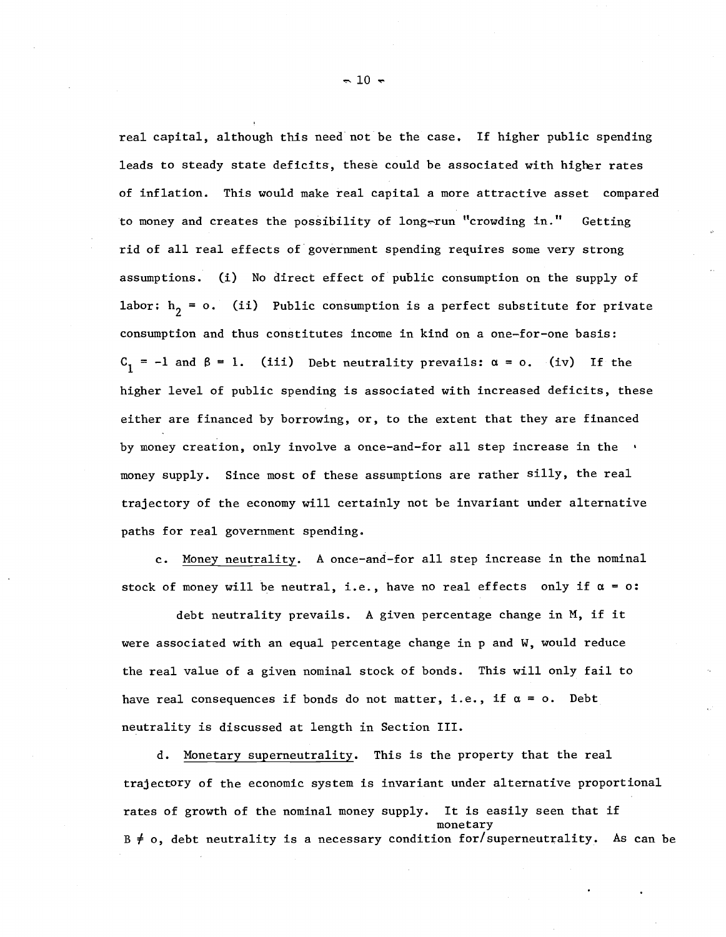real capital, although this need not be the case. If higher public spending leads to steady state deficits, these could be associated with higher rates of inflation. This would make real capital a more attractive asset compared to money and creates the possibility of long-run "crowding in." Getting rid of all real effects of government spending requires some very strong assumptions. (i) No direct effect of public consumption on the supply of labor:  $h_2 = 0$ . (ii) Public consumption is a perfect substitute for private consumption and thus constitutes income in kind on a one-for-one basis:  $C_1 = -1$  and  $\beta = 1$ . (iii) Debt neutrality prevails:  $\alpha = 0$ . (iv) If the higher level of public spending is associated with increased deficits, these either are financed by borrowing, or, to the extent that they are financed by money creation, only involve <sup>a</sup> once-and-for all step increase in the money supply. Since most of these assumptions are rather silly, the real trajectory of the economy will certainly not be invariant under alternative paths for real government spending.

c. Money neutrality. <sup>A</sup> once-and-for all step increase in the nominal stock of money will be neutral, i.e., have no real effects only if  $\alpha = 0$ :

debt neutrality prevails. <sup>A</sup> given percentage change in M, if it were associated with an equal percentage change in p and W, would reduce the real value of a given nominal stock of bonds. This will only fail to have real consequences if bonds do not matter, i.e., if  $\alpha = 0$ . Debt neutrality is discussed at length in Section III.

d. Monetary superneutrality. This is the property that the real trajectory of the economic system is invariant under alternative proportional rates of growth of the nominal money supply. It is easily seen that if monetary  $B \neq o$ , debt neutrality is a necessary condition for/superneutrality. As can be

 $\sim$  10  $\sim$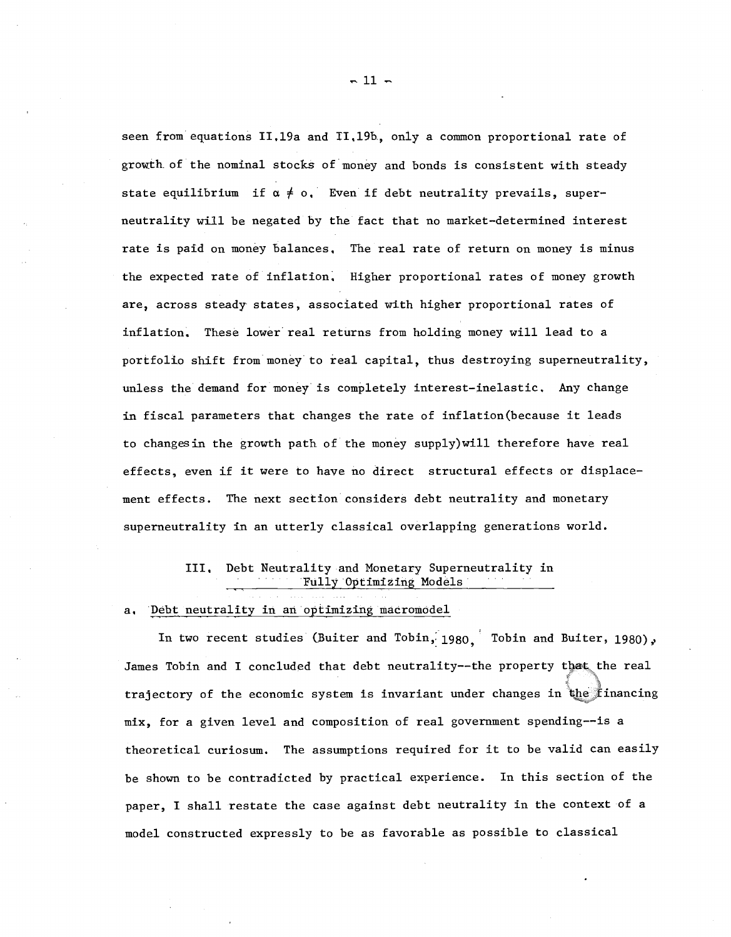seen from equations II.19a and II.19b, only a common proportional rate of growth. of the nominal stocks of money and bonds is consistent with steady state equilibrium if  $\alpha \neq 0$ . Even if debt neutrality prevails, superneutrality will be negated by the fact that no market-determined interest rate is paid on money balances. The real rate of return on money is minus the expected rate of inflation. Higher proportional rates of money growth are, across steady states, associated with higher proportional rates of inflation. These lower real returns from holding money will lead to a portfolio shift from money to real capital, thus destroying superneutrality, unless the demand for money is completely interest-inelastic. Any change in fiscal parameters that changes the rate of inf1ation(because it leads to changesin the growth path of the money supply)wil1 therefore have real effects, even if it were to have no direct structural effects or displacement effects. The next section considers debt neutrality and monetary superneutrality in an utterly classical overlapping generations world.

# III. Debt Neutrality and Monetary Superneutra1ity in Fully Optimizing Models

# a. Debt neutrality in an optimizing macromodel

In two recent studies (Buiter and Tobin,  $1980$ , Tobin and Buiter, 1980), James Tobin and I concluded that debt neutrality--the property that the real trajectory of the economic system is invariant under changes in the financing mix, for a given level and composition of real government spending--is a theoretical curiosum. The assumptions required for it to be valid can easily be shown to be contradicted by practical experience. In this section of the paper, I shall restate the case against debt neutrality in the context of a model constructed expressly to be as favorable as possible to classical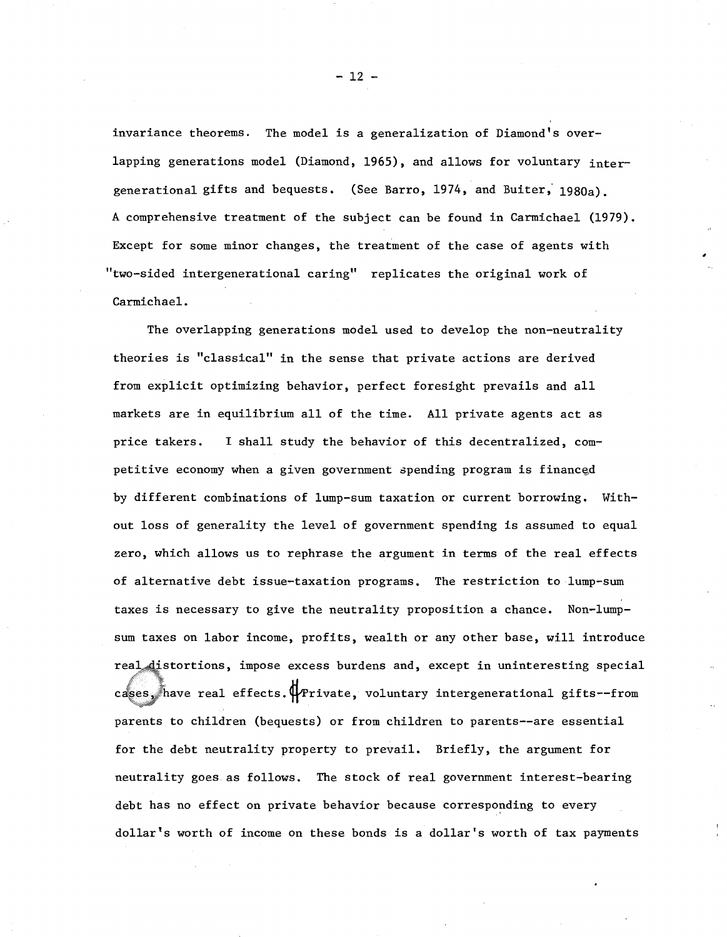invariance theorems. The model is a generalization of Diamond's overlapping generations model (Diamond, 1965), and allows for voluntary intergenerational gifts and bequests. (See Barro, 1974, and Buiter; 1980a). A comprehensive treatment of the subject can be found in Carmichael (1979). Except for some minor changes, the treatment of the case of agents with "two-sided intergenerational caring" replicates the original work of Carmichael.

The overlapping generations model used to develop the non-neutrality theories is "classical" in the sense that private actions are derived from explicit optimizing behavior, perfect foresight prevails and all markets are in equilibrium all of the time. All private agents act as price takers. I shall study the behavior of this decentralized, comcases, have real effects. $\Psi$ Private, voluntary intergenerational gifts--from petitive economy when a given government spending program is financed by different combinations of lump-sum taxation or current borrowing. Without loss of generality the level of government spending is assumed to equal zero, which allows us to rephrase the argument in terms of the real effects of alternative debt issue-taxation programs. The restriction to lump-sum taxes is necessary to give the neutrality proposition a chance. Non-lumpsum taxes on labor income, profits, wealth or any other base, will introduce real distortions, impose excess burdens and, except in uninteresting special parents to children (bequests) or from children to parents--are essential for the debt neutrality property to prevail. Briefly, the argument for neutrality goes as follows. The stock of real government interest-bearing debt has no effect on private behavior because corresponding to every dollar's worth of income on these bonds is <sup>a</sup> dollar's worth of tax payments

 $-12 -$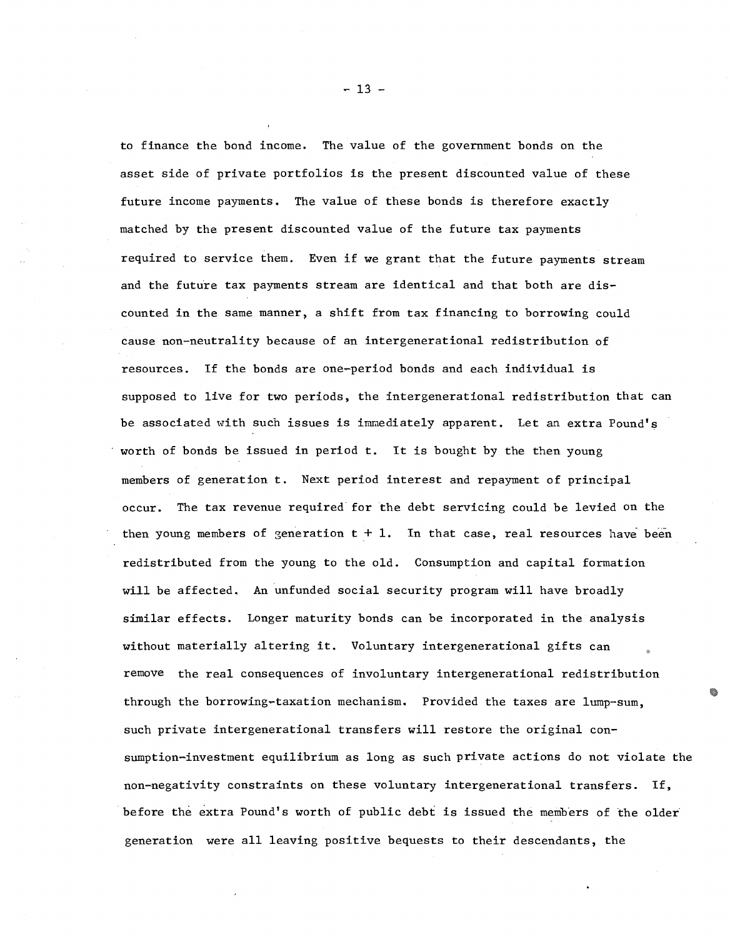to finance the bond income. The value of the government bonds on the asset side of private portfolios is the present discounted value of these future income payments. The value of these bonds is therefore exactly matched by the present discounted value of the future tax payments required to service them. Even if we grant that the future payments stream and the future tax payments stream are identical and that both are discounted in the same manner, a shift from tax financing to borrowing could cause non-neutrality because of an intergenerational redistribution of resources. If the bonds are one-period bonds and each individual is supposed to live for two periods, the intergenerational redistribution that can be associated with such issues is immediately apparent. Let an extra Pound's worth of bonds be issued in period t. It is bought by the then young members of generation t. Next period interest and repayment of principal occur. The tax revenue required for the debt servicing could be levied on the then young members of generation  $t + 1$ . In that case, real resources have been redistributed from the young to the old. Consumption and capital formation will be affected. An unfunded social security program will have broadly similar effects. Longer maturity bonds can be incorporated in the analysis without materially altering it. Voluntary intergenerational gifts can remove the real consequences of involuntary intergenerational redistribution through the borrowing-taxation mechanism. Provided the taxes are lump-sum, such private intergenerational transfers will restore the original consumption-investment equilibrium as long as such private actions do not violate the non-negativity constraints on these voluntary intergenerational transfers. If, before the extra Pound's worth of public debt is issued the members of the older generation were all leaving positive bequests to their descendants, the

 $-13 -$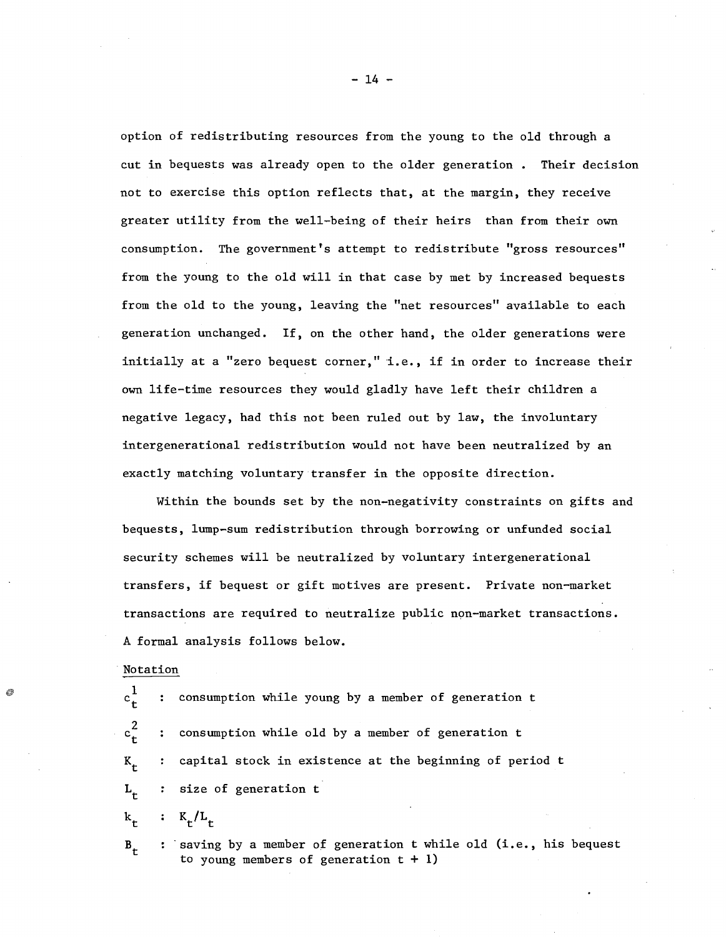option of redistributing resources from the young to the old through a cut in bequests was already open to the older generation. Their decision not to exercise this option reflects that, at the margin, they receive greater utility from the well-being of their heirs than from their own consumption. The government's attempt to redistribute "gross resources" from the young to the old will in that case by met by increased bequests from the old to the young, leaving the "net resources" available to each generation unchanged. If, on the other hand, the older generations were initially at a "zero bequest corner," i.e., if in order to increase their own life-time resources they would gladly have left their children <sup>a</sup> negative legacy, had this not been ruled out by law, the involuntary intergenerational redistribution would not have been neutralized by an exactly matching voluntary transfer in the opposite direction.

Within the bounds set by the non-negativity constraints on gifts and bequests, lump-sum redistribution through borrowing or unfunded social security schemes will be neutralized by voluntary intergenerational transfers, if bequest or gift motives are present. Private non-market transactions are required to neutralize public non-market transactions. A formal analysis follows below.

Notation

 $c_t^1$ consumption while young by a member of generation t  $\ddot{\cdot}$  $c_t^2$ consumption while old by a member of generation t  $\ddot{\cdot}$  $K_{+}$ capital stock in existence at the beginning of period t size of generation t  $L_{+}$ 

 $K_{\rm r}/L_{\rm r}$  $k_{+}$ 

 $B_{+}$ 

: saving by a member of generation t while old (i.e., his bequest to young members of generation  $t + 1$ )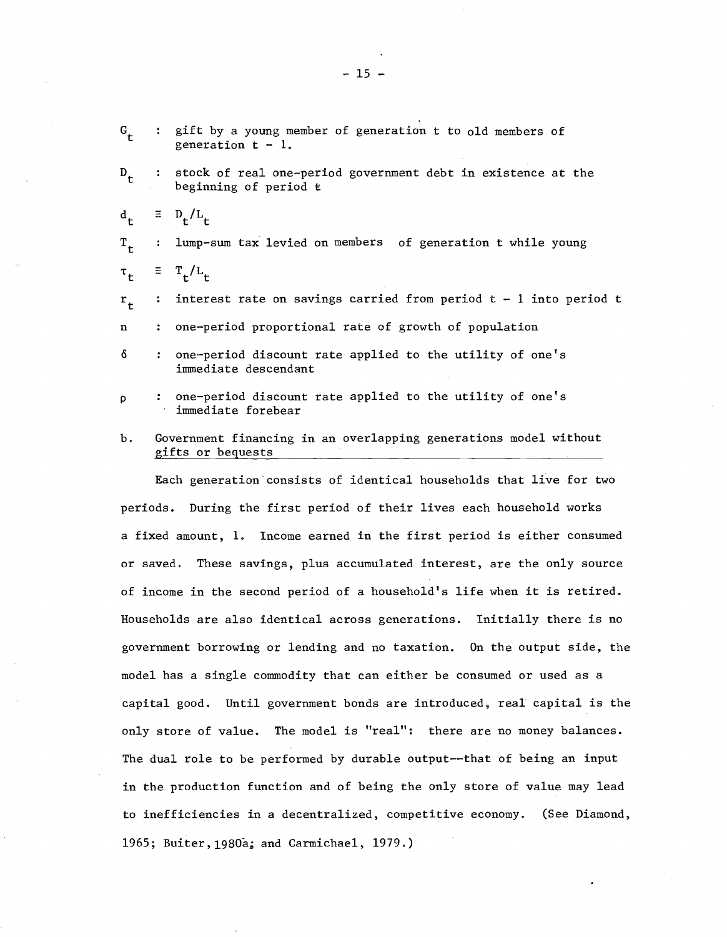| $G_{\mathbf{t}}$    |                      | : gift by a young member of generation t to old members of<br>generation $t - 1$ .    |
|---------------------|----------------------|---------------------------------------------------------------------------------------|
| $D_{\mathbf{t}}$    | $\ddot{\bullet}$     | stock of real one-period government debt in existence at the<br>beginning of period t |
| $d_{\mathbf{r}}$    |                      | $\equiv D_{\text{t}}/L_{\text{t}}$                                                    |
| $T_{+}$             | $\ddot{\cdot}$       | lump-sum tax levied on members of generation t while young                            |
| $\tau$ <sub>t</sub> |                      | $\equiv$ T <sub>+</sub> /L <sub>+</sub>                                               |
| $r_{\rm t}$         | $\ddot{\phantom{a}}$ | interest rate on savings carried from period $t - 1$ into period t                    |
| $\mathbf n$         |                      | one-period proportional rate of growth of population                                  |
| δ                   | $\ddot{\cdot}$       | one-period discount rate applied to the utility of one's<br>immediate descendant      |
| ρ                   |                      | one-period discount rate applied to the utility of one's<br>immediate forebear        |
| Ъ.                  |                      | Government financing in an overlapping generations model without<br>gifts or bequests |
|                     |                      |                                                                                       |

Each generation'consists of identical households that live for two periods. During the first period of their lives each household works <sup>a</sup> fixed amount, 1. Income earned in the first period is either consumed or saved. These savings, plus accumulated interest, are the only source of income in the second period of <sup>a</sup> household's life when it is retired. Households are also identical across generations. Initially there is no government borrowing or lending and no taxation. On the output side, the model has a single commodity that can either be consumed or used as a capital good. Until government bonds are introduced, real capital is the only store of value. The model is "real": there are no money balances. The dual role to be performed by durable output--that of being an input in the production function and of being the only store of value may lead to inefficiencies in a decentralized, competitive economy. (See Diamond, 1965; Buiter,1980a; and Carmichael, 1979.)

 $-15 -$ 

 $\mathbf{C}$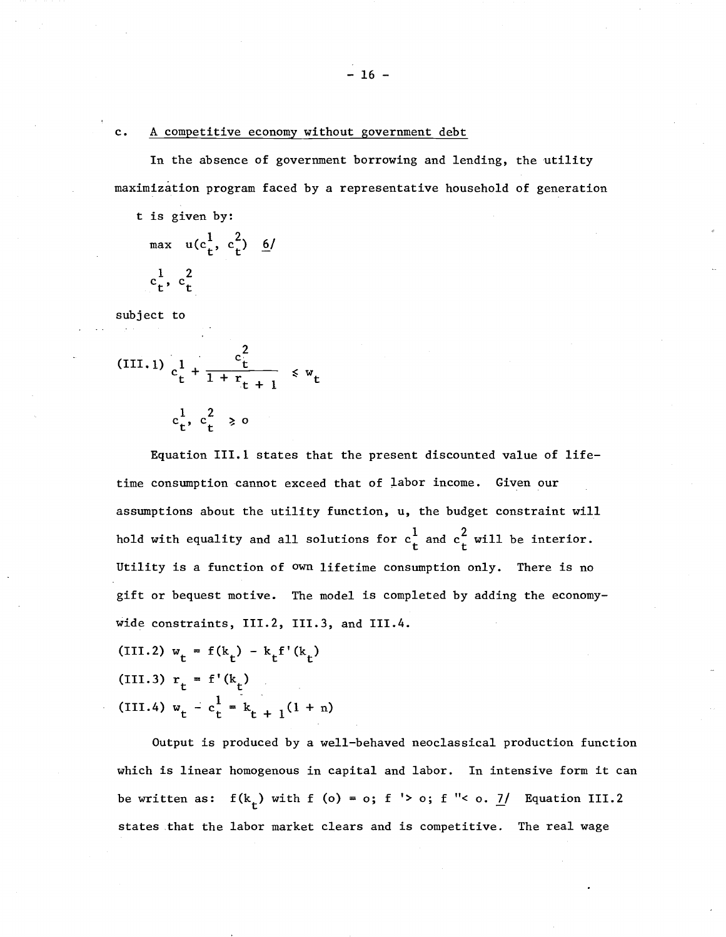### c. A competitive economy without government debt

In the absence of government borrowing and lending, the utility maximization program faced by a representative household of generation

t is given by: max  $u(c_t^1, c_t^2) = 6/$  $c_t^1, c_t^2$ 

subject to

(III.1) 
$$
c_t^1 + \frac{c_t^2}{1 + r_{t+1}} \leq w_t
$$

$$
c_t^1, c_t^2 \geq 0
$$

Equation 111.1 states that the present discounted value of lifetime consumption cannot exceed that of labor income. Given our assumptions about the utility function, u, the budget constraint will hold with equality and all solutions for  $c^1_t$  and  $c^2_t$  will be interior. Utility is a function of own lifetime consumption only. There is no gift or bequest motive. The model is completed by adding the economywide constraints, 111.2, 111.3, and 111.4.

(III.2)  $w_t = f(k_t) - k_t f'(k_t)$ (III.3)  $r_t = f'(k_t)$ (III.4)  $w_t - c_t^1 = k_{t+1}(1 + n)$ 

Output is produced by a well-behaved neoclassical production function which is linear homogenous in capital and labor. In intensive form it can be written as:  $f(k_t)$  with f (o) = o; f '> o; f "< o.  $1/$  Equation III.2 states that the labor market clears and is competitive. The real wage

 $- 16 -$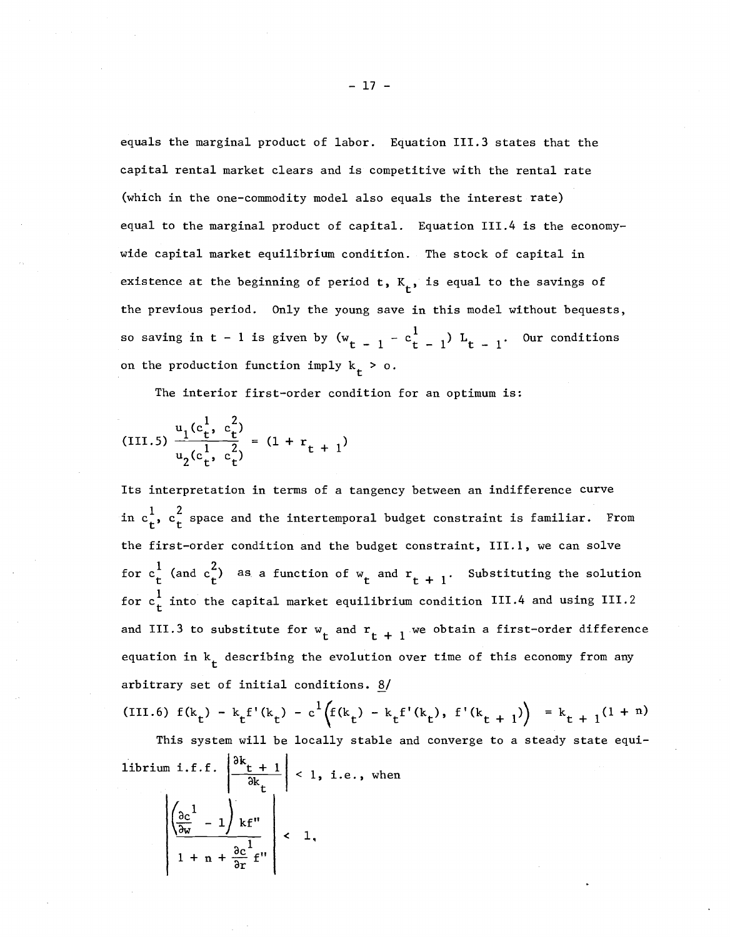equals the marginal product of labor. Equation 111.3 states that the capital rental market clears and is competitive with the rental rate (which in the one-commodity model also equals the interest rate) equal to the marginal product of capital. Equation 111.4 is the economywide capital market equilibrium condition. The stock of capital in existence at the beginning of period  $t$ ,  $K_{t}$ , is equal to the savings of the previous period. Only the young save in this model without bequests, so saving in t - 1 is given by  $(w_{t-1} - c_{t-1}^1) L_{t-1}$ . Our conditions on the production function imply  $k_t > 0$ .

The interior first-order condition for an optimum is:

(III.5) 
$$
\frac{u_1(c_t^1, c_t^2)}{u_2(c_t^1, c_t^2)} = (1 + r_{t+1})
$$

Its interpretation in terms of a tangency between an indifference curve in  $c_t^1$ ,  $c_t^2$  space and the intertemporal budget constraint is familiar. From the first-order condition and the budget constraint, III.1, we can solve for  $c_t^1$  (and  $c_t^2$ ) as a function of  $w_t$  and  $r_{t+1}$ . Substituting the solution for  $\mathrm{c}_{\mathbf{t}}^1$  into the capital market equilibrium condition III.4 and using III.2 and III.3 to substitute for  $w_t$  and  $r_{t+1}$  we obtain a first-order difference equation in  $k$  describing the evolution over time of this economy from any arbitrary set of initial conditions.  $8/$ 

(III.6) 
$$
f(k_t) - k_t f'(k_t) - c^1 (f(k_t) - k_t f'(k_t), f'(k_{t+1})) = k_{t+1} (1+n)
$$

librium i.f.f.  $\left|\frac{\partial k_t + 1}{\partial k}\right| < 1$ , i.e., when This system will be locally stable and converge to a steady state equiak<br>1  $\left(\frac{\partial c}{\partial w}^1 - 1\right) k f''$  $1 + n + \frac{\partial c}{\partial r}^1 f''$  $\leftarrow 1$ ,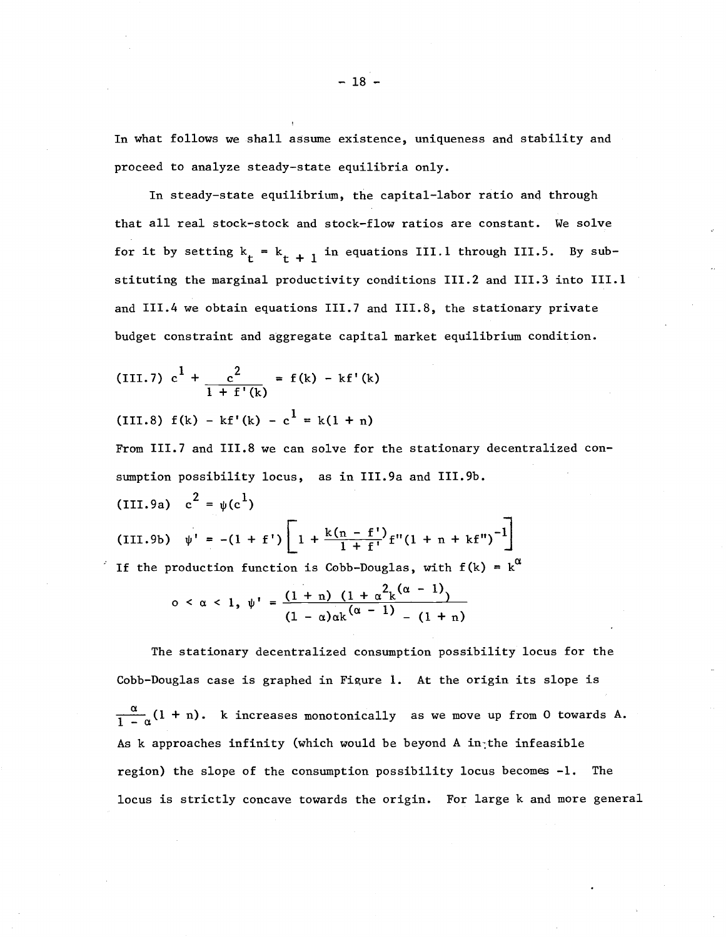In what follows we shall assume existence, uniqueness and stability and proceed to analyze steady-state equilibria only.

In steady-state equilibrium, the capital-labor ratio anq through that all real stock-stock and stock-flow ratios are constant. We solve for it by setting  $k_t = k_{t+1}$  in equations III.1 through III.5. By substituting the marginal productivity conditions 111.2 and 111.3 into 111.1 and 111.4 we obtain equations 111.7 and 111.8, the stationary private budget constraint and aggregate capital market equilibrium condition.

(III.7) 
$$
c^1 + \frac{c^2}{1 + f'(k)} = f(k) - kf'(k)
$$

(III.8)  $f(k) - kf'(k) - c^{\frac{1}{k}} = k(1 + n)$ 

From 111.7 and 111.8 we can solve for the stationary decentralized consumption possibility locus, as in III.9a and III.9b. (III.9a)  $c^2 = \psi(c^1)$ 

(III.9b)  $\psi' = -(1 + f') \left[ 1 + \frac{k(n - f')}{1 + f'} f''(1 + n + kf'')^{-1} \right]$ If the production function is Cobb-Douglas, with  $f(k) = k^{\alpha}$ 

$$
0 < \alpha < 1, \ \psi' = \frac{(1+n) (1 + \alpha^2 k^{(\alpha - 1)})}{(1 - \alpha) \alpha k^{(\alpha - 1)} - (1 + n)}
$$

The stationary decentralized consumption possibility locus for the Cobb-Douglas case is graphed in Figure 1. At the origin its slope is  $\frac{\alpha}{1-\alpha}(1 + n)$ . k increases monotonically as we move up from 0 towards A. As k approaches infinity (which would be beyond A in<sub>i</sub>the infeasible region) the slope of the consumption possibility locus becomes -1. The locus is strictly concave towards the origin. For large k and more general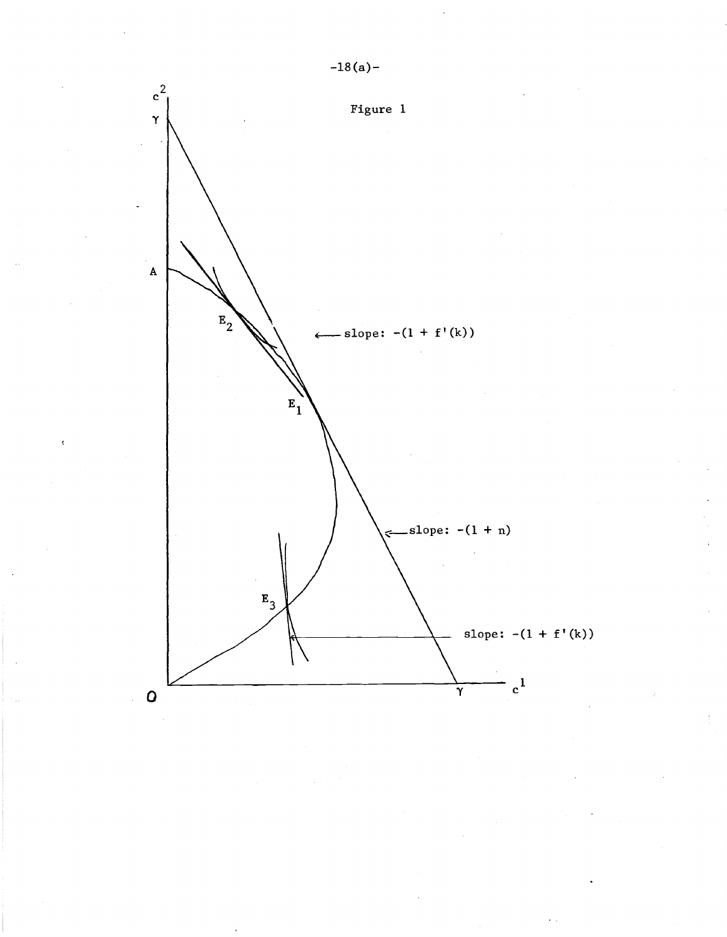

 $-18(a) -$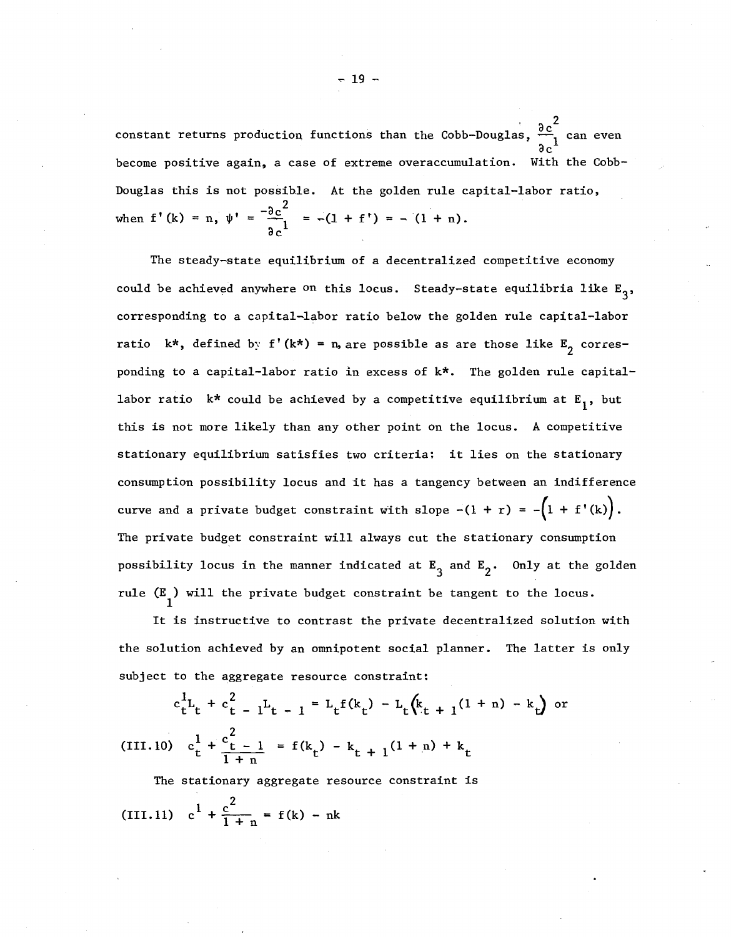constant returns production functions than the Cobb-Douglas,  $\frac{\partial c}{\partial x}$  can even become positive again, a case of extreme overaccumulation. With the Cobb-Douglas this is not possible. At the golden rule capital-labor ratio, when  $f'(k) = n$ ,  $\psi' = \frac{-\partial c^2}{l} = -(1 + f') = -(1 + n)$ . გ $_{\rm c}^{\rm 1}$ 

The steady-state equilibrium of a decentralized competitive economy could be achieved anywhere <sup>on</sup> this locus. Steady-state equilibria like  $E^3$ , corresponding to a capital-labor ratio below the golden rule capital-labor ratio  $k^*$ , defined by f'(k\*) = n, are possible as are those like  $E_{\text{2}}$  corresponding to a capital-labor ratio in excess of k\*. The golden rule capitallabor ratio  $k^*$  could be achieved by a competitive equilibrium at  $E_1$ , but this is not more likely than any other point on the locus. A competitive stationary equilibrium satisfies two criteria: it lies on the stationary consumption possibility locus and it has <sup>a</sup> tangency between an indifference curve and a private budget constraint with slope  $-(1 + r) = -(1 + f'(k)).$ The private budget constraint will always cut the stationary consumption possibility locus in the manner indicated at  $E_{\overline 3}$  and  $E_{\overline 2}$ • Only at the golden rule  $(E)$  will the private budget constraint be tangent to the locus.

It is instructive to contrast the private decentralized solution with the solution achieved by an omnipotent social planner. The latter is only subject to the aggregate resource constraint:

$$
c_{t}^{1}L_{t} + c_{t}^{2} - 1L_{t-1} = L_{t}f(k_{t}) - L_{t}(k_{t+1}(1+n) - k_{t})
$$
 or  
(III.10) 
$$
c_{t}^{1} + \frac{c_{t-1}^{2}}{1+n} = f(k_{t}) - k_{t+1}(1+n) + k_{t}
$$

The stationary aggregate resource constraint is Z

(III.11) 
$$
c^1 + \frac{c^2}{1 + n} = f(k) - nk
$$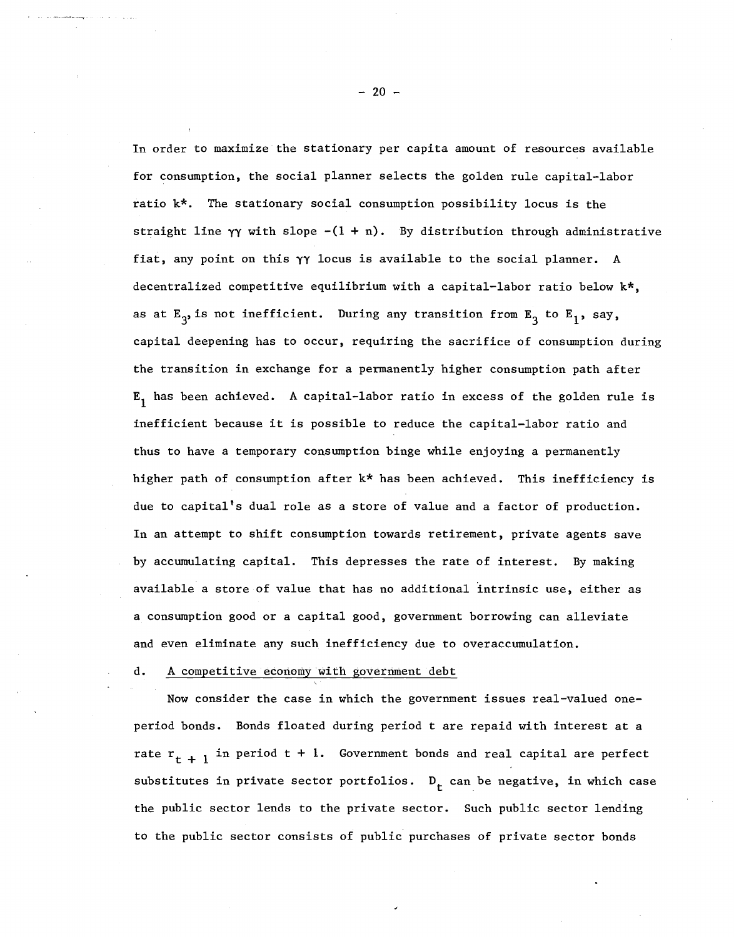In order to maximize the stationary per capita amount of resources available for consumption, the social planner selects the golden rule capital-labor ratio k\*. The stationary social consumption possibility locus is the straight line  $\gamma\gamma$  with slope  $-(1 + n)$ . By distribution through administrative fiat, any point on this yy locus is available to the social planner. A decentralized competitive equilibrium with a capital-labor ratio below k\*, as at  $E_3$  is not inefficient. During any transition from  $E_3$  to  $E_1$ , say, capital deepening has to occur, requiring the sacrifice of consumption during the transition in exchange for a permanently higher consumption path after  $E_1$  has been achieved. A capital-labor ratio in excess of the golden rule is inefficient because it is possible to reduce the capital-labor ratio and thus to have a temporary consumption binge while enjoying a permanently higher path of consumption after  $k*$  has been achieved. This inefficiency is due to capital's dual role as a store of value and a factor of production. In an attempt to shift consumption towards retirement, private agents save by accumulating capital. This depresses the rate of interest. By making available a store of value that has no additional intrinsic use, either as a consumption good or a capital good, government borrowing can alleviate and even eliminate any such inefficiency due to overaccumulation.

### d. A competitive economy with government debt

Now consider the case in which the government issues real-valued oneperiod bonds. Bonds floated during period t are repaid with interest at a rate  $r_{t+1}$  in period  $t + 1$ . Government bonds and real capital are perfect substitutes in private sector portfolios.  $D_t$  can be negative, in which case the public sector lends to the private sector. Such public sector lending to the public sector consists of public purchases of private sector bonds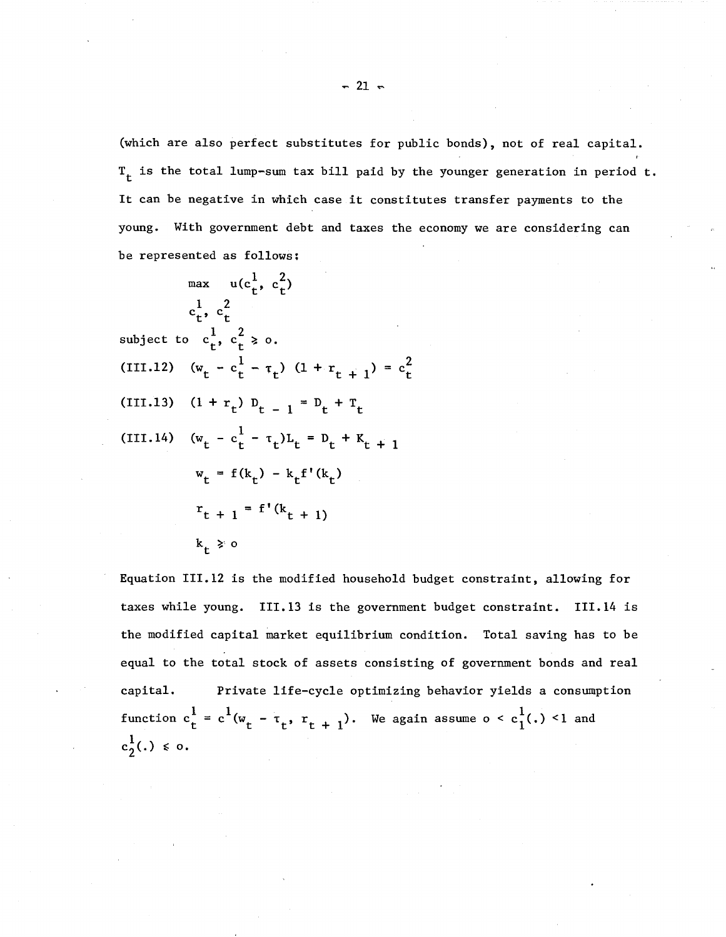(which are also perfect substitutes for public bonds), not of real capital.  $T_t$  is the total lump-sum tax bill paid by the younger generation in period t. It can be negative in which case it constitutes transfer payments to the young. With government debt and taxes the economy we are considering can be represented as follows;

 $\max$   $u(c_t^1, c_t^2)$  $1 \t2$  $\mathbf{c}_{\mathbf{t}}^{\phantom{\dag}},\,\,\mathbf{c}_{\mathbf{t}}^{\phantom{\dag}}$ subject to  $c_t^1$ ,  $c_t^2 \geq 0$ . (III.12)  $(w_t - c_t^1 - \tau_t)$   $(1 + r_{t+1}) = c_t^2$ (III.13)  $(1 + r_t) D_{t-1} = D_t + T_t$ (III.14)  $(w_t - c_t^1 - \tau_t)L_t = D_t + K_{t+1}$  $w_t = f(k_t) - k_t f'(k_t)$  $r_{t + 1} = f'(k_{t + 1})$  $k_+ > o$ 

Equation 111.12 is the modified household budget constraint, allowing for taxes while young. 111.13 is the government budget constraint. 111.14 is the modified capital market equilibrium condition. Total saving has to be equal to the total stock of assets consisting of government bonds and real capital. Private life-cycle optimizing behavior yields a consumption function  $c_t^1 = c^1 (w_t - \tau_t, r_{t+1})$ . We again assume o <  $c_1^1(.)$  <1 and  $c_2^1(.) \leq 0.$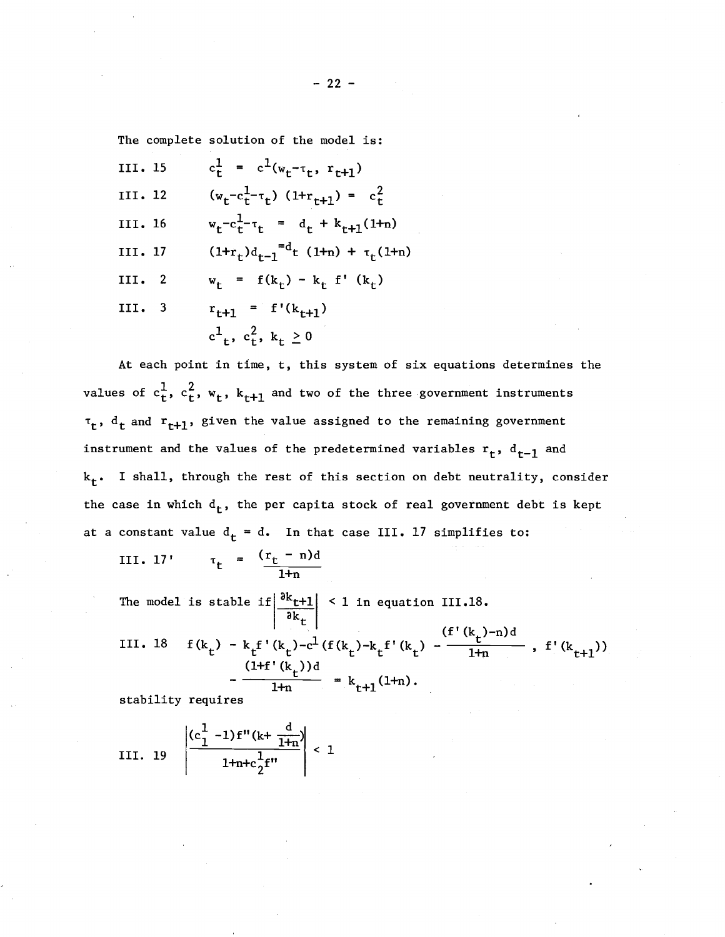The complete solution of the model is:

III. 15 
$$
c_t^1 = c^1(w_t - \tau_t, r_{t+1})
$$
  
\nIII. 12  $(w_t - c_t^1 - \tau_t) (1 + r_{t+1}) = c_t^2$   
\nIII. 16  $w_t - c_t^1 - \tau_t = d_t + k_{t+1}(1 + n)$   
\nIII. 17  $(1 + r_t)d_{t-1}^{-d_t} (1 + n) + \tau_t(1 + n)$   
\nIII. 2  $w_t = f(k_t) - k_t f'(k_t)$   
\nIII. 3  $r_{t+1} = f'(k_{t+1})$   
\n $c^1_t, c_t^2, k_t \ge 0$ 

At each point in time, t, this system of six equations determines the values of  $c^1_t$ ,  $c^2_t$ ,  $w_t$ ,  $k_{t+1}$  and two of the three government instruments  $\tau_t$ ,  $d_t$  and  $r_{t+1}$ , given the value assigned to the remaining government instrument and the values of the predetermined variables  $r_t$ ,  $d_{t-1}$  and  $k_t$ . I shall, through the rest of this section on debt neutrality, consider the case in which  $d_t$ , the per capita stock of real government debt is kept at a constant value  $d_t = d$ . In that case III. 17 simplifies to:

III. 17' 
$$
\tau_t = \frac{(r_t - n)d}{1+n}
$$

The model is stable if $\left|\frac{\partial k_{t+1}}{\partial t}\right|$  < 1 in equation III.18. ak,

(f' (kt)-n)d III. <sup>18</sup> <sup>f</sup> (k ) - k f' (k )-cl (f (k ) -k f' (k ) - f' (k ) ) t t t t t t l+n ' t+l (Hf' (kt»d l+n = kt+l(l+n).

stability requires

III. 19 
$$
\left| \frac{(c_1^1 - 1) f''(k + \frac{d}{1+n})}{1 + n + c_2^1 f''} \right| < 1
$$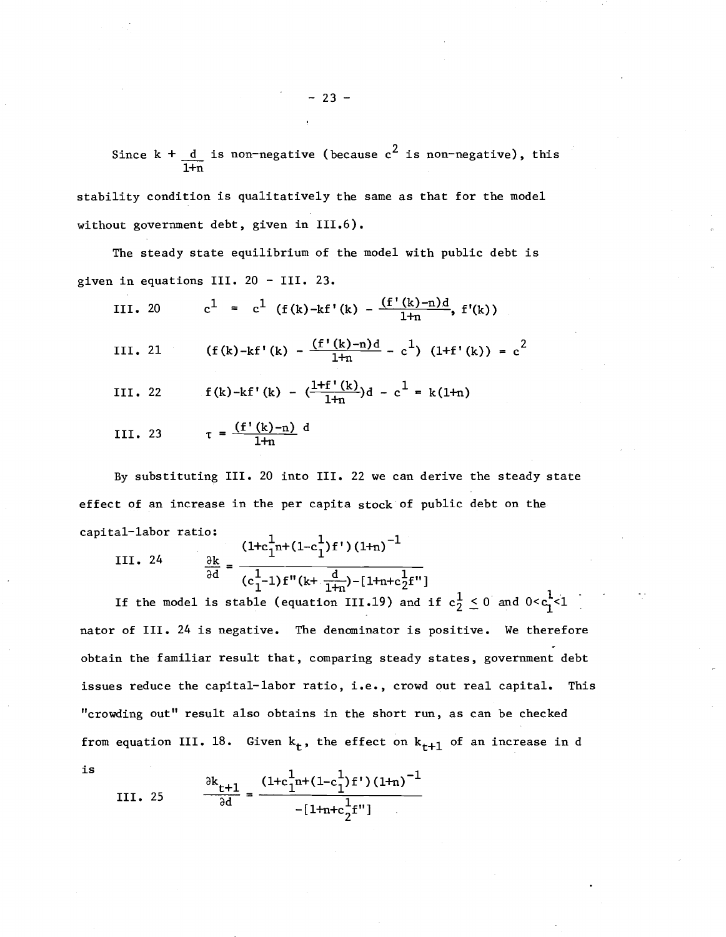Since k +  $\frac{{\rm d}}{{\rm d}}$  is non-negative (because  ${\rm c}^2$  is non-negative), this l+n

stability condition is qualitatively the same as that for the model without government debt, given in III.6).

The steady state equilibrium of the model with public debt is given in equations III. <sup>20</sup> - III. 23.

III. 20 
$$
c^1 = c^1 (f(k)-kf'(k) - \frac{(f'(k)-n)d}{1+n}, f'(k))
$$

III. 21 (f(k)-kf'(k) - 
$$
\frac{(f'(k)-n)d}{1+n}
$$
 - c<sup>1</sup>) (1+f'(k)) = c<sup>2</sup>

III. 22 
$$
f(k)-kf'(k) - (\frac{1+f'(k)}{1+n})d - c^1 = k(1+n)
$$

III. 23 
$$
\tau = \frac{(f'(k)-n)}{1+n} d
$$

By substituting III. <sup>20</sup> into III. <sup>22</sup> we can derive the steady state effect of an increase in the per capita stock of public debt on the capital-labor ratio:

III. 24 
$$
\frac{\partial k}{\partial d} = \frac{(1+c_1^1 n + (1-c_1^1) f') (1+n)^{-1}}{(c_1^1 - 1) f'' (k + \frac{d}{1+n}) - [1+n+c_2^1 f'']}
$$

If the model is stable (equation 111.19) and if nator of III. <sup>24</sup> is negative. The denominator is positive. We therefore obtain the familiar result that, comparing steady states, government debt issues reduce the capital-labor ratio, i.e., crowd out real capital. This "crowding out" result also obtains in the short run, as can be checked from equation III. 18. Given  $k_t$ , the effect on  $k_{t+1}$  of an increase in d

III. 25 
$$
\frac{\partial k_{t+1}}{\partial d} = \frac{(1+c_1^1 n + (1-c_1^1) f') (1+n)^{-1}}{-[1+n+c_2^1 f']}
$$

is

 $- 23 -$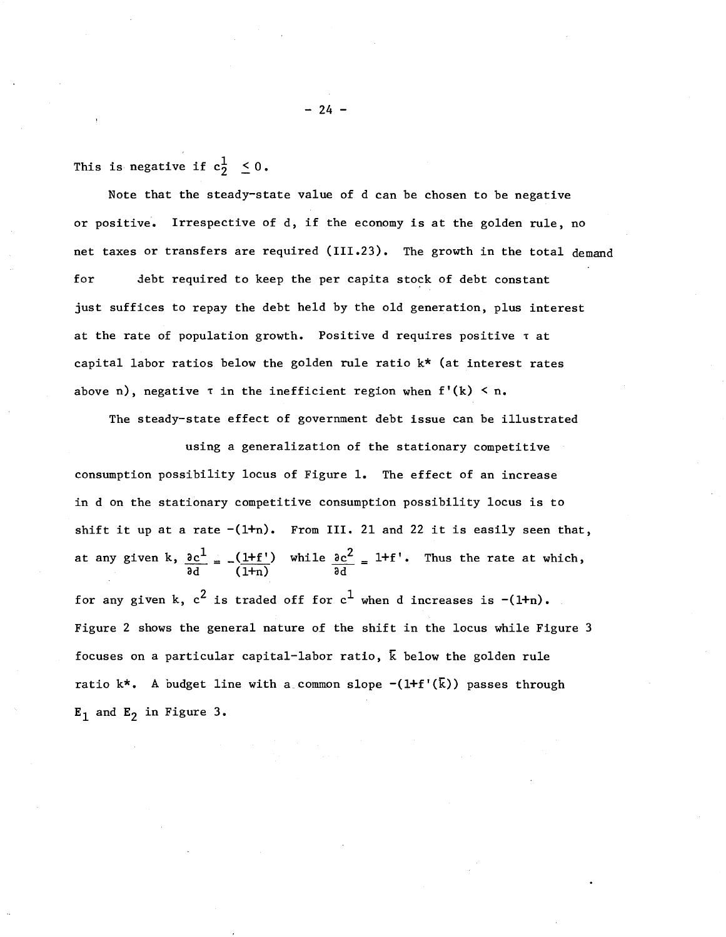This is negative if  $c_2^1 \leq 0$ .

Note that the steady-state value of d can be chosen to be negative or positive. Irrespective of d, if the economy is at the golden rule, no net taxes or transfers are required (111.23). The growth in the total demand for debt required to keep the per capita stock of debt constant just suffices to repay the debt held by the old generation, plus interest at the rate of population growth. Positive d requires positive <sup>T</sup> at capital labor ratios below the golden rule ratio k\* (at interest rates above n), negative  $\tau$  in the inefficient region when  $f'(k) < n$ .

The steady-state effect of government debt issue can be illustrated

using a generalization of the stationary competitive consumption possibility locus of Figure 1. The effect of an increase in d on the stationary competitive consumption possibility locus is to shift it up at a rate  $-(1+n)$ . From III. 21 and 22 it is easily seen that, at any given k, <u>ð $\mathrm{c^{1}}$  <sub>=</sub> (l+f'</u>)  $\frac{1}{6}$  (1+n) while  $\frac{\partial c^2}{\partial t^2} = 1 + f'$ . ad Thus the rate at which, for any given k,  $c^2$  is traded off for  $c^1$  when d increases is  $-(1+n)$ . Figure 2 shows the general nature of the shift in the locus while Figure 3 focuses on a particular capital-labor ratio,  $\bar{k}$  below the golden rule ratio k\*. A budget line with a common slope  $-(1+f'(\overline{k}))$  passes through  $E_1$  and  $E_2$  in Figure 3.

 $-24 -$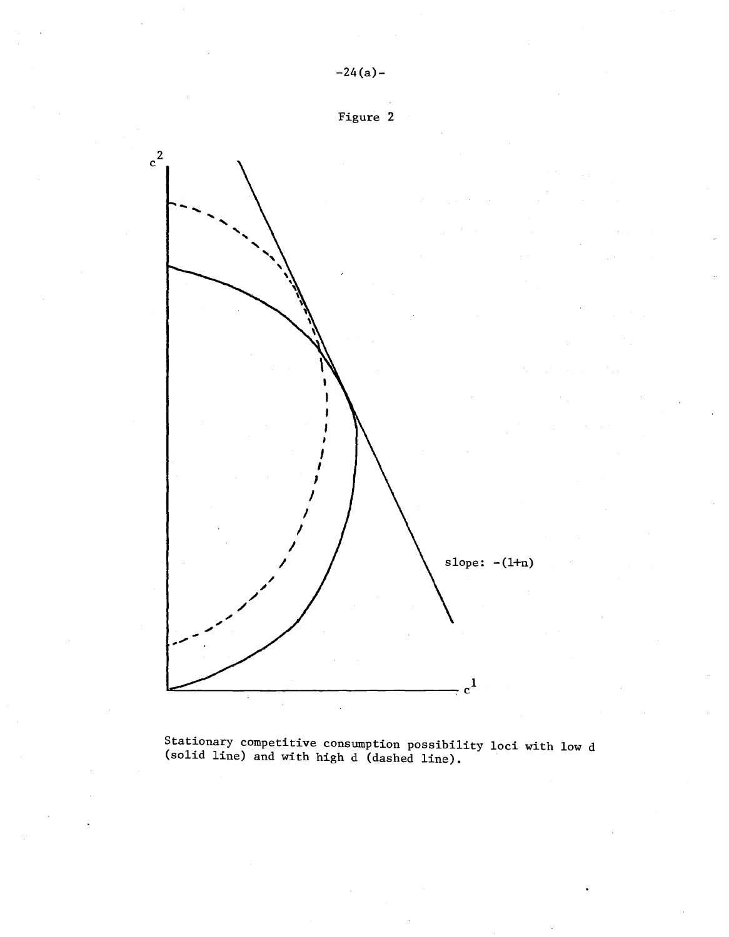

Stationary competitive consumption possibility loci with low d (solid line) and with high d (dashed line).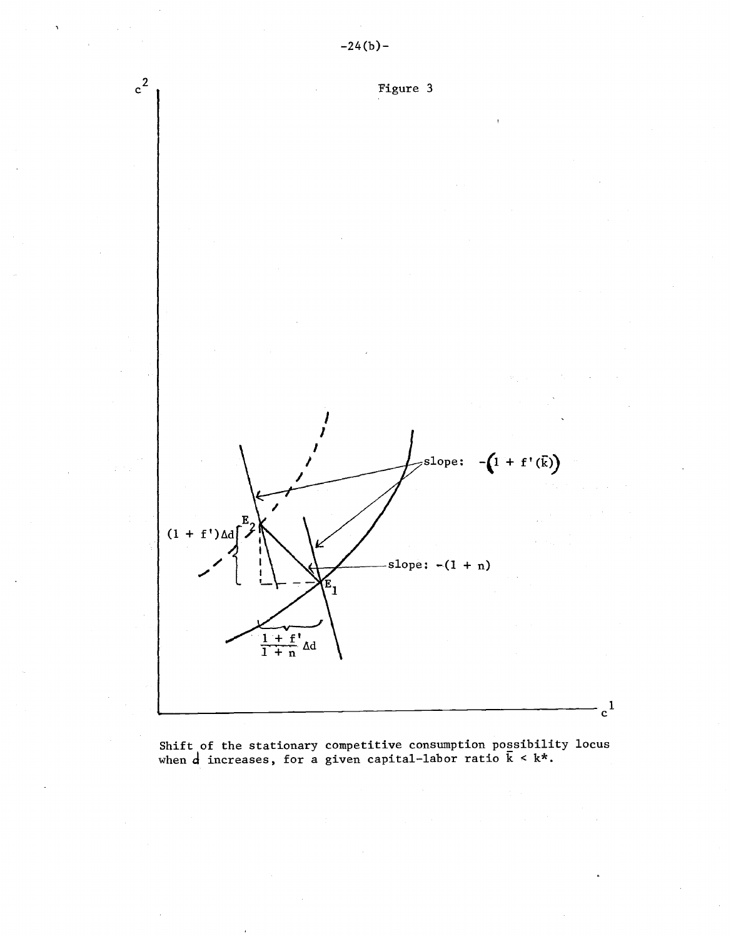

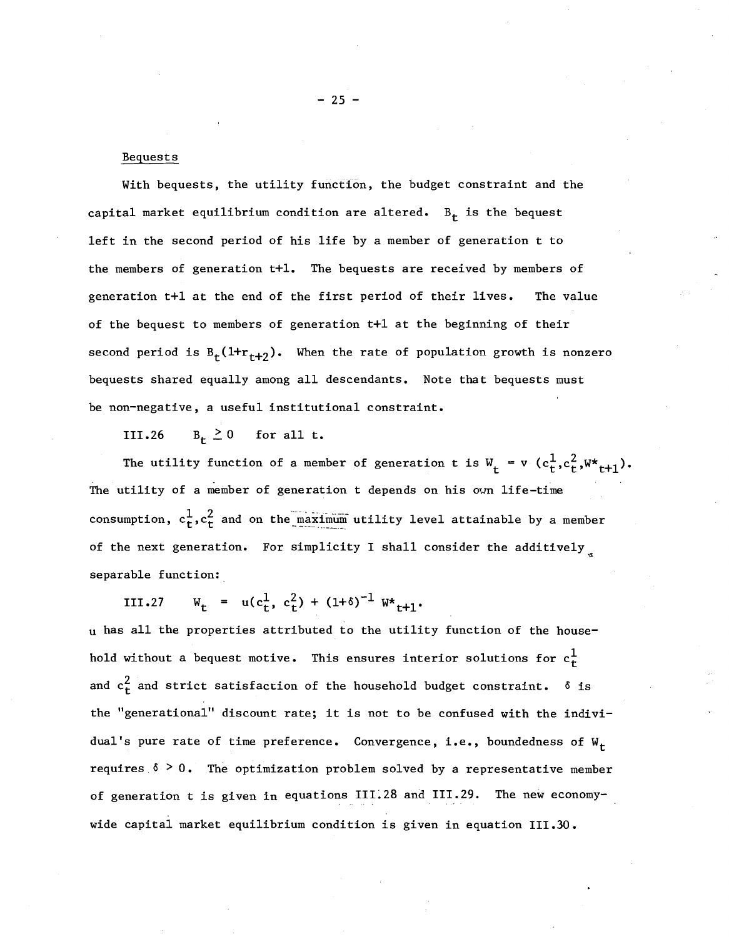### Bequests

With bequests, the utility function, the budget constraint and the capital market equilibrium condition are altered.  $B_t$  is the bequest left in the second period of his life by <sup>a</sup> member of generation <sup>t</sup> to the members of generation t+l. The bequests are received by members of generation t+l at the end of the first period of their lives. The value of the bequest to members of generation t+l at the beginning of their second period is  $B_t(1+r_{t+2})$ . When the rate of population growth is nonzero bequests shared equally among all descendants. Note that bequests must be non-negative, a useful institutional constraint.

111.26  $B_t \ge 0$  for all t.

The utility function of a member of generation t is  $W_t = v (c_t^1, c_t^2, W_t^* + 1)$ . The utility of a member of generation t depends on his own life-time consumption,  $c^1_t$ ,  $c^2_t$  and on the maximum utility level attainable by a member of the next generation. For simplicity I shall consider the additively separable function:

 $W_t = u(c_t^1, c_t^2) + (1+\delta)^{-1} W_{t+1}$ IIl.27

<sup>u</sup> has all the properties attributed to the utility function of the household without a bequest motive. This ensures interior solutions for  $c<sub>t</sub><sup>1</sup>$ and  $c<sub>t</sub><sup>2</sup>$  and strict satisfaction of the household budget constraint.  $\delta$  is the "generational" discount rate; it is not to be confused with the individual's pure rate of time preference. Convergence, i.e., boundedness of  $W_t$ requires  $6 > 0$ . The optimization problem solved by a representative member of generation t is given in equations III.28 and III.29. The new economywide capital market equilibrium condition is given in equation 111.30.

 $- 25 -$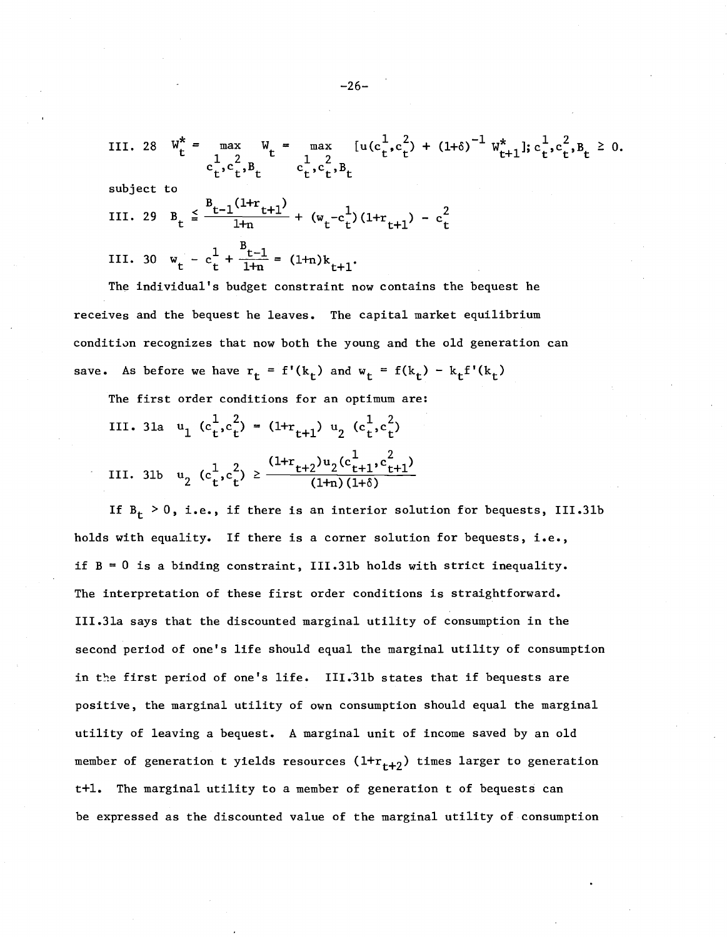III. 28 
$$
W_t^* = \max_{C_t^1, C_t^2, B_t} W_t = \max_{C_t^1, C_t^2, B_t} [u(c_t^1, c_t^2) + (1+\delta)^{-1} W_{t+1}^*]; c_t^1, c_t^2, B_t \ge 0.
$$

subject to

III. 29 
$$
B_t \leq \frac{B_{t-1}(1+r_{t+1})}{1+r} + (w_t - c_t^1)(1+r_{t+1}) - c_t^2
$$

III. 30 
$$
w_t - c_t^1 + \frac{B_{t-1}}{1+n} = (1+n)k_{t+1}
$$
.

The individual's budget constraint now contains the bequest he receives and the bequest he leaves. The capital market equilibrium conditivn recognizes that now both the young and the old generation can save. As before we have  $r_t = f'(k_t)$  and  $w_t = f(k_t) - k_t f'(k_t)$ 

The first order conditions for an optimum are:

III. 31a 
$$
u_1
$$
  $(c_t^1, c_t^2) = (1 + r_{t+1}) u_2 (c_t^1, c_t^2)$   
III. 31b  $u_2$   $(c_t^1, c_t^2) \ge \frac{(1 + r_{t+2}) u_2 (c_{t+1}^1, c_{t+1}^2)}{(1 + n)(1 + \delta)}$ 

If  $B_t > 0$ , i.e., if there is an interior solution for bequests, III.31b holds with equality. If there is <sup>a</sup> corner solution for bequests, i.e., if B = 0 is <sup>a</sup> binding constraint, III.3lb holds with strict inequality. The interpretation of these first order conditions is straightforward. III.3Ia says that the discounted marginal utility of consumption in the second period of one's life should equal the marginal utility of consumption in the first period of one's life. III.31b states that if bequests are positive, the marginal utility of own consumption should equal the marginal utility of leaving a bequest. A marginal unit of income saved by an old member of generation t yields resources  $(1+r_{t+2})$  times larger to generation t+l. The marginal utility to a member of generation t of bequests can be expressed as the discounted value of the marginal utility of consumption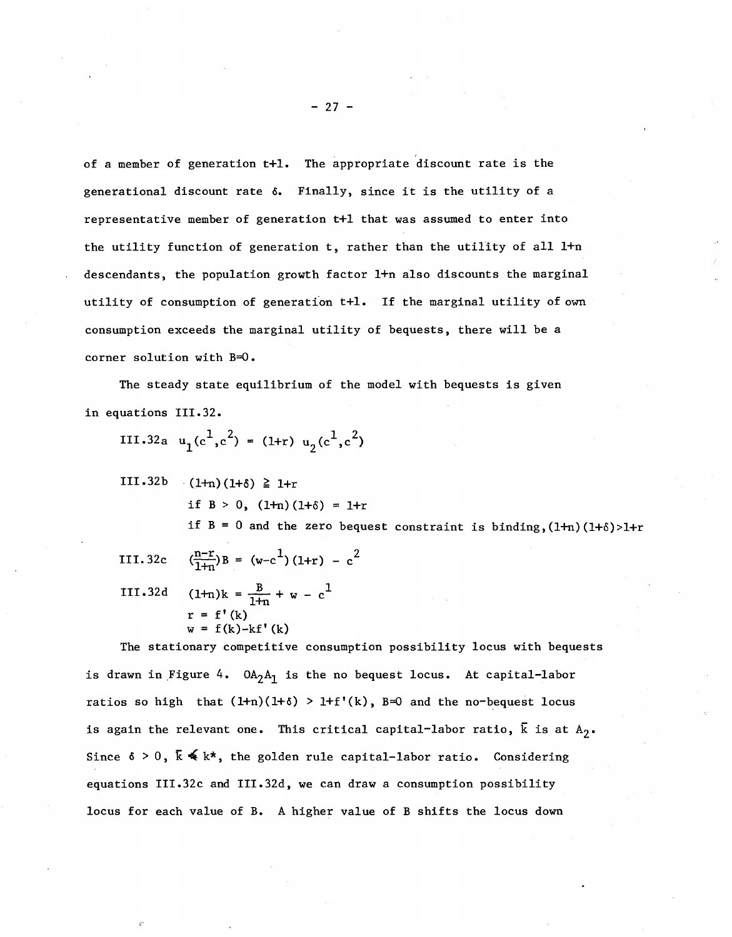of a member of generation t+1. The appropriate discount rate is the generational discount rate  $\delta$ . Finally, since it is the utility of a representative member of generation t+1 that was assumed to enter into the utility function of generation t, rather than the utility of all l+n descendants, the population growth factor l+n also discounts the marginal utility of consumption of generation t+1. If the marginal utility of own consumption exceeds the marginal utility of bequests, there will be <sup>a</sup> corner solution with B=O.

The steady state equilibrium of the model with bequests is given in equations 111.32.

- 111.32a  $u_1(c^1, c^2) = (1+r) u_2(c^1, c^2)$
- $III.32b$   $(1+n)(1+\delta) \ge 1+r$ if  $B > 0$ ,  $(1+n)(1+\delta) = 1+r$ if  $B = 0$  and the zero bequest constraint is binding,  $(1+n)(1+\delta) > 1+r$
- III. 32c III.32d  $\left(\frac{n-r}{1+n}\right)B = \left(w-c^1\right) (1+r) - c^2$  $(1+n)k = \frac{B}{1+n} + w - c^1$  $r = f'(k)$  $w = f(k)-kf'(k)$

The stationary competitive consumption possibility locus with bequests is drawn in Figure 4.  $OA_2A_1$  is the no bequest locus. At capital-labor ratios so high that  $(l+n)(l+\delta) > l+f'(k)$ , B=0 and the no-bequest locus is again the relevant one. This critical capital-labor ratio,  $\bar{k}$  is at  $A_2$ . Since  $\delta > 0$ ,  $\overline{k} \leq k^*$ , the golden rule capital-labor ratio. Considering equations III.32c and III.32d, we can draw a consumption possibility locus for each value of B. A higher value of B shifts the locus down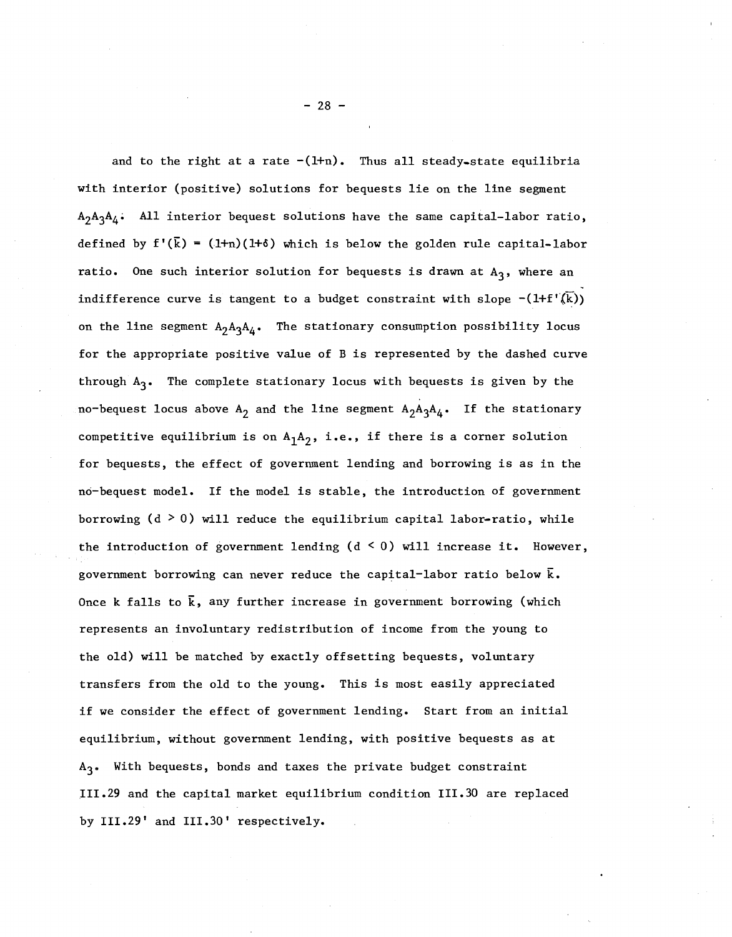and to the right at a rate  $-(1+n)$ . Thus all steady-state equilibria with interior (positive) solutions for bequests lie on the line segment  $A_2A_3A_4$ . All interior bequest solutions have the same capital-labor ratio, defined by  $f'(\overline{k}) = (1+n)(1+\delta)$  which is below the golden rule capital-labor ratio. One such interior solution for bequests is drawn at  $A_3$ , where an indifference curve is tangent to a budget constraint with slope  $-(1+f'(\overline{k}))$ on the line segment  $A_2A_3A_4$ . The stationary consumption possibility locus for the appropriate positive value of <sup>B</sup> is represented by the dashed curve through  $A_3$ . The complete stationary locus with bequests is given by the no-bequest locus above  $A_2$  and the line segment  $A_2A_3A_4$ . If the stationary competitive equilibrium is on  $A_1A_2$ , i.e., if there is a corner solution for bequests, the effect of government lending and borrowing is as in the no-bequest model. If the model is stable, the introduction of government borrowing  $(d > 0)$  will reduce the equilibrium capital labor-ratio, while the introduction of government lending  $(d \leq 0)$  will increase it. However, government borrowing can never reduce the capital-labor ratio below  $\bar{k}$ . Once k falls to  $\bar{k}$ , any further increase in government borrowing (which represents an involuntary redistribution of income from the young to the old) will be matched by exactly offsetting bequests, voluntary transfers from the old to the young. This is most easily appreciated if we consider the effect of government lending. Start from an initial equilibrium, without government lending, with positive bequests as at A<sub>3</sub>. With bequests, bonds and taxes the private budget constraint 111.Z9 and the capital market equilibrium condition 111.30 are replaced by III.29' and III.30' respectively.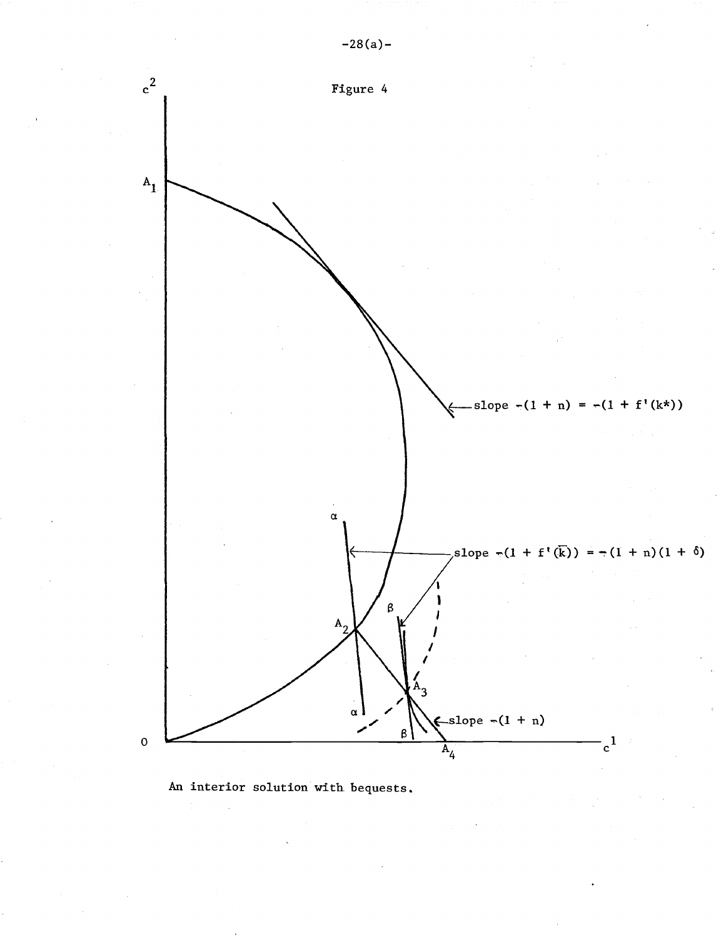

An interior solution with bequests.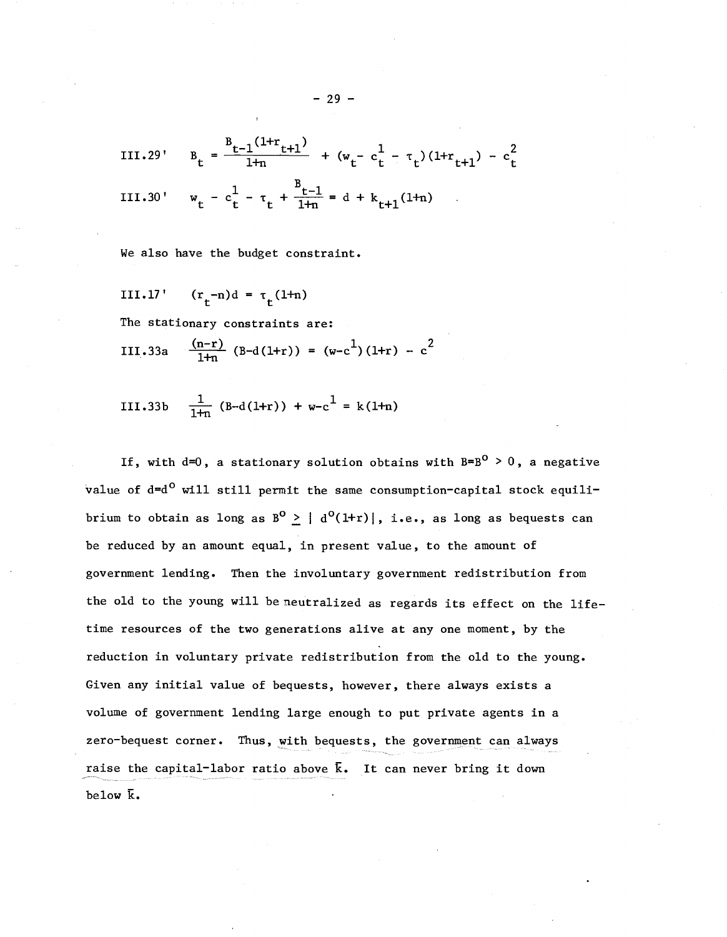III.29' 
$$
B_t = \frac{B_{t-1}(1+r_{t+1})}{1+r_{t+1}} + (w_t - c_t^1 - \tau_t)(1+r_{t+1}) - c_t^2
$$
  
III.30'  $w_t - c_t^1 - \tau_t + \frac{B_{t-1}}{1+r_{t+1}} = d + k_{t+1}(1+r_{t+1})$ 

We also have the budget constraint.

III.17' 
$$
(r_t-n)d = r_t(1+n)
$$

The stationary constraints are:

III.33a 
$$
\frac{(n-r)}{1+n}
$$
 (B-d(1+r)) = (w-c<sup>1</sup>)(1+r) - c<sup>2</sup>

III.33b 
$$
\frac{1}{1+n}
$$
 (B-d(1+r)) + w-c<sup>1</sup> = k(1+n)

If, with d=0, a stationary solution obtains with  $B=B^0 > 0$ , a negative value of  $d=d^0$  will still permit the same consumption-capital stock equilibrium to obtain as long as  $B^0 \geq | d^0(1+r) |$ , i.e., as long as bequests can be reduced by an amount equal, in present value, to the amount of government lending. Then the involuntary government redistribution from the old to the young will be neutralized as regards its effect on the lifetime resources of the two generations alive at anyone moment, by the reduction in voluntary private redistribution from the old to the young. Given any initial value of bequests, however, there always exists a volume of government lending large enough to put private agents in a zero-bequest corner. Thus, with bequests, the government can always raise the capital-labor ratio above  $\bar{k}$ . It can never bring it down below  $\overline{k}$ .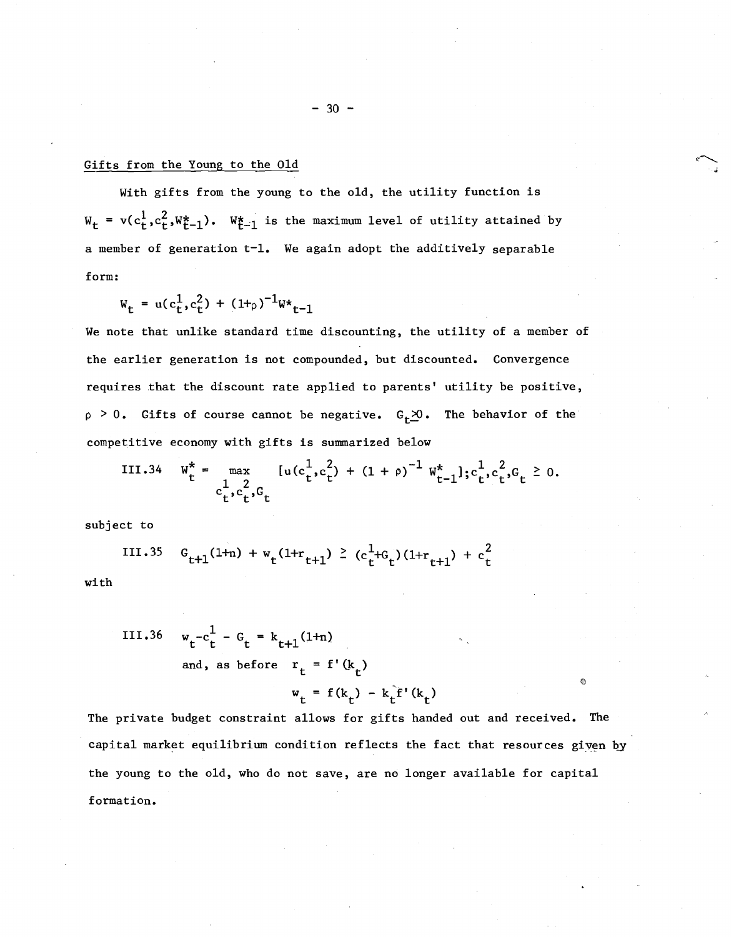# Gifts from the Young to the Old

With gifts from the young to the old, the utility function is  $W_t = v(c_t^1, c_t^2, W_{t-1}^*)$ .  $W_{t-1}^*$  is the maximum level of utility attained by a member of generation t-1. We again adopt the additively separable form:

$$
W_{t} = u(c_{t}^{1}, c_{t}^{2}) + (1 + \rho)^{-1}W_{t-1}
$$

We note that unlike standard time discounting, the utility of a member of the earlier generation is not compounded, but discounted. Convergence requires that the discount rate applied to parents' utility be positive,  $p > 0$ . Gifts of course cannot be negative.  $G_t \times 0$ . The behavior of the competitive economy with gifts is summarized below

III.34 
$$
W_t^* = \max_{\substack{c_t^1, c_t^2, c_t}} [u(c_t^1, c_t^2) + (1 + \rho)^{-1} W_{t-1}^*]
$$
;  $c_t^1, c_t^2, c_t \ge 0$ .

subject to

III.35 
$$
G_{t+1}(1+n) + w_t(1+r_{t+1}) \ge (c_t^1 + c_t)(1+r_{t+1}) + c_t^2
$$

with

III.36 
$$
w_t - c_t^1 - G_t = k_{t+1}(1+n)
$$
  
and, as before  $r_t = f'(k_t)$   
 $w_t = f(k_t) - k_t^T'(k_t)$ 

The private budget constraint allows for gifts handed out and received. The capital market equilibrium condition reflects the fact that resources given by the young to the old, who do not save, are no longer available for capital formation.

Ġ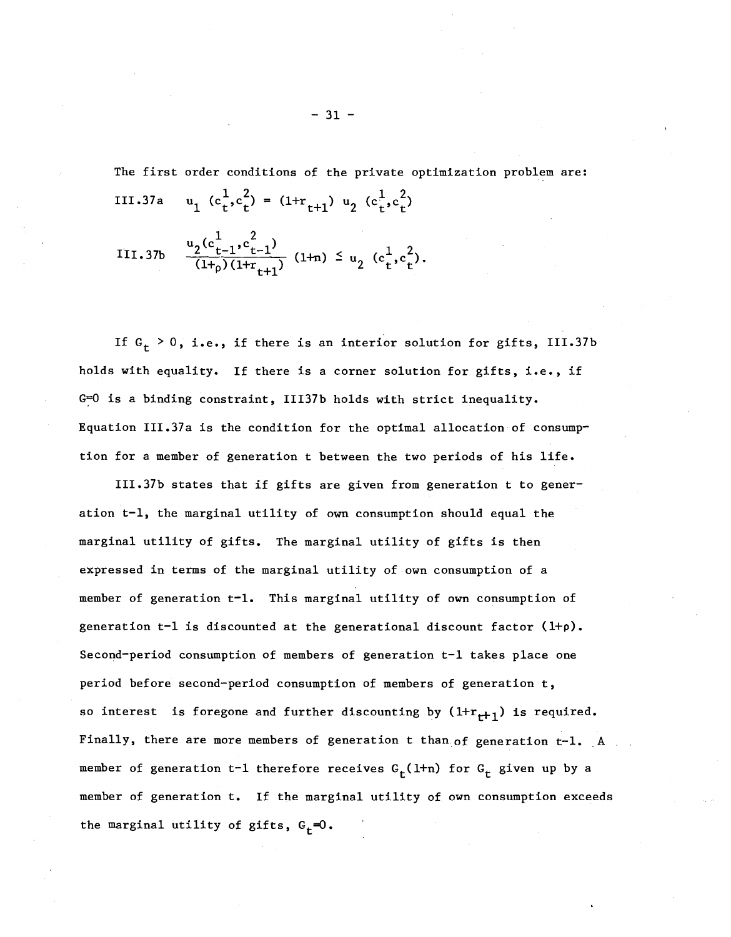The first order conditions of the private optimization problem are:

III.37a 
$$
u_1 (c_t^1, c_t^2) = (1 + r_{t+1}) u_2 (c_t^1, c_t^2)
$$
  
III.37b 
$$
\frac{u_2 (c_{t-1}^1, c_{t-1}^2)}{(1 + \rho)(1 + r_{t+1})} (1 + n) \leq u_2 (c_t^1, c_t^2).
$$

If  $G_t > 0$ , i.e., if there is an interior solution for gifts, III.37b holds with equality. If there is <sup>a</sup> corner solution for gifts, i.e., if G=O is a binding constraint, III37b holds with strict inequality. Equation III.37a is the condition for the optimal allocation of consumption for <sup>a</sup> member of generation <sup>t</sup> between the two periods of his life.

III.37b states that if gifts are given from generation <sup>t</sup> to generation t-l, the marginal utility of own consumption should equal the marginal utility of gifts. The marginal utility of gifts is then expressed in terms of the marginal utility of own consumption of a member of generation t-1. This marginal utility of own consumption of generation  $t-1$  is discounted at the generational discount factor  $(1+p)$ . Second-period consumption of members of generation t-l takes place one period before second-period consumption of members of generation t, so interest is foregone and further discounting by  $(1+r_{t+1})$  is required. Finally, there are more members of generation t than of generation  $t-1$ . A member of generation t-1 therefore receives  $G_t(1+n)$  for  $G_t$  given up by a member of generation t. If the marginal utility of own consumption exceeds the marginal utility of gifts,  $G_t=0$ .

 $-31 -$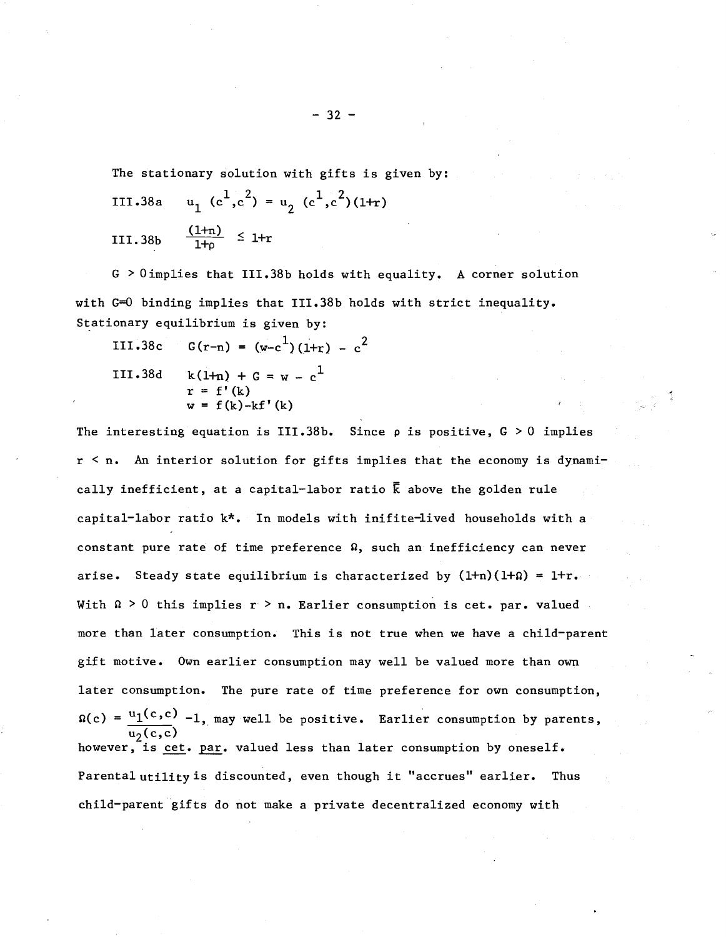The stationary solution with gifts is given by:

III.38a 
$$
u_1 (c^1, c^2) = u_2 (c^1, c^2) (1+r)
$$
  
III.38b 
$$
\frac{(1+r)}{1+r} \le 1+r
$$

G > Oimplies that III.38b holds with equality. A corner solution with G=O binding implies that III.38b holds with strict inequality. Stationary equilibrium is given by:

III.38c 
$$
G(r-n) = (w-c^1)(1+r) - c^2
$$
  
III.38d  $k(1+n) + G = w - c^1$   
 $r = f'(k)$   
 $w = f(k)-kf'(k)$ 

The interesting equation is III.38b. Since  $\rho$  is positive,  $G > 0$  implies r < n. An interior solution for gifts implies that the economy is dynamically inefficient, at a capital-labor ratio  $\overline{k}$  above the golden rule capital-labor ratio k\*. In models with inifite-lived households with a constant pure rate of time preference  $\Omega$ , such an inefficiency can never arise. Steady state equilibrium is characterized by  $(1+n)(1+\Omega) = 1+r$ . With  $\Omega > 0$  this implies r > n. Earlier consumption is cet. par. valued more than later consumption. This is not true when we have <sup>a</sup> child-parent gift motive. Own earlier consumption may well be valued more than own later consumption. The pure rate of time preference for own consumption,  $\Omega(c) = \frac{u_1(c,c)}{c}$  -1, may well be positive. Earlier consumption by parents,  $\overline{\mathsf{u}_2(\mathsf{c}, \mathsf{c})}$ however, is cet. par. valued less than later consumption by oneself. Parental utility is discounted, even though it "accrues" earlier. Thus child-parent gifts do not make a private decentralized economy with

 $-32 -$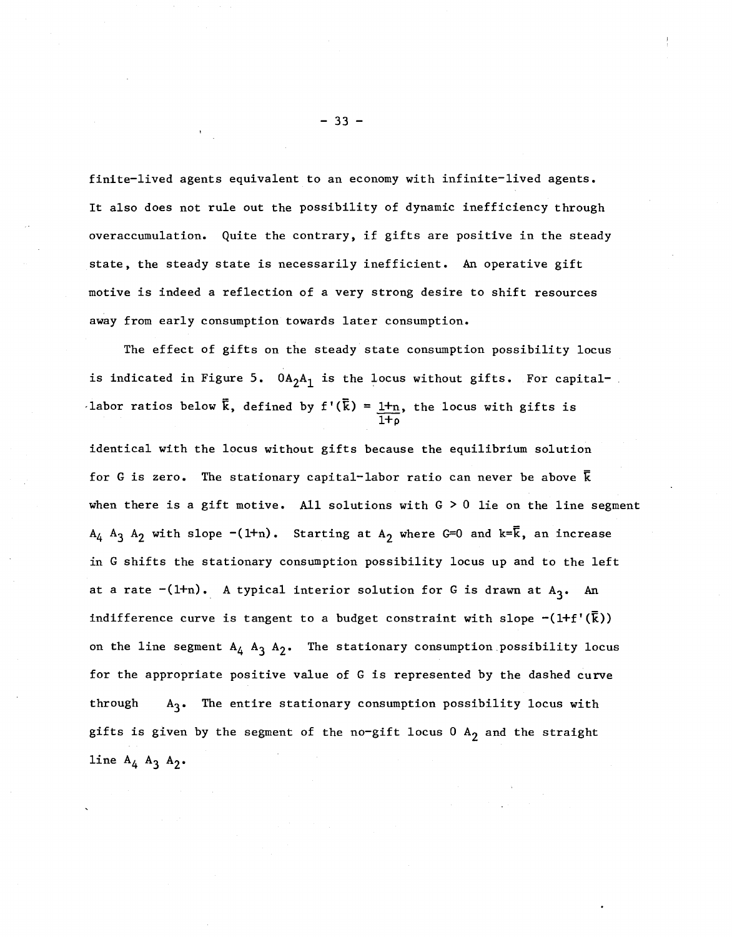finite-lived agents equivalent to an economy with infinite-lived agents. It also does not rule out the possibility of dynamic inefficiency through overaccumulation. Quite the contrary, if gifts are positive in the steady state, the steady state is necessarily inefficient. An operative gift motive is indeed a reflection of a very strong desire to shift resources away from early consumption towards later consumption.

The effect of gifts on the steady state consumption possibility locus is indicated in Figure 5.  $0A_2A_1$  is the locus without gifts. For capital-'labor ratios below  $\bar{k}$ , defined by f'( $\bar{k}$ ) = <u>1+n</u>, the locus with gifts is  $\overline{1 + \rho}$ 

identical with the locus without gifts because the equilibrium solution for G is zero. The stationary capital-labor ratio can never be above  $\bar{k}$ when there is a gift motive. All solutions with  $G > 0$  lie on the line segment  $A_4$   $A_3$   $A_2$  with slope  $-(1+n)$ . Starting at  $A_2$  where G=0 and k= $\overline{k}$ , an increase in G shifts the stationary consumption possibility locus up and to the left at a rate  $-(1+n)$ . A typical interior solution for G is drawn at  $A_3$ . An indifference curve is tangent to a budget constraint with slope  $\neg(\text{ltf'}(\overline{k}))$ on the line segment  $A_4$   $A_3$   $A_2$ . The stationary consumption possibility locus for the appropriate positive value of G is represented by the dashed curve through  $A_3$ . The entire stationary consumption possibility locus with gifts is given by the segment of the no-gift locus  $0$  A<sub>2</sub> and the straight line  $A_4$   $A_3$   $A_2$ .

 $- 33 -$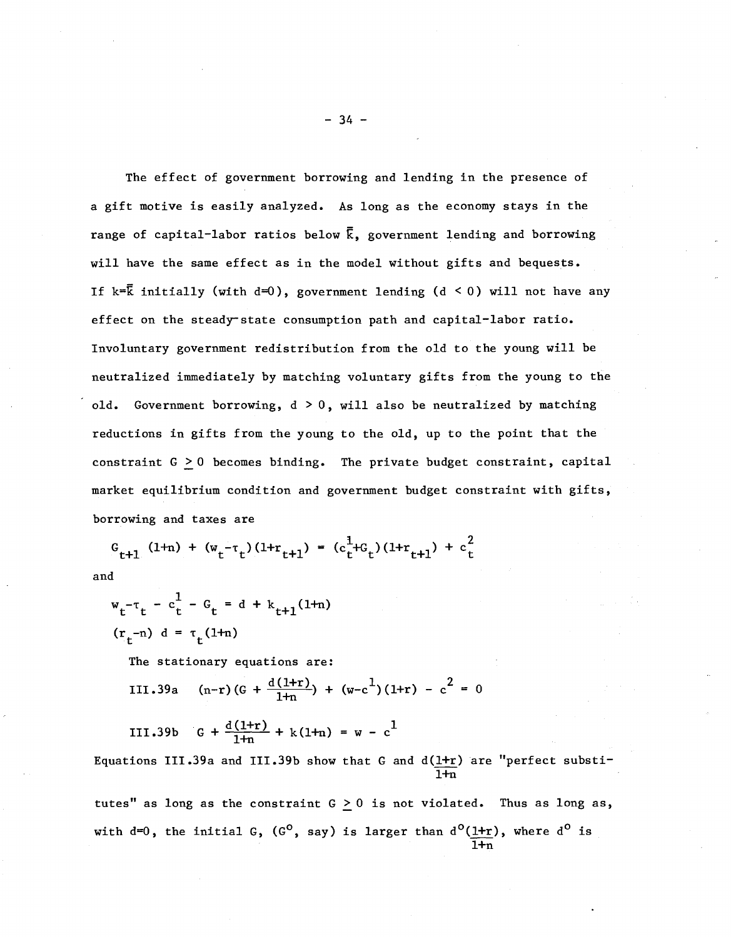The effect of government borrowing and lending in the presence of a gift motive is easily analyzed. As long as the economy stays in the range of capital-labor ratios below  $\bar{k}$ , government lending and borrowing will have the same effect as in the model without gifts and bequests. If  $k=\bar{k}$  initially (with  $d=0$ ), government lending (d < 0) will not have any effect on the steady-state consumption path and capital-labor ratio. Involuntary government redistribution from the old to the young will be neutralized immediately by matching voluntary gifts from the young to the old. Government borrowing,  $d > 0$ , will also be neutralized by matching reductions in gifts from the young to the old, up to the point that the constraint  $G \geq 0$  becomes binding. The private budget constraint, capital market equilibrium condition and government budget constraint with gifts, borrowing and taxes are

$$
G_{t+1} (1+n) + (w_t - \tau_t) (1+r_{t+1}) = (c_t^1 + c_t) (1+r_{t+1}) + c_t^2
$$

and

$$
w_t - \tau_t - c_t^1 - C_t = d + k_{t+1}(1+n)
$$
  
( $r_t$ -n)  $d = \tau_t(1+n)$ 

The stationary equations are:

III.39a  $(n-r)(G + \frac{d(1+r)}{1+r}) + (w-c^1)(1+r) - c^2 = 0$ 

III.39b 
$$
G + \frac{d(1+r)}{1+n} + k(1+n) = w - c^1
$$

Equations III.39a and III.39b show that G and  $d(l+r)$  are "perfect substi- $1+n$ 

tutes" as long as the constraint  $G \ge 0$  is not violated. Thus as long as, with d=0, the initial G, (G<sup>o</sup>, say) is larger than  $\rm{d}^{\rm{O}}(\underline{1+r})$ , where  $\rm{d}^{\rm{O}}$  is  $\overline{1+n}$ 

 $-34 -$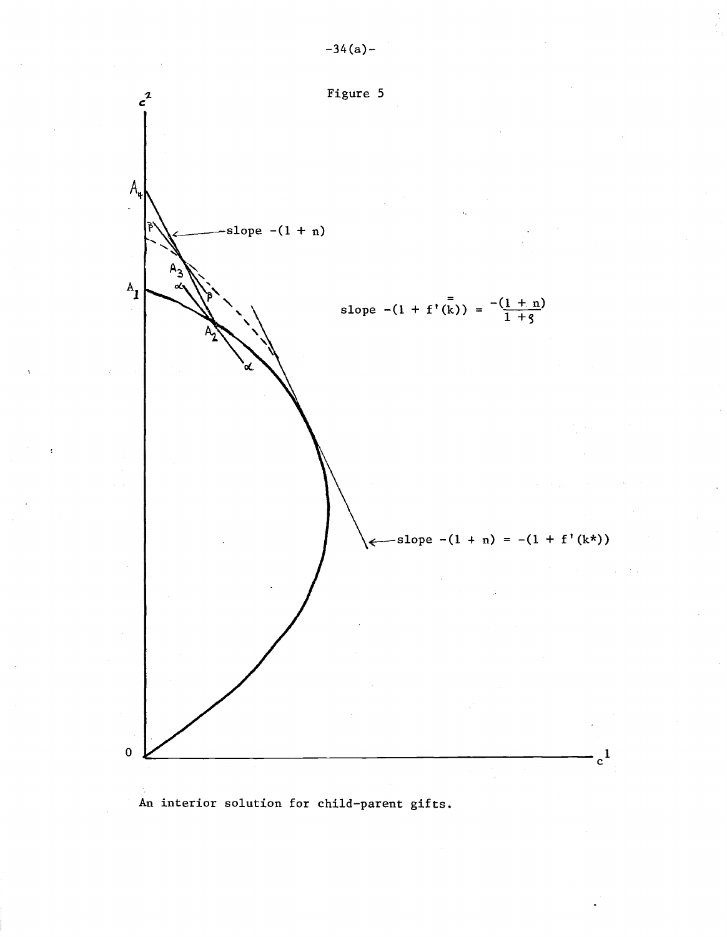

An interior solution for child-parent gifts.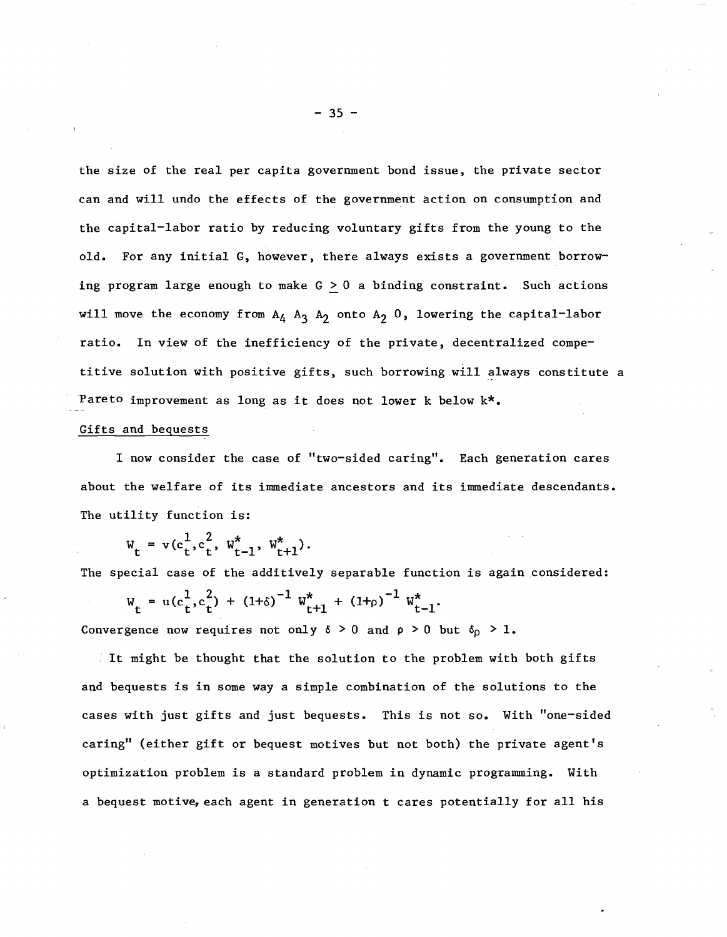the size of the real per capita government bond issue, the private sector can and will undo the effects of the government action on consumption and the capital-labor ratio by reducing voluntary gifts from the young to the old. For any initial G, however, there always exists a government borrowing program large enough to make  $G \ge 0$  a binding constraint. Such actions will move the economy from  $A_4$   $A_3$   $A_2$  onto  $A_2$  0, lowering the capital-labor ratio. In view of the inefficiency of the private, decentralized competitive solution with positive gifts, such borrowing will always constitute a Pareto improvement as long as it does not lower <sup>k</sup> below k\*.

#### Gifts and bequests

I now consider the case of "two-sided caring". Each generation cares about the welfare of its immediate ancestors and its immediate descendants. The utility function is:

$$
W_t = v(c_t^1, c_t^2, W_{t-1}^*, W_{t+1}^*).
$$

The special case of the additively separable function is again considered:

$$
W_t = u(c_t^1, c_t^2) + (1+\delta)^{-1} W_{t+1}^* + (1+\rho)^{-1} W_{t-1}^*.
$$

Convergence now requires not only  $\delta > 0$  and  $\rho > 0$  but  $\delta_{\rho} > 1$ .

It might be thought that the solution to the problem with both gifts and bequests is in some way a simple combination of the solutions to the cases with just gifts and just bequests. This is not so. With "one-sided caring" (either gift or bequest motives but not both) the private agent's optimization problem is a standard problem in dynamic programming. With a bequest motive, each agent in generation t cares potentially for all his

$$
-35-
$$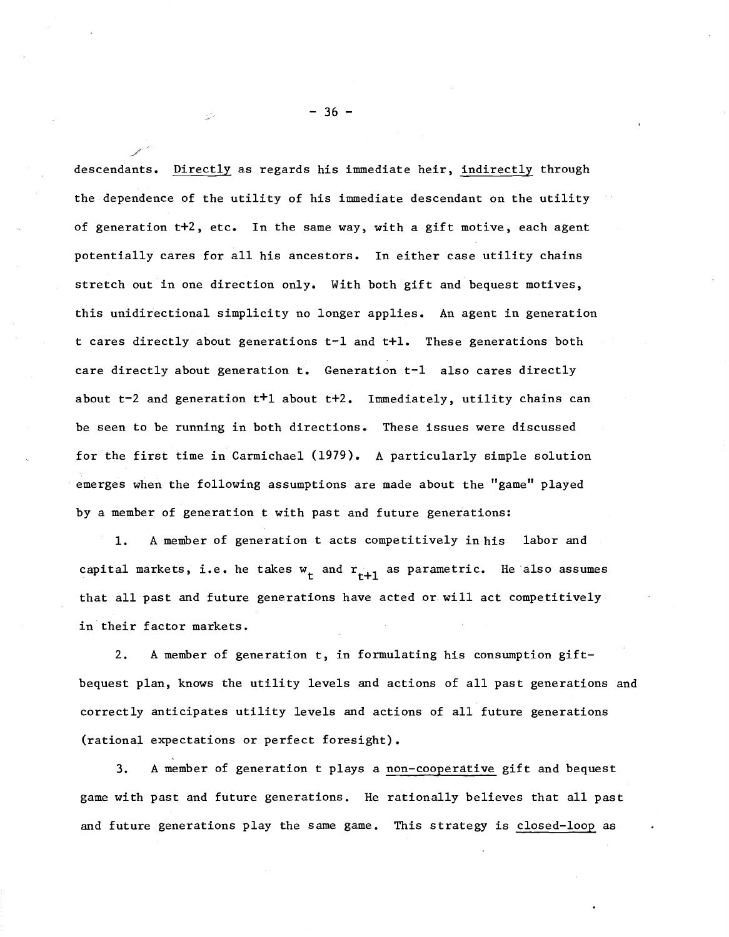descendants. Directly as regards his immediate heir, indirectly through the dependence of the utility of his immediate descendant on the utility of generation t+2, etc. In the same way, with a gift motive, each agent potentially cares for all his ancestors. In either case utility chains stretch out in one direction only. With both gift and bequest motives, this unidirectional simplicity no longer applies. An agent in generation t cares directly about generations t-1 and t+1. These generations both care directly about generation t. Generation t-1 also cares directly about t-2 and generation t+1 about t+2. Immediately, utility chains can be seen to be running in both directions. These issues were discussed for the first time in Carmichael (1979). A particularly simple solution emerges when the following assumptions are made about the "game" played by a member of generation t with past and future generations:

1. A member of generation t acts competitively in his labor and capital markets, i.e. he takes  $\mathbf{w}_{\mathbf{t}}$  and  $\mathbf{r}_{\mathbf{t+1}}$  as parametric. He also assumes that all past and future generations have acted or will act competitively in their factor markets.

2. <sup>A</sup> member of generation t, in formulating his consumption giftbequest plan, knows the utility levels and actions of all past generations and correctly anticipates utility levels and actions of all future generations (rational expectations or perfect foresight).

3. A member of generation t plays a non-cooperative gift and bequest game with past and future generations. He rationally believes that all past and future generations play the same game. This strategy is closed-loop as

 $-36 -$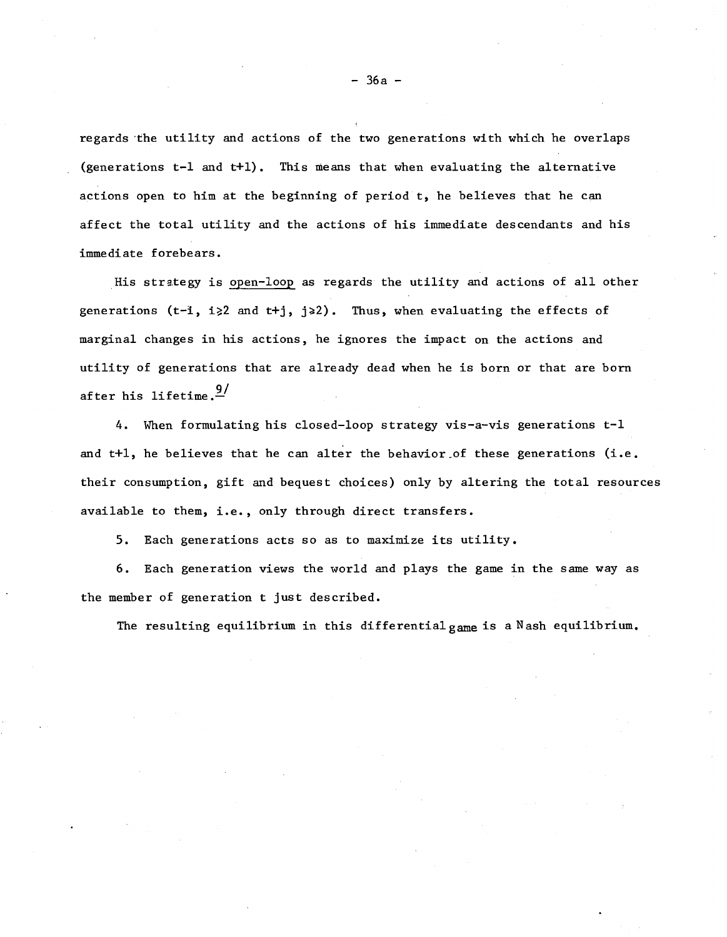regards "the utility and actions of the two generations with which he overlaps (generations t-1 and t+1). This means that when evaluating the alternative actions open to him at the beginning of period t, he believes that he can affect the total utility and the actions of his immediate descendants and his immediate forebears.

His strategy is open-loop as regards the utility and actions of all other generations (t-i, i>2 and t+j, j>2). Thus, when evaluating the effects of marginal changes in his actions, he ignores the impact on the actions and utility of generations that are already dead when he is born or that are born after his lifetime.  $\frac{9}{2}$ 

4. When formulating his closed-loop strategy vis-a-vis generations t-1 and t+1, he believes that he can alter the behavior of these generations (i.e. their consumption, gift and bequest choices) only by altering the total resources available to them, i.e., only through direct transfers.

5. Each generations acts so as to maximize its utility.

6. Each generation views the world and plays the game in the same way as the member of generation t just described.

The resulting equilibrium in this differential game is a Nash equilibrium.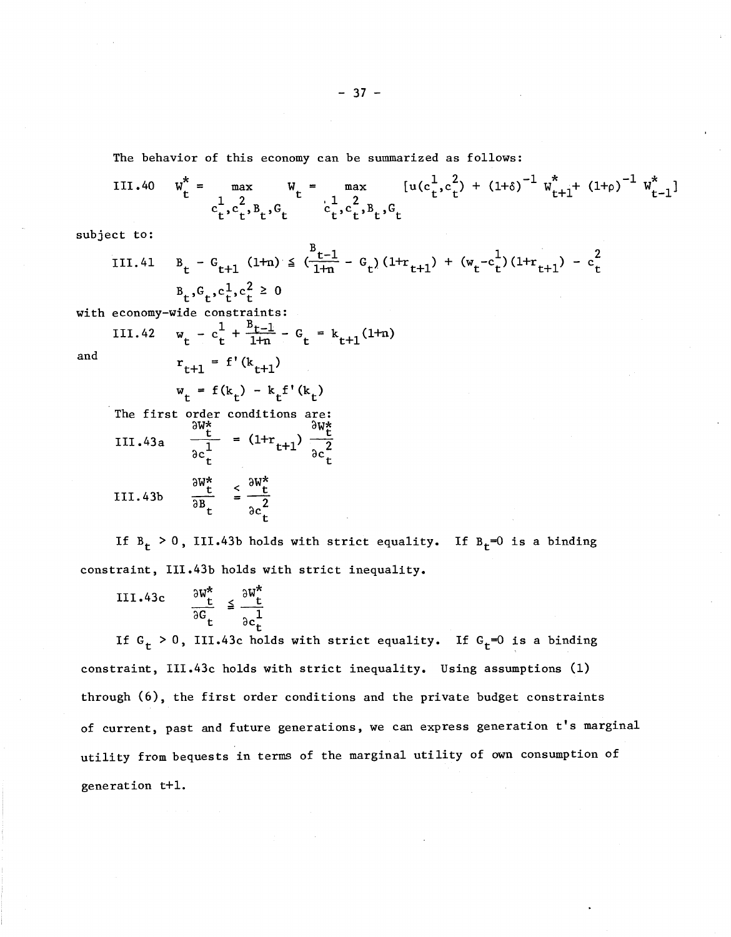The behavior of this economy can be summarized as follows:

111.40  $W_t^* = \max_{1 \leq 2} W_t = \max_{1 \leq 2} [u(c_t^1, c_t^2)]$  $1 \t 2 \t t^3$  $c_t^{\dagger},c_t^{\dagger},B_t^{\dagger},G_t^{\dagger}$ 

subject to:

III.41 
$$
B_t - G_{t+1} (1+n) \leq (\frac{B_{t-1}}{1+n} - G_t) (1+r_{t+1}) + (w_t - c_t^1) (1+r_{t+1}) - c_t^2
$$
  
 $B_t, G_t, c_t^1, c_t^2 \geq 0$ 

with economy-wide constraints:

III.42 
$$
w_t - c_t^1 + \frac{B_t - 1}{1 + n} - G_t = k_{t+1}(1 + n)
$$
  
 $r_{t+1} = f'(k_{t+1})$ 

and

$$
w_t = f(k_t) - k_t f'(k_t)
$$

The first II1.43a order ow\*<sup>t</sup> conditions are: aw≰ =  $(1+r_{t+1}) \frac{\partial W_t^*}{\partial c_t^2}$ 

$$
F = \frac{\partial W_t^*}{\partial B_t} \quad \frac{dW_t^*}{dt} \leq \frac{\partial W_t^*}{\partial C_t}
$$

If  $B_t > 0$ , III.43b holds with strict equality. If  $B_t = 0$  is a binding constraint, III.43b holds with strict inequality.

$$
\text{III.43c} \qquad \frac{\partial w_t^*}{\partial G_t} \le \frac{\partial w_t^*}{\partial c_t^1}
$$

If  $G_t > 0$ , III.43c holds with strict equality. If  $G_t = 0$  is a binding constraint, III.43c holds with strict inequality. Using assumptions (1) through (6), the first order conditions and the private budget constraints of current, past and future generations, we can express generation t's marginal utility from bequests in terms of the marginal utility of own consumption of generation t+l.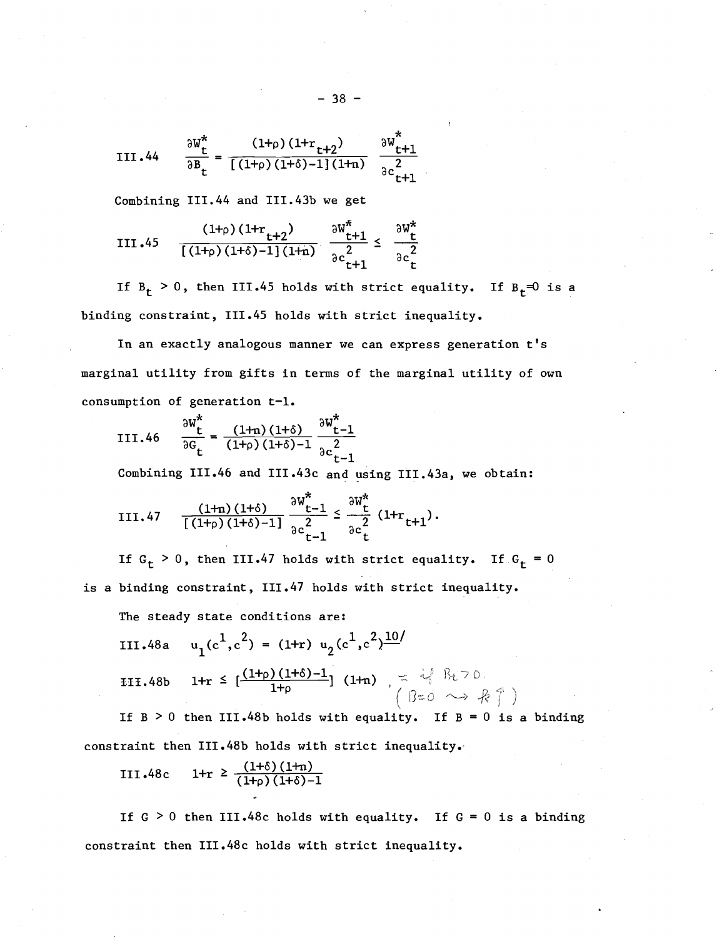III.44 
$$
\frac{\partial W_{t}^{*}}{\partial B_{t}} = \frac{(1+\rho)(1+r_{t+2})}{[(1+\rho)(1+\delta)-1](1+n)} \frac{\partial W_{t+1}^{*}}{\partial c_{t+1}^{2}}
$$

Combining 111.44 and III.43b we get

III.45 
$$
\frac{(1+_{\rho})(1+r_{t+2})}{[(1+_{\rho})(1+\delta)-1](1+n)} \frac{\partial W_{t+1}^{*}}{\partial c_{t+1}^{2}} \leq \frac{\partial W_{t}^{*}}{\partial c_{t}^{2}}
$$

If  $B_t > 0$ , then III.45 holds with strict equality. If  $B_t = 0$  is a binding constraint, 111.45 holds with strict inequality.

In an exactly analogous manner we can express generation  $t's$ marginal utility from gifts in terms of the marginal utility of own consumption of generation t-1.

III.46 
$$
\frac{\partial W_{t}^{*}}{\partial G_{t}} = \frac{(1+n)(1+\delta)}{(1+\rho)(1+\delta)-1} \frac{\partial W_{t-1}^{*}}{\partial c_{t-1}^{2}}
$$

Combining III.46 and III.43c and using III.43a, we obtain:

III.47 
$$
\frac{(1+n)(1+\delta)}{[(1+\rho)(1+\delta)-1]} \frac{\partial w_{t-1}^*}{\partial c_{t-1}^2} \leq \frac{\partial w_t^*}{\partial c_t^2} (1+r_{t+1}).
$$

If  $G_t > 0$ , then III.47 holds with strict equality. If  $G_t = 0$ is a binding constraint, 111.47 holds with strict inequality.

The steady state conditions are:

III.48a 
$$
u_1(c^1, c^2) = (1+r) u_2(c^1, c^2) \frac{10}{}
$$
  
III.48b  $1+r \leq \left[ \frac{(1+p)(1+\delta)-1}{1+p} \right] (1+n) \quad \text{if } \beta \neq 0$ 

If  $B > 0$  then III.48b holds with equality. If  $B = 0$  is a binding constraint then III.48b holds with strict inequality.

III.48c 1+r 
$$
\geq \frac{(1+\delta)(1+n)}{(1+\rho)(1+\delta)-1}
$$

If  $G > 0$  then III.48c holds with equality. If  $G = 0$  is a binding constraint then III.48c holds with strict inequality.

$$
-38 -
$$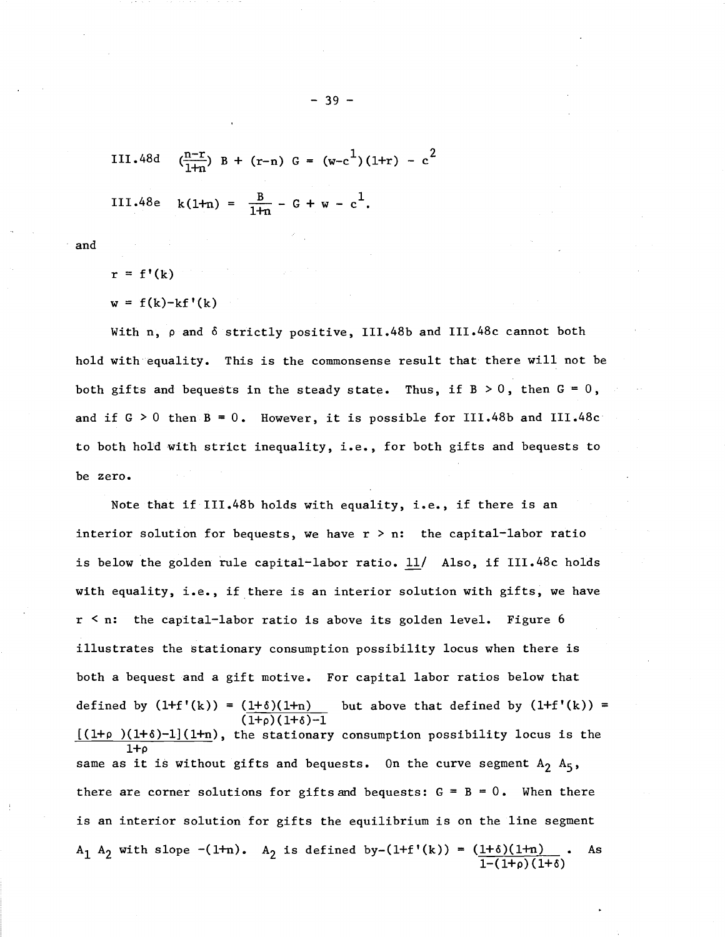III.48d 
$$
(\frac{n-r}{1+n}) B + (r-n) G = (w-c^1)(1+r) - c^2
$$
  
III.48e  $k(1+n) = \frac{B}{1+n} - G + w - c^1$ .

and

 $r = f'(k)$  $w = f(k)-kf'(k)$ 

With n,  $\rho$  and  $\delta$  strictly positive, III.48b and III.48c cannot both hold with equality. This is the commonsense result that there will not be both gifts and bequests in the steady state. Thus, if  $B > 0$ , then  $G = 0$ , and if  $G > 0$  then  $B = 0$ . However, it is possible for III.48b and III.48c to both hold with strict inequality, i.e., for both gifts and bequests to be zero.

Note that if III.48b holds with equality, i.e., if there is an interior solution for bequests, we have  $r > n$ : the capital-labor ratio is below the golden rule capital-labor ratio. 11/ Also, if III.48c holds with equality, i.e., if there is an interior solution with gifts, we have  $r < n$ : the capital-labor ratio is above its golden level. Figure 6 illustrates the stationary consumption possibility locus when there is both a bequest and a gift motive. For capital labor ratios below that defined by  $(1+f'(k)) = (1+\delta)(1+n)$  but above that defined by  $(1+f'(k)) =$  $(1+0)(1+8)-1$  $[(1+p)(1+\delta)-1](1+n)$ , the stationary consumption possibility locus is the  $1+o$ same as it is without gifts and bequests. On the curve segment  $A_2$   $A_5$ , there are corner solutions for gifts and bequests:  $G = B = 0$ . When there is an interior solution for gifts the equilibrium is on the line segment A<sub>1</sub> A<sub>2</sub> with slope  $-(1+n)$ . A<sub>2</sub> is defined by- $(1+f'(k)) = (\underline{1+ \delta)(1+n)}$  $1-(1+\rho)(1+\delta)$ As

- 39 -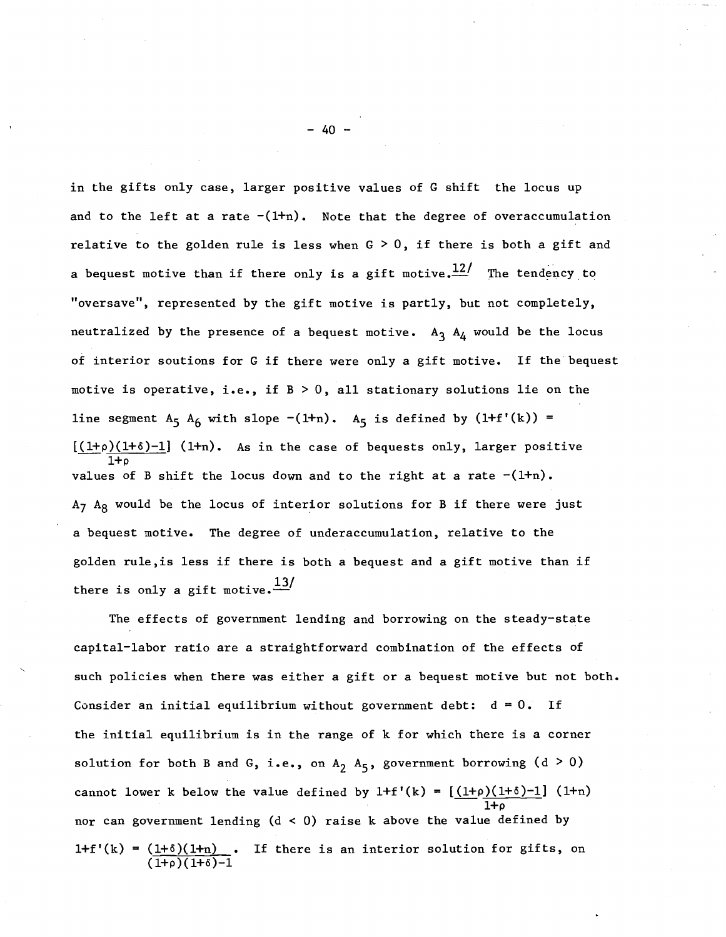in the gifts only case, larger positive values of G shift the locus up and to the left at a rate  $-(1+n)$ . Note that the degree of overaccumulation relative to the golden rule is less when  $G > 0$ , if there is both a gift and a bequest motive than if there only is a gift motive.  $12/$  The tendency to "oversave", represented by the gift motive is partly, but not completely, neutralized by the presence of a bequest motive.  $A_3$   $A_4$  would be the locus of interior soutions for <sup>G</sup> if there were only <sup>a</sup> gift motive. If the bequest motive is operative, i.e., if  $B > 0$ , all stationary solutions lie on the line segment  $A_5$   $A_6$  with slope  $-(1+n)$ .  $A_5$  is defined by  $(1+f'(k))$  =  $[(1+\rho)(1+\delta)-1]$  (1+n). As in the case of bequests only, larger positive  $1 + c$ values of B shift the locus down and to the right at a rate  $-(1+n)$ .  $A_7$   $A_8$  would be the locus of interior solutions for B if there were just a bequest motive. The degree of underaccumu1ation, relative to the golden ru1e,is less if there is both <sup>a</sup> bequest and <sup>a</sup> gift motive than if there is only a gift motive.  $\frac{13}{ }$ 

The effects of government lending and borrowing on the steady-state capital-labor ratio are a straightforward combination of the effects of such policies when there was either a gift or a bequest motive but not both. Consider an initial equilibrium without government debt:  $d = 0$ . If the initial equilibrium is in the range of k for which there is a corner solution for both B and G, i.e., on  $A_2$   $A_5$ , government borrowing (d > 0) cannot lower k below the value defined by  $1+f'(k) = \left[\frac{(1+\rho)(1+\delta)-1}{1+\rho}\right]$  (1+n)  $1 + o$ nor can government lending  $(d < 0)$  raise k above the value defined by  $1+f'(k) = (1+\delta)(1+n)$  $(\overline{1}+\rho)(1+\delta)-1$ If there is an interior solution for gifts, on

 $- 40 -$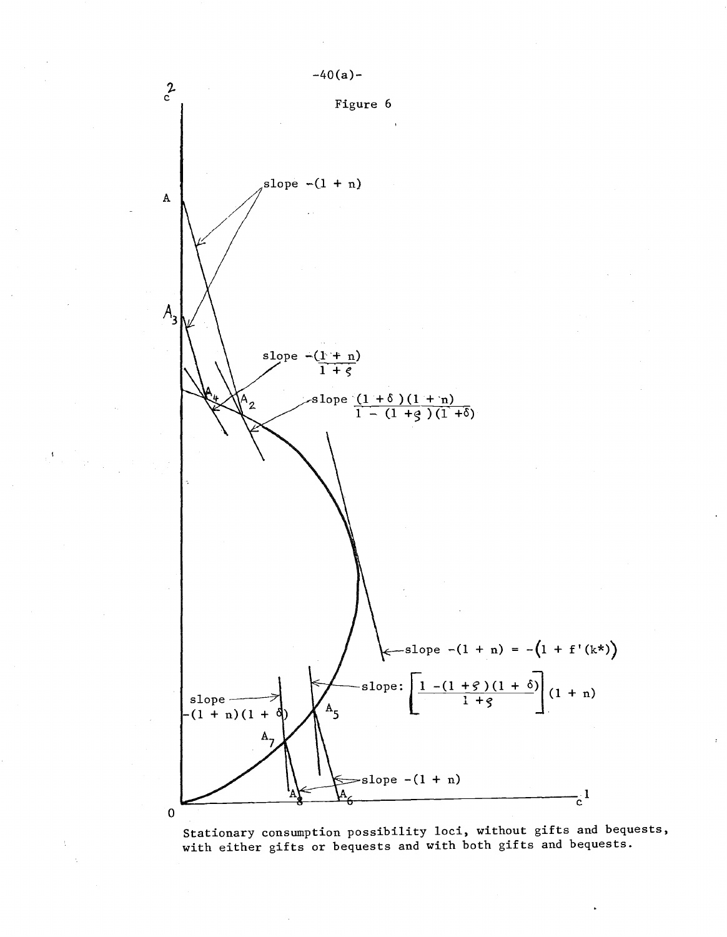

Stationary consumption possibility loci, without gifts and bequests, with either gifts or bequests and with both gifts and bequests.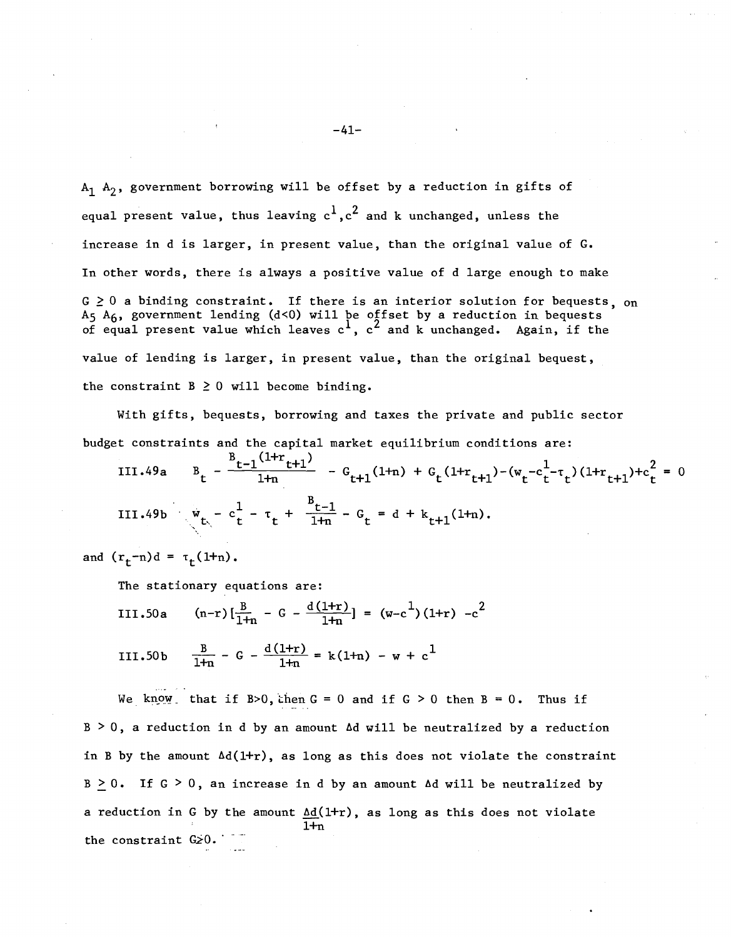$A_1$   $A_2$ , government borrowing will be offset by a reduction in gifts of equal present value, thus leaving  $c^1$ ,  $c^2$  and k unchanged, unless the increase in d is larger, in present value, than the original value of G. In other words, there is always a positive value of d large enough to make  $G \geq 0$  a binding constraint. If there is an interior solution for bequests, on  $A_5$   $A_6$ , government lending (d<0) will be offset by a reduction in bequests of equal present value which leaves  $c^1$ ,  $c^2$  and k unchanged. Again, if the value of lending is larger, in present value, than the original bequest, the constraint  $B \ge 0$  will become binding.

With gifts, bequests, borrowing and taxes the private and public sector budget constraints and the capital market equilibrium conditions are:

III.49a 
$$
B_t - \frac{B_{t-1}(1+r_{t+1})}{1+r} - G_{t+1}(1+r) + G_t(1+r_{t+1}) - (w_t - c_t^1 - \tau_t)(1+r_{t+1}) + c_t^2 = 0
$$
  
III.49b  $w_{t} - c_t^1 - \tau_t + \frac{B_{t-1}}{1+r} - G_t = d + k_{t+1}(1+r)$ .

and  $(r_f - n)d = \tau_f(1 + n)$ .

The stationary equations are:

III.50a (n-r)
$$
\left[\frac{B}{1+n} - G - \frac{d(1+r)}{1+n}\right] = (w-c^1)(1+r) -c^2
$$
  
III.50b  $\frac{B}{1+n} - G - \frac{d(1+r)}{1+n} = k(1+n) - w + c^1$ 

We know that if B>0, then  $G = 0$  and if  $G > 0$  then  $B = 0$ . Thus if  $B > 0$ , a reduction in d by an amount  $\Delta d$  will be neutralized by a reduction in B by the amount  $\Delta d(1+r)$ , as long as this does not violate the constraint  $B > 0$ . If  $G > 0$ , an increase in d by an amount  $\Delta d$  will be neutralized by a reduction in G by the amount  $\Delta d(1+r)$ , as long as this does not violate  $1+n$ the constraint  $G_{2}0$ .

 $-41-$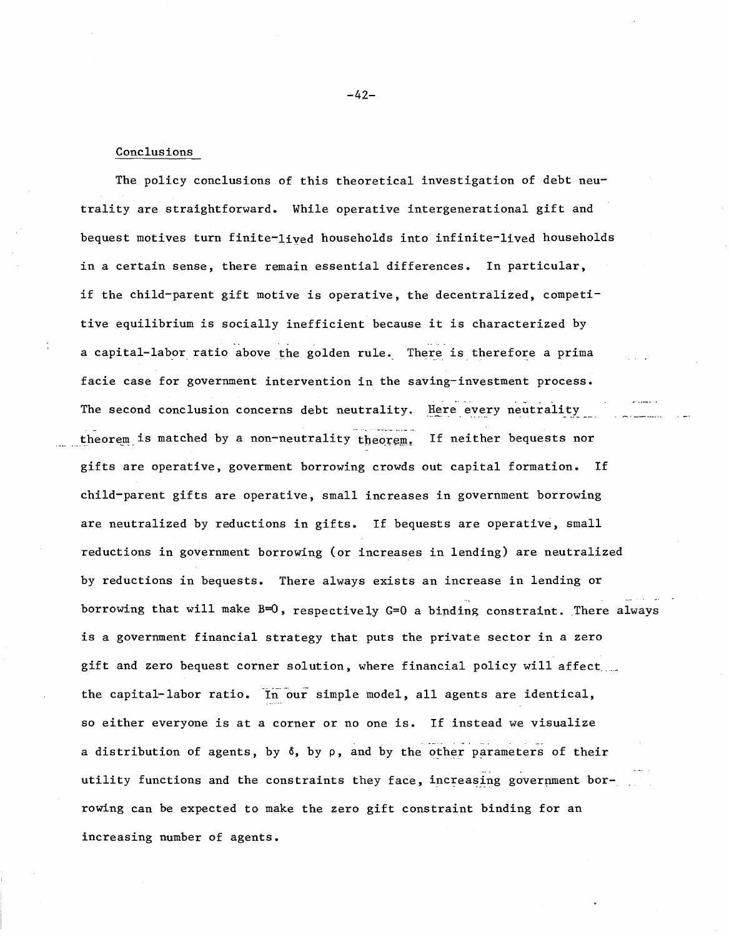#### Conclusions

The policy conclusions of this theoretical investigation of debt neutrality are straightforward. While operative intergenerational gift and bequest motives turn finite-lived households into infinite-lived households in a certain sense, there remain essential differences. In particular, if the child-parent gift motive is operative, the decentralized, competitive equilibrium is socially inefficient because it is characterized by a capital-labor ratio above the golden rule. There is therefore a prima facie case for government intervention in the saving-investment process • The second conclusion concerns debt neutrality. Here every neutrality theorem is matched by a non-neutrality theorem. If neither bequests nor gifts are operative, goverment borrowing crowds out capital formation. If child-parent gifts are operative, small increases in government borrowing are neutralized by reductions in gifts. If bequests are operative, small reductions in government borrowing (or increases in lending) are neutralized by reductions in bequests. There always exists an increase in lending or borrowing that will make B=O, respectively G=O a binding constraint. There always is <sup>a</sup> government financial strategy that puts the private sector in <sup>a</sup> zero gift and zero bequest corner solution, where financial policy will affect. the capital-labor ratio. In our simple model, all agents are identical, so either everyone is at <sup>a</sup> corner or no one is. If instead we visualize ... a distribution of agents, by  $\delta$ , by  $\rho$ , and by the other parameters of their utility functions and the constraints they face, increasing government borrowing can be expected to make the zero gift constraint binding for an increasing number of agents.

 $-42-$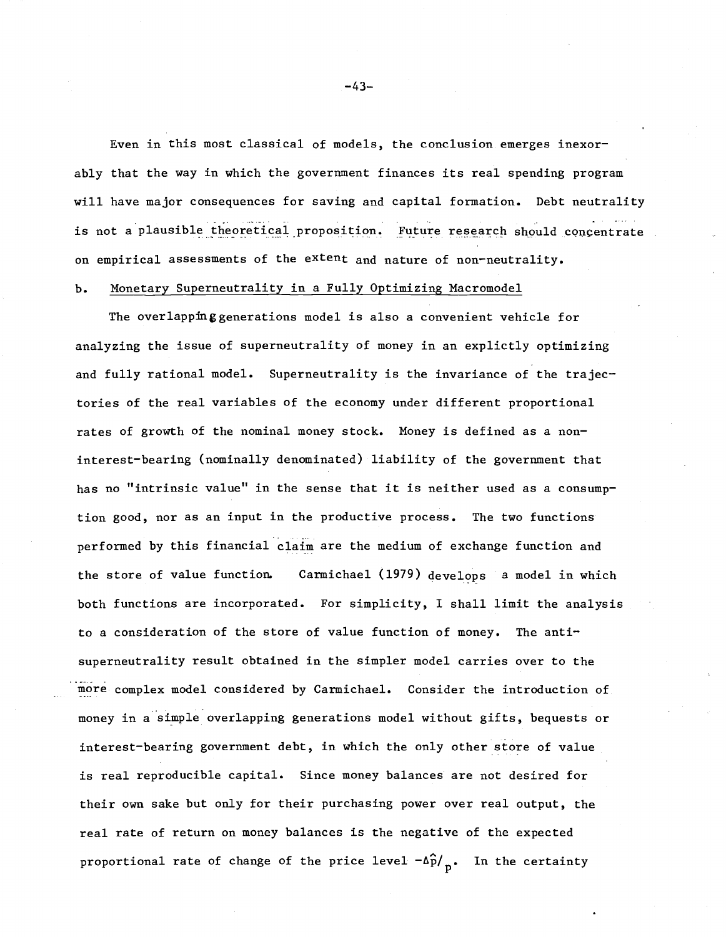Even in this most classical of models, the conclusion emerges inexorably that the way in which the government finances its real spending program will have major consequences for saving and capital formation. Debt neutrality is not a plausible theoretical proposition. Future research should concentrate on empirical assessments of the extent and nature of non-neutrality.

# **b.** Monetary Superneutrality in a Fully Optimizing Macromodel

The overlapping generations model is also a convenient vehicle for analyzing the issue of superneutrality of money in an explictly optimizing and fully rational model. Superneutrality is the invariance of the trajectories of the real variables of the economy under different proportional rates of growth of the nominal money stock. Money is defined as <sup>a</sup> noninterest-bearing (nominally denominated) liability of the government that has no "intrinsic value" in the sense that it is neither used as <sup>a</sup> consumption good, nor as an input in the productive process. The two functions performed by this financial claim are the medium of exchange function and the store of value function. Carmichael (1979) develops a model in which both functions are incorporated. For simplicity, I shall limit the analysis to a consideration of the store of value function of money. The antisuperneutrality result obtained in the simpler model carries over to the more complex model considered by Carmichael. Consider the introduction of money in a simple overlapping generations model without gifts, bequests or interest-bearing government debt, in which the only other store of value is real reproducible capital. Since money balances are not desired for their own sake but only for their purchasing power over real output, the real rate of return on money balances is the negative of the expected proportional rate of change of the price level  $-\Delta \hat{p}/p$ . In the certainty

-43-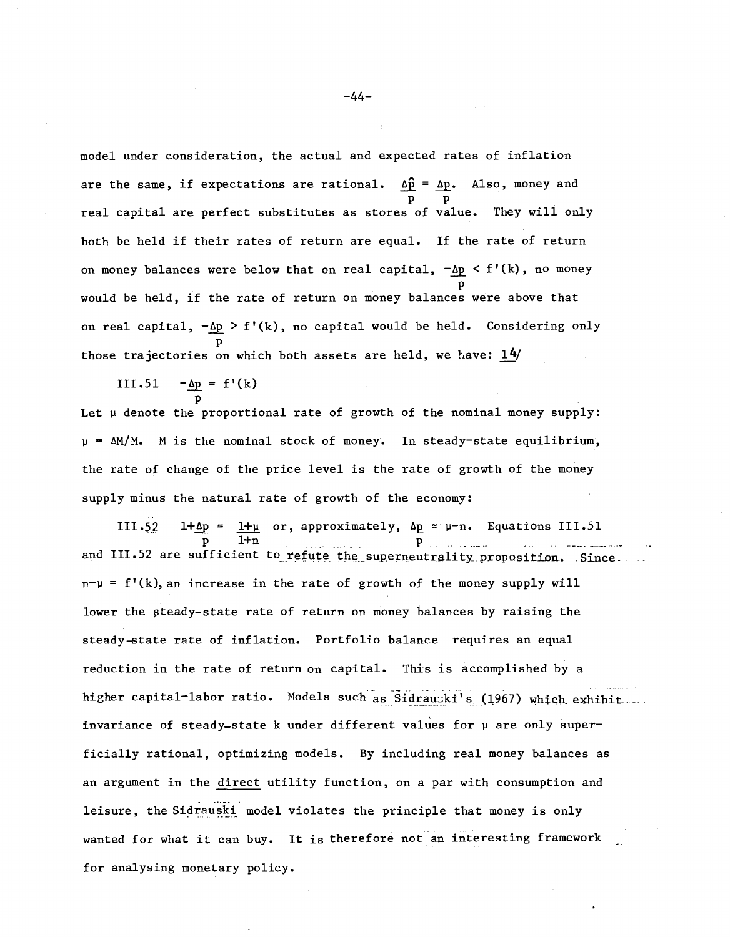model under consideration, the actual and expected rates of inflation are the same, if expectations are rational.  $\Delta \hat{p} = \Delta p$ . Also, money and p p real capital are perfect substitutes as stores of value. They will only both be held if their rates of return are equal. If the rate of return on money balances were below that on real capital,  $-\Delta p < f'(k)$ , no money p would be held, if the rate of return on money balances were above that on real capital,  $-\Delta p > f'(k)$ , no capital would be held. Considering only p those trajectories on which both assets are held, we have:  $14/$ 

III.51 
$$
-\underline{\Delta p} = f'(k)
$$

p Let  $\mu$  denote the proportional rate of growth of the nominal money supply:  $\mu = \Delta M/M$ . M is the nominal stock of money. In steady-state equilibrium, the rate of change of the price level is the rate of growth of the money supply minus the natural rate of growth of the economy:

III.52 1+ $\Delta p = 1+\mu$  or, approximately,  $\Delta p = \mu - n$ . Equations III.51 p l+n . \_..\_ ...... \_. p . .. \_. \_ and III.52 are sufficient to refute the superneutrality proposition. Since.  $n-\mu = f'(k)$ , an increase in the rate of growth of the money supply will lower the steady-state rate of return on money balances by raising the steady-state rate of inflation. Portfolio balance requires an equal reduction in the rate of return on capital. This is accomplished by a higher capital-labor ratio. Models such as Sidraucki's (1967) which exhibit... invariance of steady-state k under different values for  $\mu$  are only superficia11y rational, optimizing models. By including real money balances as an argument in the direct utility function, on a par with consumption and leisure, the Sidrauski model violates the principle that money is only wanted for what it can buy. It is therefore not an interesting framework for analysing monetary policy.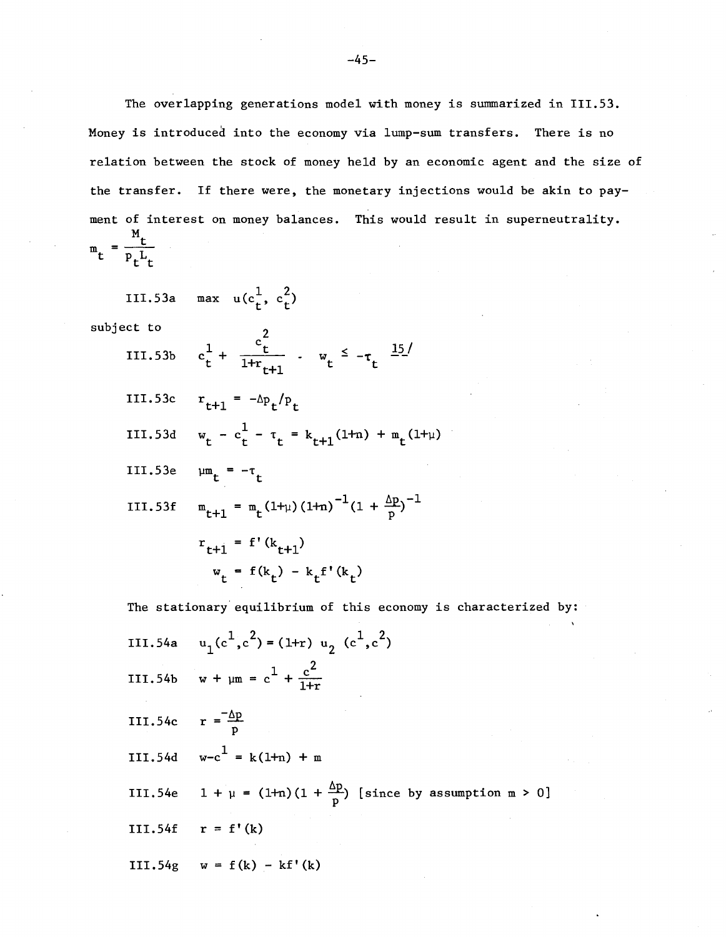The overlapping generations model with money is summarized in 111.53. Money is introduced into the economy via lump-sum transfers. There is no relation between the stock of money held by an economic agent and the size of the transfer. If there were, the monetary injections would be akin to payment of interest on money balances. This would result in superneutrality. M t  $m_t$  –  $\overline{p}_t L_t$ 

III.53a max  $u(c_t^1, c_t^2)$ 

subject to 2

- III.53b  $c_t^1 + \frac{c_t^2}{1 + r_{t+1}}$   $\cdot$   $w_t^2 \tau_t^2 \frac{15}{r_{t+1}}$
- III.53c  $r_{t+1} = -\Delta p_t / p_t$
- III.53d  $w_t c_t^1 \tau_t = k_{t+1}(1+n) + m_t(1+\mu)$
- III.53e  $\mu$ m<sub>t</sub> =  $-\tau$ <sub>t</sub>
- III.53f  $m_{r+1} = m_r(1+\mu)(1+n)^{-1}(1 + \frac{\Delta p}{n})^{-1}$

$$
r_{t+1} = f'(k_{t+1})
$$
  
 $w_t = f(k_t) - k_t f'(k_t)$ 

The stationary equilibrium of this economy is characterized by:

III.54a III.54b  $w + \mu m = c^{\frac{1}{2}} + \frac{c^2}{1+r^2}$ III.54c  $r = \frac{-\Delta p}{p}$  $III.54d \t w-c^1 = k(1+n) + m$ III.54e  $1 + \mu = (1+n)(1 + \frac{\Delta p}{p})$  [since by assumption m > 0] III.54f  $r = f'(k)$  $u_1(c^1, c^2) = (1+r) u_2(c^1, c^2)$  $w + \mu m = c^{2} + \frac{c}{1+r}$ P  $III.54g \t w = f(k) - kf'(k)$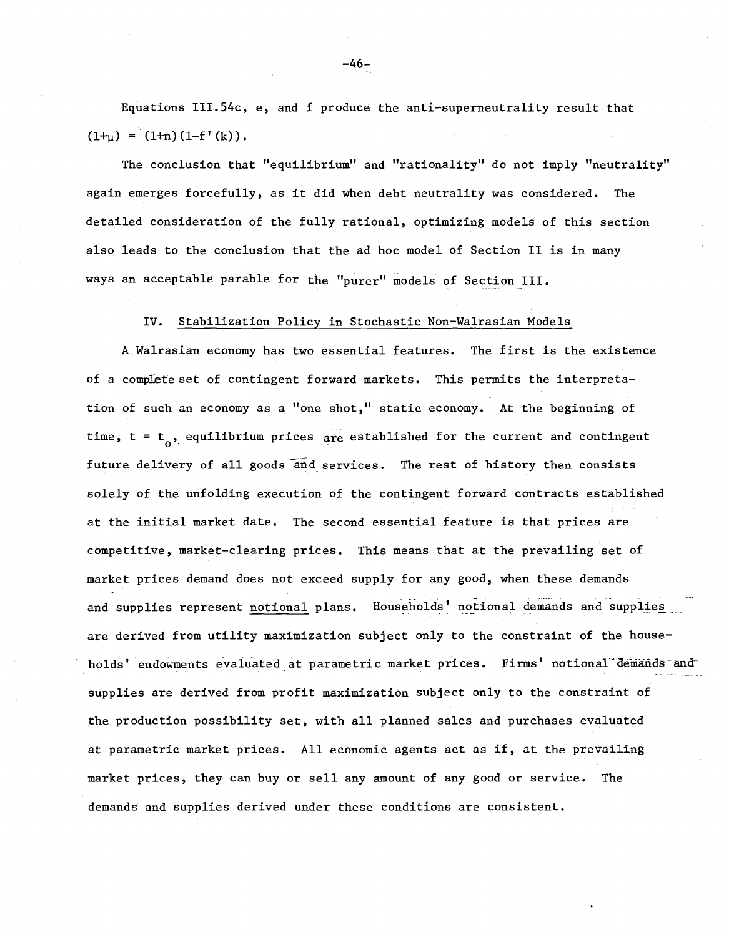Equations III.54c, e, and f produce the anti-superneutrality result that  $(1+<sub>u</sub>) = (1+<sub>n</sub>) (1-f'(k)).$ 

The conclusion that "equilibrium" and "rationality" do not imply "neutrality" again emerges forcefully, as it did when debt neutrality was considered. The detailed consideration of the fully rational, optimizing models of this section also leads to the conclusion that the ad hoc model of Section II is in many ways an acceptable parable for the "purer" models of Section III.

#### IV. Stabilization Policy in Stochastic Non-Walrasian Models

<sup>A</sup> Walrasian economy has two essential features. The first is the existence of a complete set of contingent forward markets. This permits the interpretation of such an economy as a "one shot," static economy. At the beginning of time,  $t = t_0$ , equilibrium prices are established for the current and contingent future delivery of all goods and services. The rest of history then consists solely of the unfolding execution of the contingent forward contracts established at the initial market date. The second essential feature is that prices are competitive, market-clearing prices. This means that at the prevailing set of market prices demand does not exceed supply for any good, when these demands and supplies represent <u>notional</u> plans. Households' notional demands and supplie<u>s .</u> are derived from utility maximization subject only to the constraint of the households' endowments evaluated at parametric market prices. Firms' notional demands and supplies are derived from profit maximization subject only to the constraint of the production possibility set, with all planned sales and purchases evaluated at parametric market prices. All economic agents act as if, at the prevailing market prices, they can buy or sell any amount of any good or service. The demands and supplies derived under these conditions are consistent.

-46-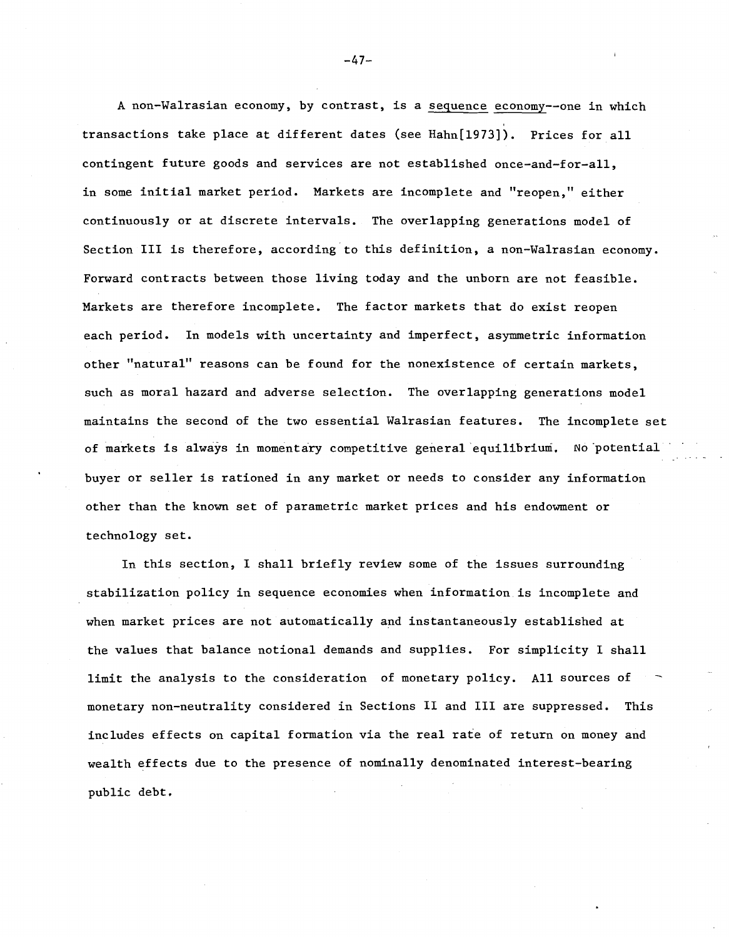A non-Walrasian economy, by contrast, is a sequence economy--one in which transactions take place at different dates (see Hahn[1973]). Prices for all contingent future goods and services are not established once-and-for-all, in some initial market period. Markets are incomplete and "reopen," either continuously or at discrete intervals. The overlapping generations model of Section III is therefore, according to this definition, <sup>a</sup> non-Walrasian economy. Forward contracts between those living today and the unborn are not feasible. Markets are therefore incomplete. The factor markets that do exist reopen each period. In models with uncertainty and imperfect, asymmetric information other "natural" reasons can be found for the nonexistence of certain markets, such as moral hazard and adverse selection. The overlapping generations model maintains the second of the two essential Walrasian features. The incomplete set of markets is always in momentary competitive general equilibrium. No 'potential buyer or seller is rationed in any market or needs to consider any information other than the known set of parametric market prices and his endowment or technology set.

In this section, I shall briefly review some of the issues surrounding stabilization policy in sequence economies when information. is incomplete and when market prices are not automatically and instantaneously established at the values that balance notional demands and supplies. For simplicity I shall limit the analysis to the consideration of monetary policy. All sources of monetary non-neutrality considered in Sections II and III are suppressed. This includes effects on capital formation via the real rate of return on money and wealth effects due to the presence of nominally denominated interest-bearing public debt.

-47-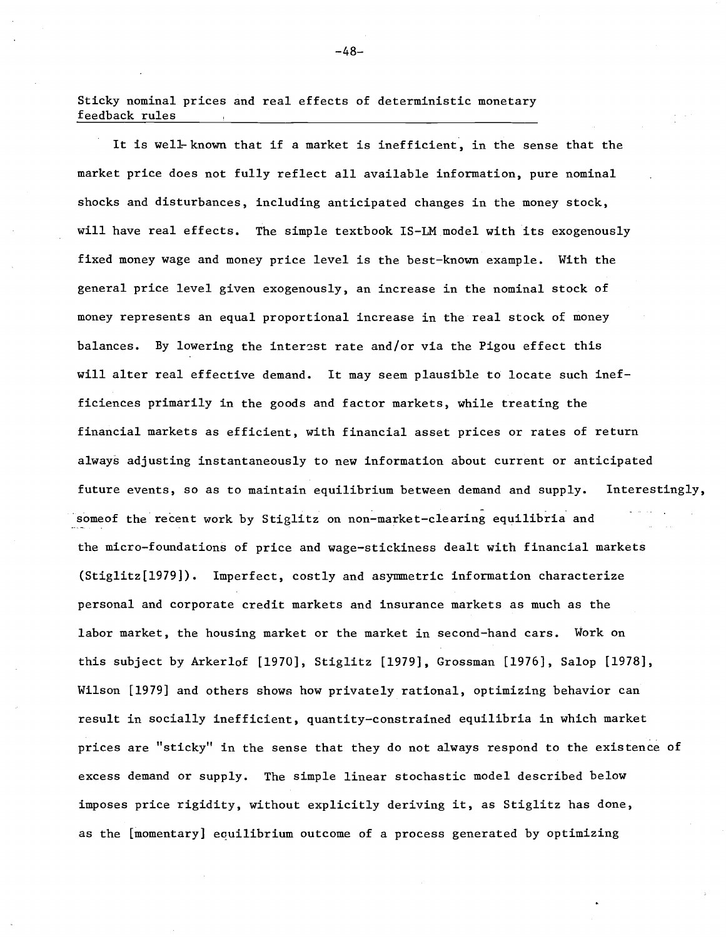Sticky nominal prices and real effects of deterministic monetary feedback rules

It is well-known that if <sup>a</sup> market is inefficient, in the sense that the market price does not fully reflect all available information, pure nominal shocks and disturbances, including anticipated changes in the money stock, will have real effects. The simple textbook IS-LM model with its exogenously fixed money wage and money price level is the best-known example. With the general price level given exogenously, an increase in the nominal stock of money represents an equal proportional increase in the real stock of money balances. By lowering the interest rate and/or via the Pigou effect this will alter real effective demand. It may seem plausible to locate such inefficiences primarily in the goods and factor markets, while treating the financial markets as efficient, with financial asset prices or rates of return always adjusting instantaneously to new information about current or anticipated future events, so as to maintain equilibrium between demand and supply. someof the recent work by Stiglitz on non-market-clearing equilibria and Interestingly, the micro-foundations of price and wage-stickiness dealt with financial markets (Stig1itz[1979]). Imperfect, costly and asymmetric information characterize personal and corporate credit markets and insurance markets as much as the labor market, the housing market or the market in second-hand cars. Work on this subject by Arker10f [1970], Stiglitz [1979], Grossman [1976], Salop [1978], Wilson [1979] and others shows how privately rational, optimizing behavior can result in socially inefficient, quantity-constrained equilibria in which market prices are "sticky" in the sense that they do not always respond to the existence of excess demand or supply. The simple linear stochastic model described below imposes price rigidity, without explicitly deriving it, as Stiglitz has done, as the [momentary] eaui1ibrium outcome of a process generated by optimizing

-48-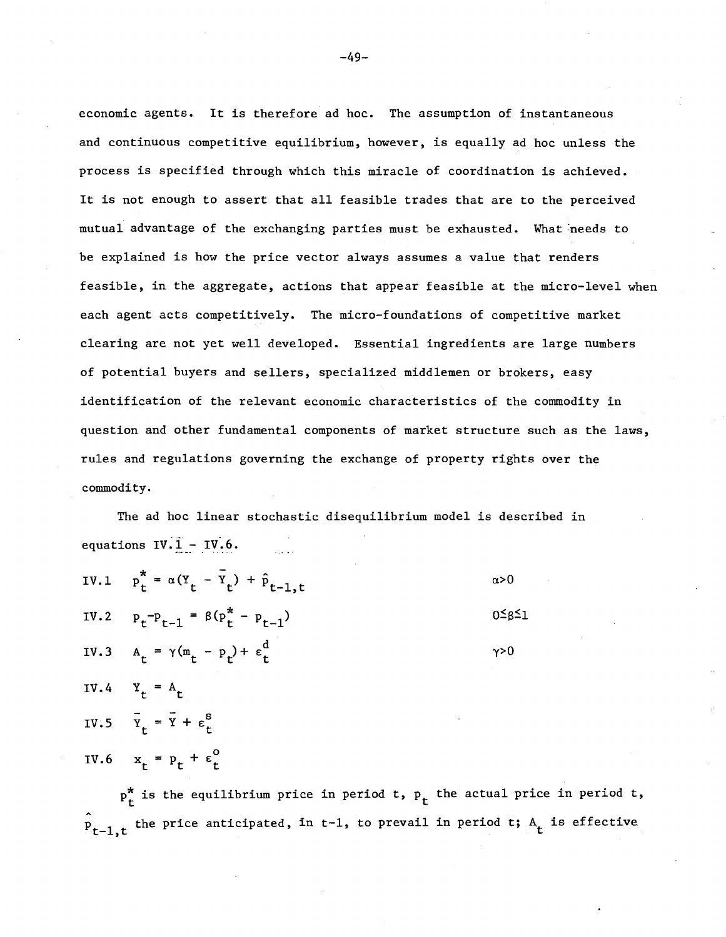economic agents. It is therefore ad hoc. The assumption of instantaneous and continuous competitive equilibrium, however, is equally ad hoc unless the process is specified through which this miracle of coordination is achieved. It is not enough to assert that all feasible trades that are to the perceived mutual advantage of the exchanging parties must be exhausted. What needs to be explained is how the price vector always assumes a value that renders feasible, in the aggregate, actions that appear feasible at the micro-level when each agent acts competitively. The micro-foundations of competitive market clearing are not yet well developed. Essential ingredients are large numbers of potential buyers and sellers, specialized middlemen or brokers, easy identification of the relevant economic characteristics of the commodity in question and other fundamental components of market structure such as the laws, rules and regulations governing the exchange of property rights over the commodity.

The ad hoc linear stochastic disequilibrium model is described in equations  $IV.\overline{1} - IV.6$ .

|      | IV.1 $p_t^* = \alpha (Y_t - \bar{Y}_t) + \hat{p}_{t-1, t}$ | $\alpha > 0$          |
|------|------------------------------------------------------------|-----------------------|
|      | IV.2 $p_t - p_{t-1} = \beta (p_t^* - p_{t-1})$             | $0 \leq \beta \leq 1$ |
|      | IV.3 $A_t = \gamma (m_t - p_t) + \epsilon_t^d$             | $\gamma > 0$          |
| IV.4 | $Y_t = A_t$                                                |                       |
|      | IV.5 $\overline{Y}_t = \overline{Y} + \epsilon_t^S$        |                       |
|      | IV.6 $x_t = p_t + \epsilon_t^0$                            |                       |

 $p_r^*$  is the equilibrium price in period t,  $p_t$  the actual price in period t,  $\hat{P}_{t-1,t}$  the price anticipated, in t-l, to prevail in period t;  $A_t$  is effective

 $-49-$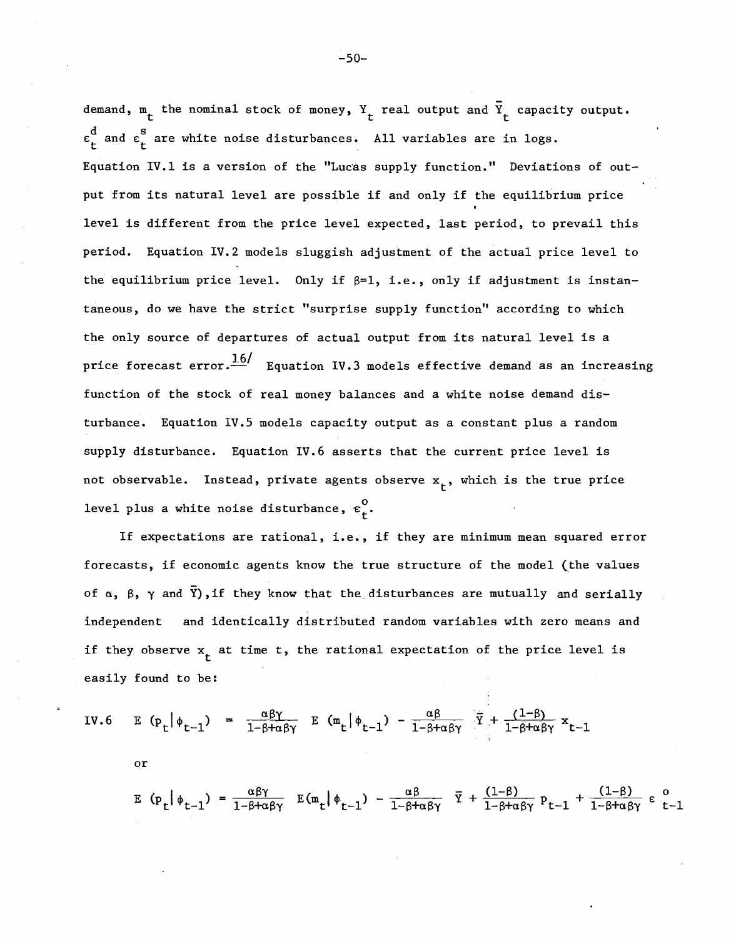demand,  $_{\texttt{t}}$  the nominal stock of money,  $_{\texttt{t}}$  real output and  $_{\texttt{t}}^{\overline{\texttt{v}}}$  capacity output.  $\epsilon_{\tt t}^{\tt d}$  and  $\epsilon_{\tt t}^{\tt s}$  are white noise disturbances. All variables are in logs. Equation IV.1 is a version of the "Lucas supply function." Deviations of output from its natural level are possible if and only if the equilibrium price level is different from the price level expected, last period, to prevail this period. Equation IV.2 models sluggish adjustment of the actual price level to the equilibrium price level. Only if  $\beta=1$ , i.e., only if adjustment is instantaneous, do we have the strict "surprise supply function" according to which the only source of departures of actual output from its natural level is <sup>a</sup> price forecast error. $\frac{1.6}{ }$  Equation IV.3 models effective demand as an increasing function of the stock of real money balances and a white noise demand disturbance. Equation IV.5 models capacity output as a constant plus a random supply disturbance. Equation IV.6 asserts that the current price level is not observable. Instead, private agents observe  $\mathbf{x}_{\mathbf{t}}^{\intercal}$ , which is the true price level plus a white noise disturbance,  $\varepsilon_{\text{+}}^{0}$ .

If expectations are rational, i.e., if they are minimum mean squared error forecasts, if economic agents know the true structure of the model (the values of  $\alpha$ ,  $\beta$ ,  $\gamma$  and  $\bar{Y}$ ), if they know that the disturbances are mutually and serially independent and identically distributed random variables with zero means and if they observe  $\mathbf{x}_{\mathbf{t}}^{\top}$  at time t, the rational expectation of the price level is easily found to be:

IV.6 E 
$$
(p_t | \phi_{t-1}) = \frac{\alpha \beta \gamma}{1 - \beta + \alpha \beta \gamma}
$$
 E  $(m_t | \phi_{t-1}) - \frac{\alpha \beta}{1 - \beta + \alpha \beta \gamma}$   $\overline{Y} + \frac{(1-\beta)}{1 - \beta + \alpha \beta \gamma} x_{t-1}$   
or

$$
E (p_t | \phi_{t-1}) = \frac{\alpha \beta \gamma}{1 - \beta + \alpha \beta \gamma} E(m_t | \phi_{t-1}) - \frac{\alpha \beta}{1 - \beta + \alpha \beta \gamma} \overline{Y} + \frac{(1 - \beta)}{1 - \beta + \alpha \beta \gamma} p_{t-1} + \frac{(1 - \beta)}{1 - \beta + \alpha \beta \gamma} \epsilon_{t-1}
$$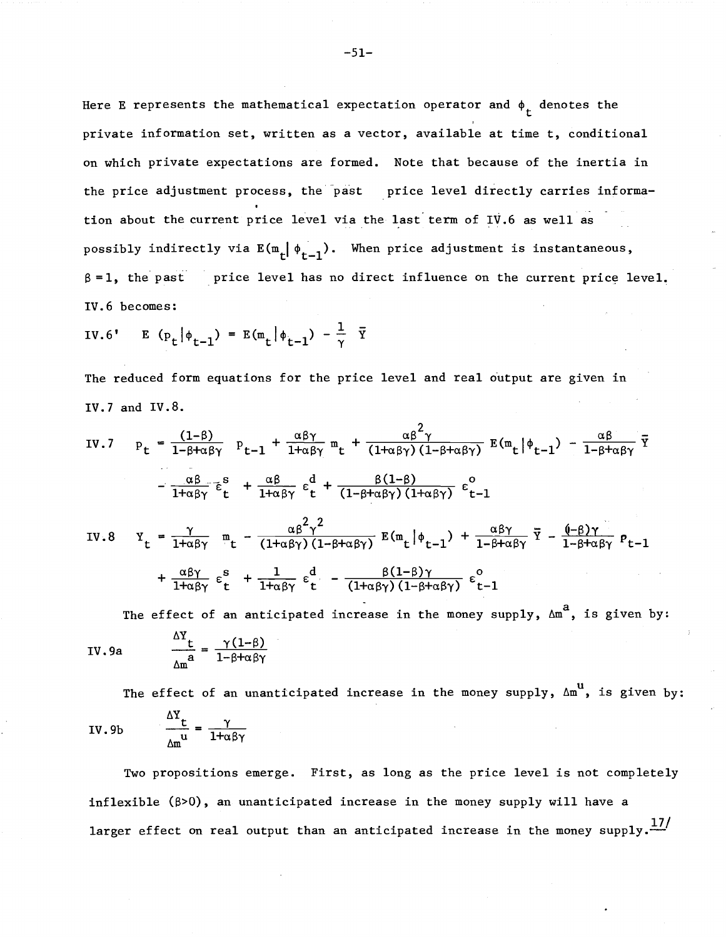Here E represents the mathematical expectation operator and  $\phi_{\bf t}^{\phantom{\dag}}$  denotes the private information set, written as <sup>a</sup> vector, available at time t, conditional on which private expectations are formed. Note that because of the inertia in the price adjustment process, the past price level directly carries information about the current price level via the last term of IV.6 as well as possibly indirectly via  $E(m_r | \phi_{r-1})$ . When price adjustment is instantaneous,  $\beta = 1$ , the past price level has no direct influence on the current price level. IV.6 becomes:

$$
IV.6' \qquad E \quad (\mathbf{p}_t | \phi_{t-1}) = E(\mathbf{m}_t | \phi_{t-1}) - \frac{1}{\gamma} \quad \overline{\mathbf{Y}}
$$

The reduced form equations for the price level and real output are given in IV. 7 and IV. 8.

IV.7 
$$
p_t = \frac{(1-\beta)}{1-\beta+\alpha\beta\gamma} p_{t-1} + \frac{\alpha\beta\gamma}{1+\alpha\beta\gamma} m_t + \frac{\alpha\beta^2\gamma}{(1+\alpha\beta\gamma)(1-\beta+\alpha\beta\gamma)} E(m_t|\phi_{t-1}) - \frac{\alpha\beta}{1-\beta+\alpha\beta\gamma} \overline{Y}
$$
  
\n
$$
- \frac{\alpha\beta}{1+\alpha\beta\gamma} \overline{\epsilon}_t^s + \frac{\alpha\beta}{1+\alpha\beta\gamma} \epsilon_t^d + \frac{\beta(1-\beta)}{(1-\beta+\alpha\beta\gamma)(1+\alpha\beta\gamma)} \epsilon_{t-1}^o
$$
\nIV.8  $Y_t = \frac{\gamma}{1+\alpha\beta\gamma} m_t - \frac{\alpha\beta^2\gamma^2}{(1+\alpha\beta\gamma)(1-\beta+\alpha\beta\gamma)} E(m_t|\phi_{t-1}) + \frac{\alpha\beta\gamma}{1-\beta+\alpha\beta\gamma} \overline{Y} - \frac{(\beta)\gamma}{1-\beta+\alpha\beta\gamma} p_{t-1}$ 

$$
Y_{t} = \frac{1}{1+\alpha\beta\gamma} m_{t} - \frac{\alpha\beta\gamma}{(1+\alpha\beta\gamma)(1-\beta+\alpha\beta\gamma)} E(m_{t}|\phi_{t-1}) + \frac{\alpha\beta\gamma}{1-\beta+\alpha\beta\gamma} Y - \frac{\alpha\beta\gamma}{1-\beta+\alpha\beta\gamma} P_{t-1}
$$
  
+ 
$$
\frac{\alpha\beta\gamma}{1+\alpha\beta\gamma} \varepsilon_{t}^{s} + \frac{1}{1+\alpha\beta\gamma} \varepsilon_{t}^{d} - \frac{\beta(1-\beta)\gamma}{(1+\alpha\beta\gamma)(1-\beta+\alpha\beta\gamma)} \varepsilon_{t-1}^{o}
$$

The effect of an anticipated increase in the money supply,  $\Delta m^{a}$ , is given by: l-S+aey

IV. 9a 
$$
\frac{\Delta x_{\text{t}}}{\Delta m} = \frac{\gamma (1-\beta)}{1-\beta+\alpha\beta\gamma}
$$

The effect of an unanticipated increase in the money supply,  $\Delta m^{\text{u}}$ , is given by:  $\frac{\Delta Y_{t}}{\Delta x^{u}} = \frac{\gamma}{1 + \alpha \beta \gamma}$ IV.9b

Two propositions emerge. First, as long as the price level is not completely inflexible  $(\beta > 0)$ , an unanticipated increase in the money supply will have a larger effect on real output than an anticipated increase in the money  $supp1y$ .<sup>17/</sup>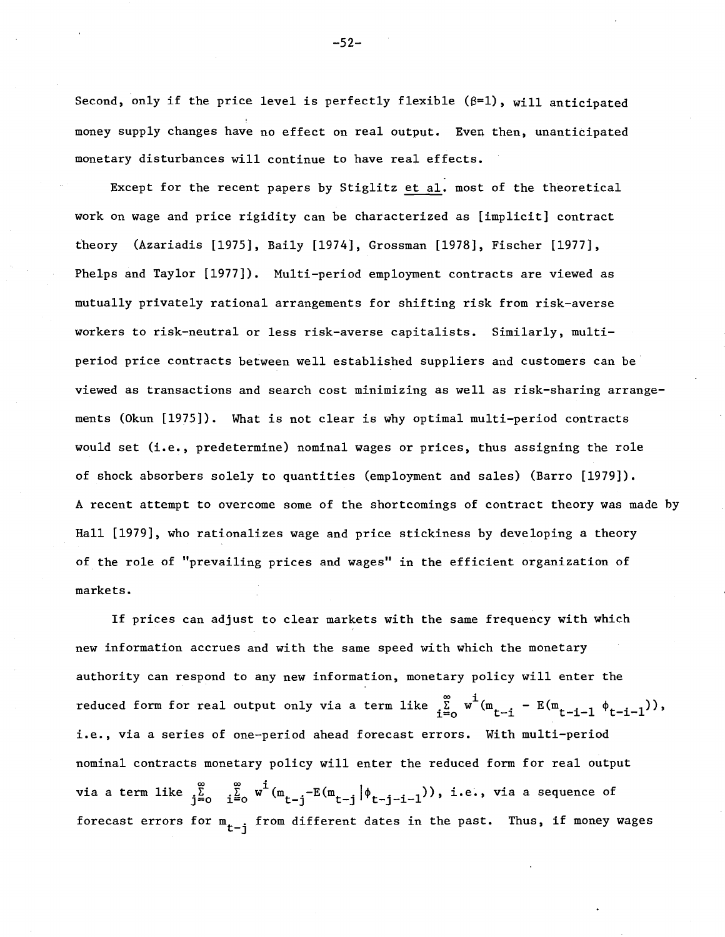Second, only if the price level is perfectly flexible  $(\beta=1)$ , will anticipated money supply changes have no effect on real output. Even then, unanticipated monetary disturbances will continue to have real effects.

Except for the recent papers by Stiglitz et al. most of the theoretical work on wage and price rigidity can be characterized as [implicit] contract theory (Azariadis [1975], Baily [1974], Grossman [1978], Fischer [1977], Phelps and Taylor [1977]). Multi-period employment contracts are viewed as mutually privately rational arrangements for shifting risk from risk-averse workers to risk-neutral or less risk-averse capitalists. Similarly, multiperiod price contracts between well established suppliers and customers can be viewed as transactions and search cost minimizing as well as risk-sharing arrangements (Okun [1975]). What is not clear is why optimal multi-period contracts would set (i.e., predetermine) nominal wages or prices, thus assigning the role of shock absorbers solely to quantities (employment and sales) (Barro [1979]). A recent attempt to overcome some of the shortcomings of contract theory was made by Hall [1979], who rationalizes wage and price stickiness by developing a theory of the role of "prevailing prices and wages" in the efficient organization of markets.

If prices can adjust to clear markets with the same frequency with which new information accrues and with the same speed with which the monetary authority can respond to any new information, monetary policy will enter the reduced form for real output only via a term like  $\sum\limits_{i=0}^{\infty}$  w<sup>1</sup>(m<sub>t-i</sub> - E(m<sub>t-i-1</sub>  $\phi_{t-i-1}$ )), i.e., via <sup>a</sup> series of one-period ahead forecast errors. With multi-period nominal contracts monetary policy will enter the reduced form for real output  $^\circ$ via a term like  $\sum\limits_{j=0}^\infty\quad \frac{\infty}{i^{\frac{D}{2}}}$  w $\frac{1}{\cdot}(\mathfrak{m}_{\mathsf{t}-\mathsf{j}}-\mathbb{E}(\mathfrak{m}_{\mathsf{t}-\mathsf{j}}\big|\phi_{\mathsf{t}-\mathsf{j}-\mathsf{i}-1}))$ , i.e., via a sequence of forecast errors for  $m_{t-i}$  from different dates in the past. Thus, if money wages

-52-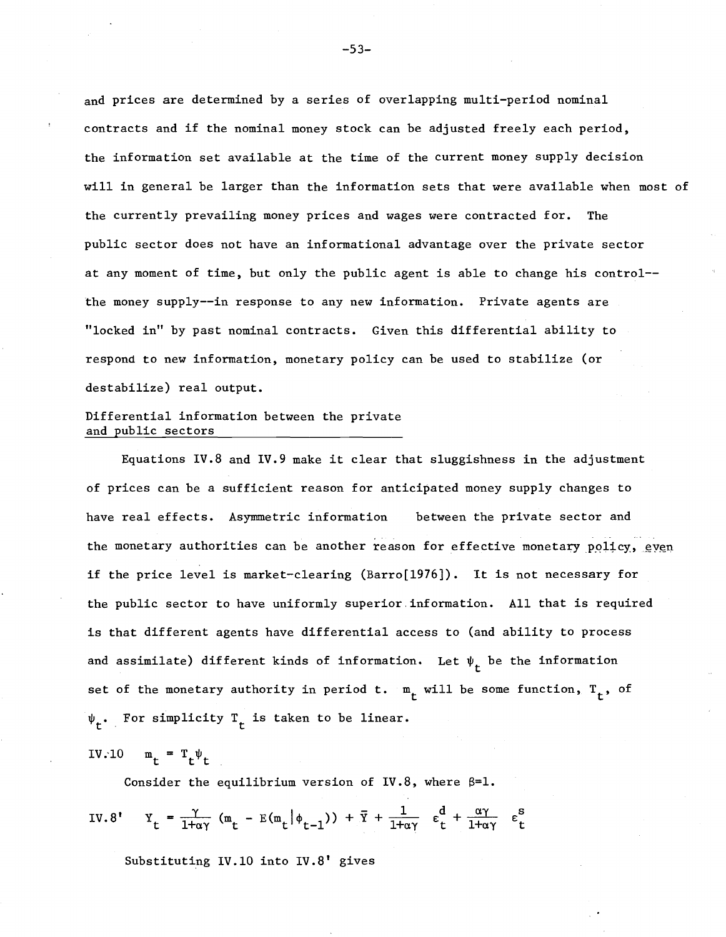and prices are determined by a series of overlapping multi-period nominal contracts and if the nominal money stock can be adjusted freely each period, the information set available at the time of the current money supply decision will in general be larger than the information sets that were available when most of the currently prevailing money prices and wages were contracted for. The public sector does not have an informational advantage over the private sector at any moment of time, but only the public agent is able to change his control- the money supply--in response to any new information. Private agents are "locked in" by past nominal contracts. Given this differential ability to respond to new information, monetary policy can be used to stabilize (or destabilize) real output.

## Differential information between the private and public sectors

Equations IV.8 and IV.9 make it clear that sluggishness in the adjustment of prices can be a sufficient reason for anticipated money supply changes to have real effects. Asymmetric information between the private sector and the monetary authorities can be another reason for effective monetary  $\tt{poly, even}$ if the price level is market-clearing (Barro[1976]). It is not necessary for the public sector to have uniformly superior. information. All that is required is that different agents have differential access to (and ability to process and assimilate) different kinds of information. Let  $\boldsymbol{\psi}_{\mathbf{t}}$  be the information set of the monetary authority in period t.  $\mathfrak{m}_{\mathsf{t}}$  will be some function,  $\mathfrak{r}_{\mathsf{t}}^{\vphantom{\dag}},$  of For simplicity  $T_{t}$  is taken to be linear.

$$
IV.10 \t m_t = T_t \psi_t
$$

Consider the equilibrium version of IV.8, where  $\beta=1$ .

IV.8' 
$$
Y_t = \frac{\gamma}{1 + \alpha \gamma} (m_t - E(m_t | \phi_{t-1})) + \overline{Y} + \frac{1}{1 + \alpha \gamma} \varepsilon_t^d + \frac{\alpha \gamma}{1 + \alpha \gamma} \varepsilon_t^s
$$

Substituting IV.IO into IV.8' gives

-53-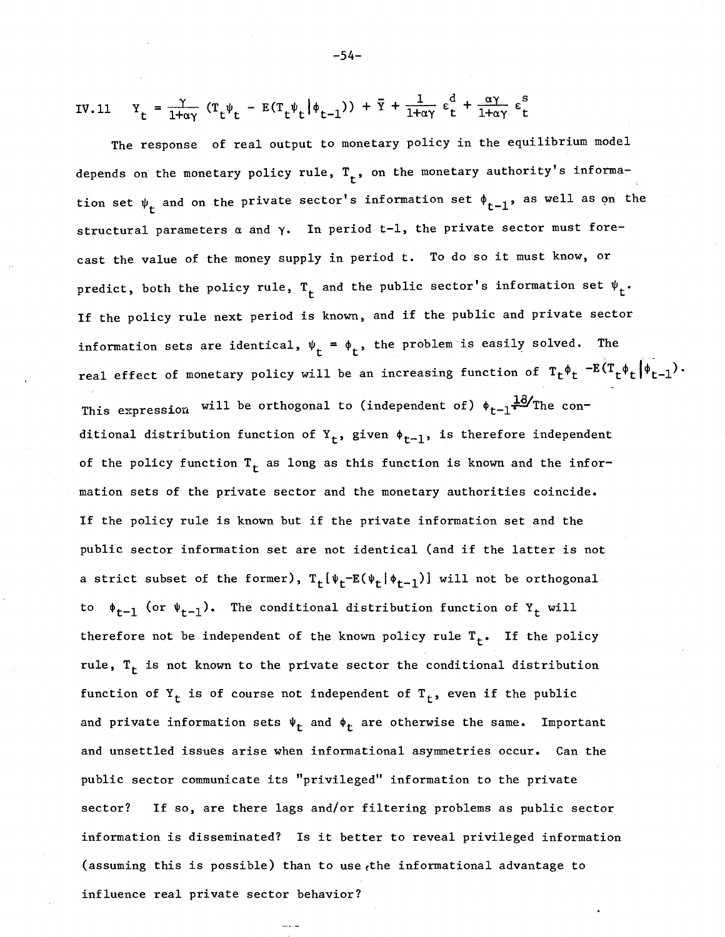IV.11 
$$
Y_t = \frac{\gamma}{1 + \alpha \gamma} (T_t \psi_t - E(T_t \psi_t | \phi_{t-1})) + \overline{Y} + \frac{1}{1 + \alpha \gamma} \epsilon_t^d + \frac{\alpha \gamma}{1 + \alpha \gamma} \epsilon_t^s
$$

The response of real output to monetary policy in the equilibrium model depends on the monetary policy rule,  $\texttt{T}_{\texttt{t}}$ , on the monetary authority's information set  $\psi_t$  and on the private sector's information set  $\phi_{t-1}$ , as well as on the structural parameters  $\alpha$  and  $\gamma$ . In period t-1, the private sector must forecast the value of the money supply in period t. To do so it must know, or predict, both the policy rule,  $\texttt{T}_{\texttt{t}}$  and the public sector's information set  $\bm{\psi}_{\texttt{t}}\cdot$ If the policy rule next period is known, and if the public and private sector information sets are identical,  $\psi_t = \phi_t$ , the problem is easily solved. The real effect of monetary policy will be an increasing function of  $T_t\phi_t - E(T_t\phi_t|\phi_{t-1})$ . This expression will be orthogonal to (independent of)  $\phi_{t-1}$ <sup>18</sup>/The conditional distribution function of  $Y_t$ , given  $\phi_{t-1}$ , is therefore independent of the policy function  $T_t$  as long as this function is known and the information sets of the private sector and the monetary authorities coincide. If the policy rule is known but if the private information set and the public sector information set are not identical (and if the latter is not a strict subset of the former),  $T_t[\psi_t-E(\psi_t|\phi_{t-1})]$  will not be orthogonal to  $\phi_{t-1}$  (or  $\psi_{t-1}$ ). The conditional distribution function of Y<sub>t</sub> will therefore not be independent of the known policy rule  $T_t$ . If the policy rule,  $T_t$  is not known to the private sector the conditional distribution function of  $Y_t$  is of course not independent of  $T_t$ , even if the public and private information sets  $\Psi_t$  and  $\Phi_t$  are otherwise the same. Important and unsettled issues arise when informational asymmetries occur. Can the public sector communicate its "privileged" information to the private sector? If so, are there lags and/or filtering problems as public sector information is disseminated? Is it better to reveal privileged information (assuming this is possible) than to use the informational advantage to influence real private sector behavior?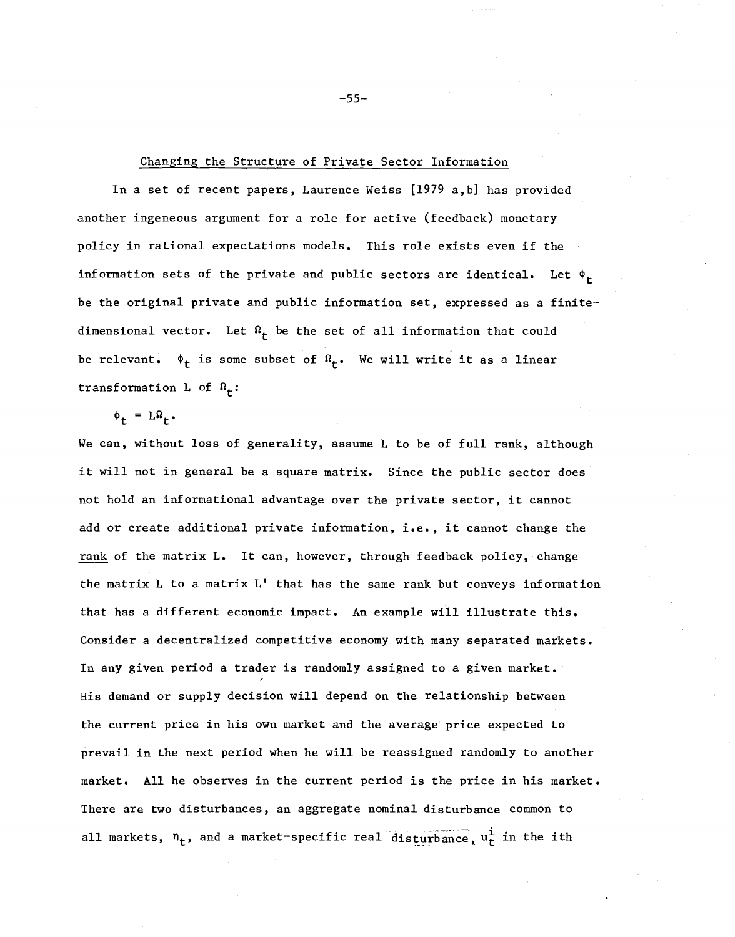#### Changing the Structure of Private Sector Information

In a set of recent papers, Laurence Weiss [1979 a,b] has provided another ingeneous argument for a role for active (feedback) monetary policy in rational expectations models. This role exists even if the information sets of the private and public sectors are identical. Let  $\phi_t$ be the original private and public information set, expressed as a finitedimensional vector. Let  $\Omega_t$  be the set of all information that could be relevant.  $\phi_t$  is some subset of  $\Omega_t$ . We will write it as a linear transformation L of  $\Omega_f$ :

 $\phi_t = L\Omega_t$ .

We can, without loss of generality, assume L to be of full rank, although it will not in general be <sup>a</sup> square matrix. Since the public sector does not hold an informational advantage over the private sector, it cannot add or create additional private information, i.e., it cannot change the rank of the matrix L. It can, however, through feedback policy, change the matrix L to a matrix L' that has the same rank but conveys information that has a different economic impact. An example will illustrate this. Consider a decentralized competitive economy with many separated markets. In any given period a trader is randomly assigned to a given market. His demand or supply decision will depend on the relationship between the current price in his own market and the average price expected to prevail in the next period when he will be reassigned randomly to another market. All he observes in the current period is the price in his market. There are two disturbances, an aggregate nominal disturbance common to all markets,  $n_t$ , and a market-specific real disturbance,  $u_t^i$  in the ith

-55-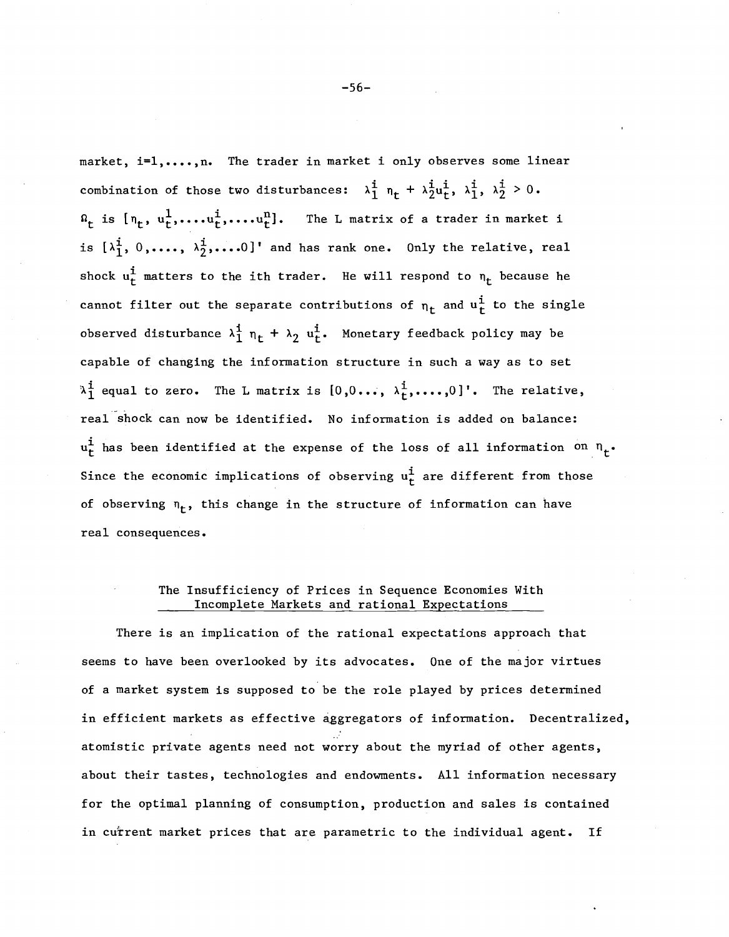market, i=1,...., n. The trader in market i only observes some linear combination of those two disturbances:  $\lambda_1^i$   $n_t + \lambda_2^i u_t^i$ ,  $\lambda_1^i$ ,  $\lambda_2^i > 0$ .  $\Omega_{r}$  is  $[n_{t}, u_{t}^{1},...,u_{t}^{n},...,u_{t}^{n}]$ . The L matrix of a trader in market i is  $[\lambda_1^i, 0, \ldots, \lambda_2^i, \ldots, 0]$ ' and has rank one. Only the relative, real shock  $u_t^i$  matters to the ith trader. He will respond to  $n_t$  because he cannot filter out the separate contributions of  $n_t$  and  $u_t^i$  to the single observed disturbance  $\lambda_1^i$   $n_t + \lambda_2$   $u_t^i$ . Monetary feedback policy may be capable of changing the information structure in such a way as to set  $\lambda_1^i$  equal to zero. The L matrix is  $[0,0...,\lambda_t^i,...,0]$ '. The relative, real"shock can now be identified. No information is added on balance:  $u_t^i$  has been identified at the expense of the loss of all information on  $n_t$ . Since the economic implications of observing  $u_t^i$  are different from those of observing  $n_t$ , this change in the structure of information can have real consequences.

# The Insufficiency of Prices in Sequence Economies With Incomplete Markets and rational Expectations

There is an implication of the rational expectations approach that seems to have been overlooked by its advocates. One of the major virtues of a market system is supposed to be the role played by prices determined in efficient markets as effective aggregators of information. Decentralized, atomistic private agents need not worry about the myriad of other agents, about their tastes, technologies and endowments. All information necessary for the optimal planning of consumption, production and sales is contained in current market prices that are parametric to the individual agent. If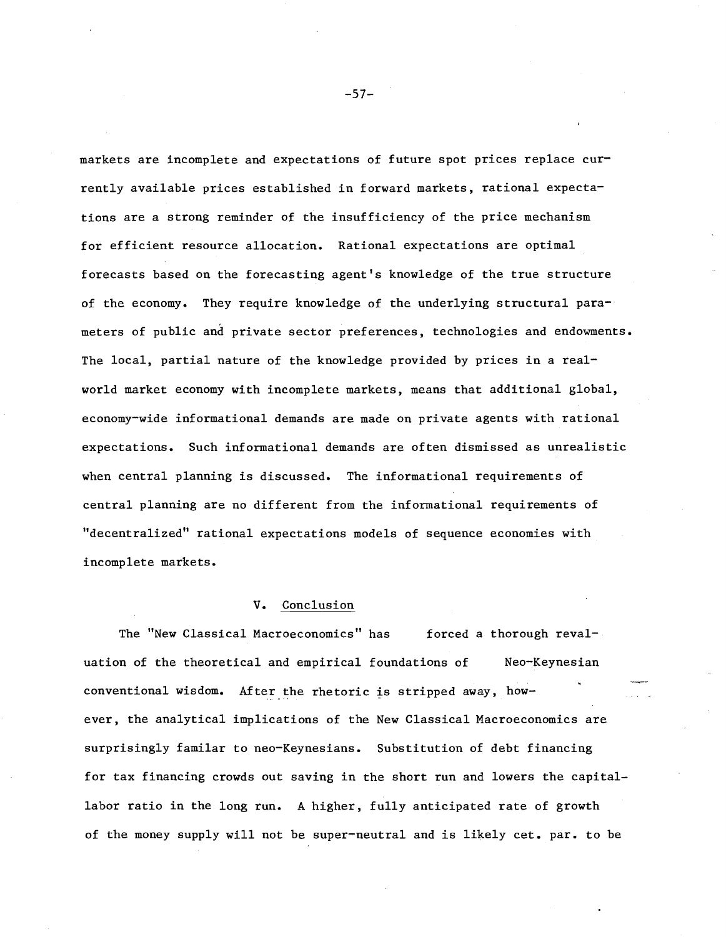markets are incomplete and expectations of future spot prices replace currently available prices established in forward markets, rational expectations are a strong reminder of the insufficiency of the price mechanism for efficient resource allocation. Rational expectations are optimal forecasts based on the forecasting agent's knowledge of the true structure of the economy. They require knowledge of the underlying structural parameters of public and private sector preferences, technologies and endowments. The local, partial nature of the knowledge provided by prices in a realworld market economy with incomplete markets, means that additional global, economy-wide informational demands are made on private agents with rational expectations. Such informational demands are often dismissed as unrealistic when central planning is discussed. The informational requirements of central planning are no different from the informational requirements of "decentralized" rational expectations models of sequence economies with incomplete markets.

## **v.** Conclusion

The "New Classical Macroeconomics" has forced a thorough revaluation of the theoretical and empirical foundations of Meo-Keynesian  $conventional$  wisdom. After the rhetoric is stripped away, however, the analytical implications of the New Classical Macroeconomics are surprisingly familar to neo-Keynesians. Substitution of debt financing for tax financing crowds out saving in the short run and lowers the capitallabor ratio in the long run. A higher, fully anticipated rate of growth of the money supply will not be super-neutral and is likely cet. par. to be

-57-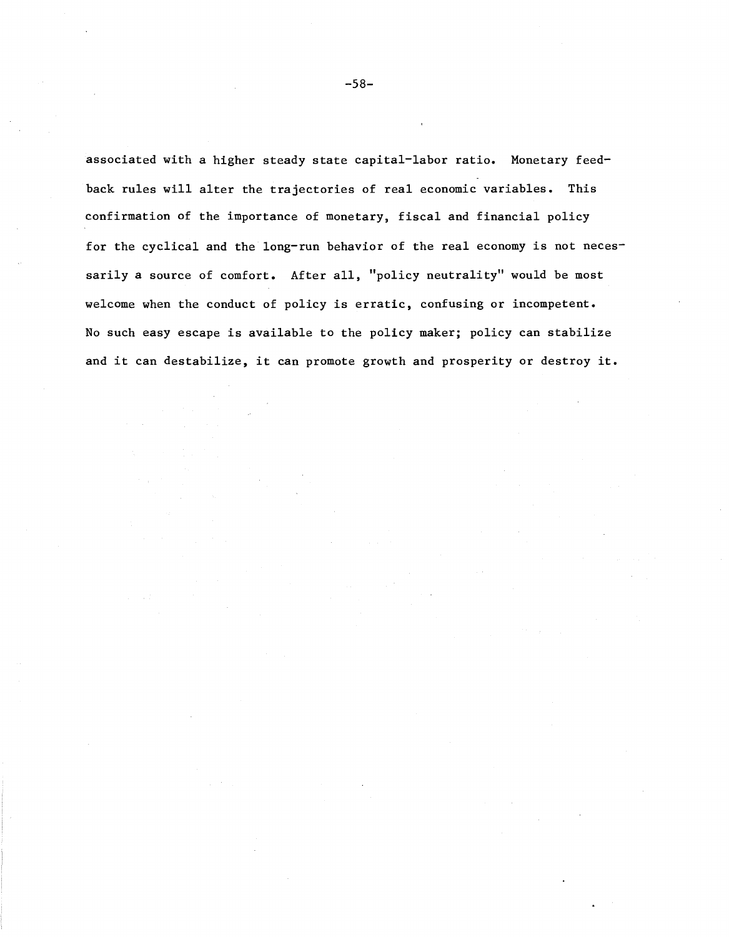associated with a higher steady state capital-labor ratio. Monetary feedback rules will alter the trajectories of real economic variables. This confirmation of the importance of monetary, fiscal and financial policy for the cyclical and the long-run behavior of the real economy is not necessarily a source of comfort. After all, "policy neutrality" would be most welcome when the conduct of policy is erratic, confusing or incompetent. No such easy escape is available to the policy maker; policy can stabilize and it can destabilize, it can promote growth and prosperity or destroy **it.**

-58-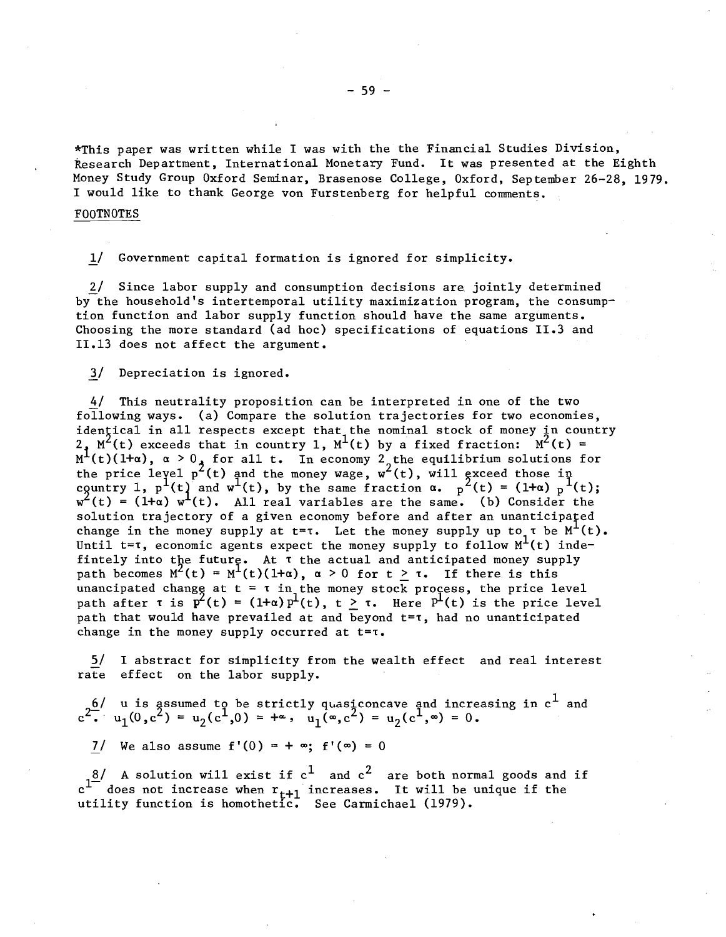\*This paper was written while I was with the the Financial Studies Division, Research Department, International Monetary Fund. It was presented at the Eighth Money Study Group Oxford Seminar, Brasenose College, Oxford, September 26-28, 1979. I would like to thank George von Furstenberg for helpful comments.

## FOOTNOTES

1/ Government capital formation is ignored for simplicity.

2/ Since labor supply and consumption decisions are jointly determined by the household's intertemporal utility maximization program, the consumption function and labor supply function should have the same arguments. Choosing the more standard (ad hoc) specifications of equations 11.3 and 11.13 does not affect the argument.

1/ Depreciation is ignored.

4/ This neutrality proposition can be interpreted in one of the two following ways. (a) Compare the solution trajectories for two economies, identical in all respects except that, the nominal stock of money in country  $2$ ,  $M^2(t)$  exceeds that in country 1,  $M^1(t)$  by a fixed fraction:  $M^2(t) =$  $M^1(t)(1+\alpha)$ ,  $\alpha > 0$ , for all t. In economy 2, the equilibrium solutions for the price level  $p^2(t)$  and the money wage,  $w^2(t)$ , will gxceed those in country 1,  $p^1(t)$  and  $w^1(t)$ , by the same fraction  $\alpha$ ,  $p^2(t) = (1+\alpha) p^1(t)$ ;  $w^{2}(t) = (1+a) w^{1}(t)$ . All real variables are the same. (b) Consider the solution trajectory of a given economy before and after an unanticipated change in the money supply at  $t = \tau$ . Let the money supply up to  $\tau$  be  $M^{\perp}(t)$ . Until  $t = \tau$ , economic agents expect the money supply to follow  $M<sup>L</sup>(t)$  indefintely into the future. At T the actual and anticipated money supply path becomes  $M^{2}(t) = M^{1}(t)(1+\alpha)$ ,  $\alpha > 0$  for  $t \geq \tau$ . If there is this unancipated change at  $t = \tau$  in the money stock process, the price level<br>path after  $\tau$  is  $p^2(t) = (1 + \alpha) p^1(t)$ ,  $t > \tau$ . Here  $P^1(t)$  is the price lev path after  $\tau$  is  $\bar{p}^2(t) = (1+\alpha)p^1(t)$ ,  $t \ge \tau$ . Here  $P^1(t)$  is the price level path that would have prevailed at and beyond t=T, had no unanticipated change in the money supply occurred at  $t = \tau$ .

5/ I abstract for simplicity from the wealth effect and real interest rate effect on the labor supply.

 $_{\rm 6}$ /  $\,$  u is assumed to be strictly quasiconcave and increasing in  $\rm c^1$  and  $c^2$ .  $u_1(0, c^2) = u_2(c^1, 0) = +\infty$ ,  $u_1(\infty, c^2) = u_2(c^1, \infty) = 0$ .

7/ We also assume  $f'(0) = + \infty$ ;  $f'(\infty) = 0$ 

 $8/$  A solution will exist if  ${\rm c}^1$  and  ${\rm c}^2$  are both normal goods and if  $c^{1/2}$  in section while entity of the condition of the unique if the unique if the unique if the utility function is homothetic. See Carmichael (1979).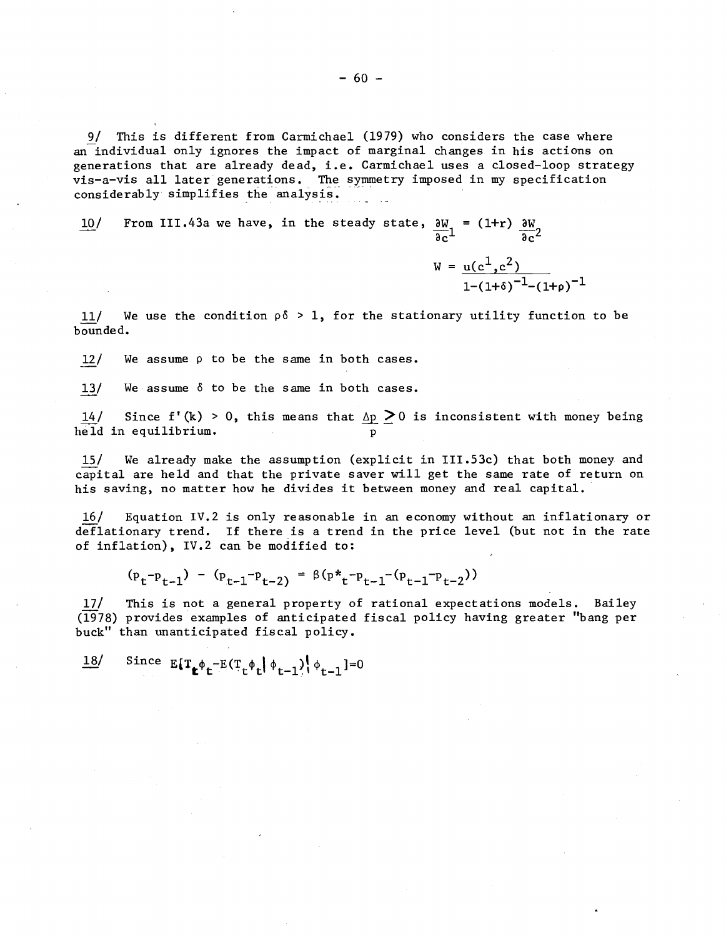9/ This is different from Carmichael (1979) who considers the case where an individual only ignores the impact of marginal changes in his actions on generations that are already dead, i.e. Carmichael uses <sup>a</sup> closed-loop strategy vis-a-vis all later generations. The symmetry imposed in my specification considerably simplifies the analysis.

10/ From III.43a we have, in the steady state,  $\frac{\partial W}{\partial y}$  = (1+r)  $\frac{\partial W}{\partial x}$  $\overline{ac}^1$   $\overline{ac}^2$ 

11/ We use the condition  $\rho \delta > 1$ , for the stationary utility function to be bounded.

 $W = \mu(c^1, c^2)$ 

 $_{1-(1+\delta)}$ <sup>-1</sup>-(1+p)<sup>-1</sup>

 $12$ / We assume  $\rho$  to be the same in both cases.

 $13/$  We assume  $\delta$  to be the same in both cases.

14/  $\,$  Since f'(k) > 0, this means that  $\Delta p \ge 0$  is inconsistent with money being held in equilibrium.

15/ We already make the assumption (explicit in III.53c) that both money and capital are held and that the private saver will get the same rate of return on his saving, no matter how he divides it between money and real capital.

16/ Equation IV.2 is only reasonable in an economy without an inflationary or deflationary trend. If there is a trend in the price level (but not in the rate of inflation), IV.2 can be modified to:

 $(p_t-p_{t-1}) - (p_{t-1}-p_{t-2}) = \beta(p_{t-1}+p_{t-1}-(p_{t-1}-p_{t-2}))$ 

17/ This is not a general property of rational expectations models. Bailey (1978) provides examples of anticipated fiscal policy having greater "bang per buck" than unanticipated fiscal policy.

Since  $E[T_{\pmb{\epsilon}} \phi_{\pmb{\epsilon}} - E(T_{\pmb{\epsilon}} \phi_{\pmb{\epsilon}} | \phi_{\pmb{\epsilon}-1}) | \phi_{\pmb{\epsilon}-1}] = 0$  $18/$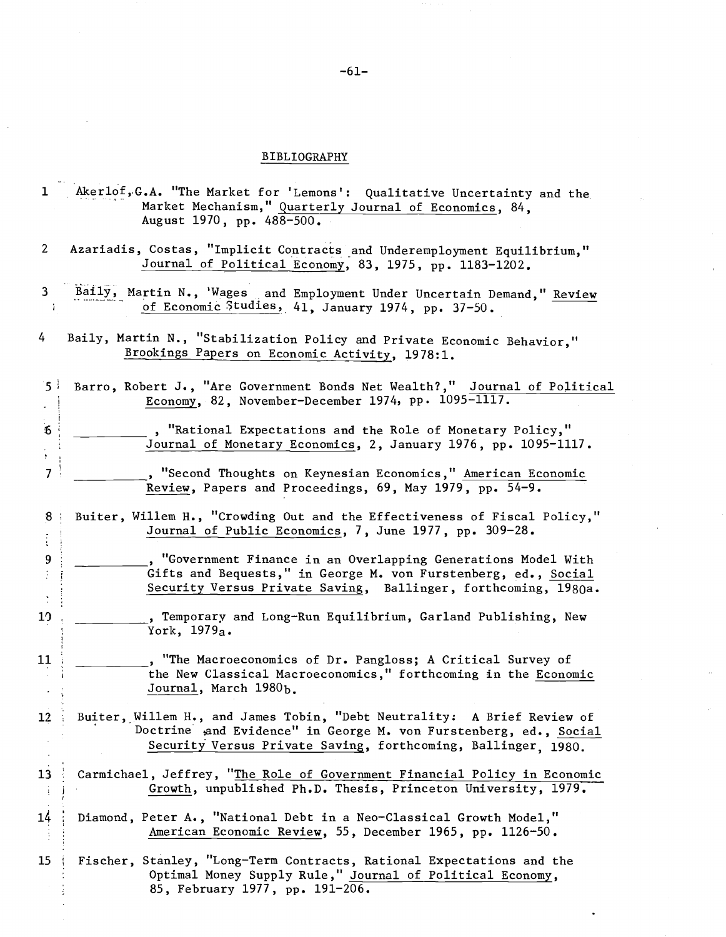# BIBLIOGRAPHY

| 1                        | Akerlof, G.A. "The Market for 'Lemons': Qualitative Uncertainty and the<br>Market Mechanism," Quarterly Journal of Economics, 84,<br>August 1970, pp. 488-500.                                               |
|--------------------------|--------------------------------------------------------------------------------------------------------------------------------------------------------------------------------------------------------------|
| $\mathbf{2}$             | Azariadis, Costas, "Implicit Contracts and Underemployment Equilibrium,"<br>Journal of Political Economy, 83, 1975, pp. 1183-1202.                                                                           |
| 3<br>- 1                 | Baily, Martin N., 'Wages and Employment Under Uncertain Demand," Review<br>of Economic Studies, 41, January 1974, pp. 37-50.                                                                                 |
| 4                        | Baily, Martin N., "Stabilization Policy and Private Economic Behavior,"<br>Brookings Papers on Economic Activity, 1978:1.                                                                                    |
| ا 5                      | Barro, Robert J., "Are Government Bonds Net Wealth?," Journal of Political<br>Economy, 82, November-December 1974, pp. 1095-1117.                                                                            |
| $\boldsymbol{6}$         | , "Rational Expectations and the Role of Monetary Policy,"<br>Journal of Monetary Economics, 2, January 1976, pp. 1095-1117.                                                                                 |
| $\overline{\phantom{a}}$ | , "Second Thoughts on Keynesian Economics," American Economic<br>Review, Papers and Proceedings, 69, May 1979, pp. 54-9.                                                                                     |
| 8                        | Buiter, Willem H., "Crowding Out and the Effectiveness of Fiscal Policy,"<br>Journal of Public Economics, 7, June 1977, pp. 309-28.                                                                          |
| 9                        | , "Government Finance in an Overlapping Generations Model With<br>Gifts and Bequests," in George M. von Furstenberg, ed., Social<br>Security Versus Private Saving, Ballinger, forthcoming, 1980a.           |
| 10                       | , Temporary and Long-Run Equilibrium, Garland Publishing, New<br>York, 1979a.                                                                                                                                |
| 11                       | , "The Macroeconomics of Dr. Pangloss; A Critical Survey of<br>the New Classical Macroeconomics," forthcoming in the Economic<br>Journal, March 1980b.                                                       |
| 12                       | Buiter, Willem H., and James Tobin, "Debt Neutrality: A Brief Review of<br>Doctrine and Evidence" in George M. von Furstenberg, ed., Social<br>Security Versus Private Saving, forthcoming, Ballinger, 1980. |
| 13<br>$\mathcal{A}$      | Carmichael, Jeffrey, "The Role of Government Financial Policy in Economic<br>Growth, unpublished Ph.D. Thesis, Princeton University, 1979.                                                                   |
| 14                       | Diamond, Peter A., "National Debt in a Neo-Classical Growth Model,"<br>American Economic Review, 55, December 1965, pp. 1126-50.                                                                             |
| 15                       | Fischer, Stanley, "Long-Term Contracts, Rational Expectations and the<br>Optimal Money Supply Rule," Journal of Political Economy,<br>85, February 1977, pp. 191-206.                                        |

 $\mathcal{L}_{\mathcal{L}}$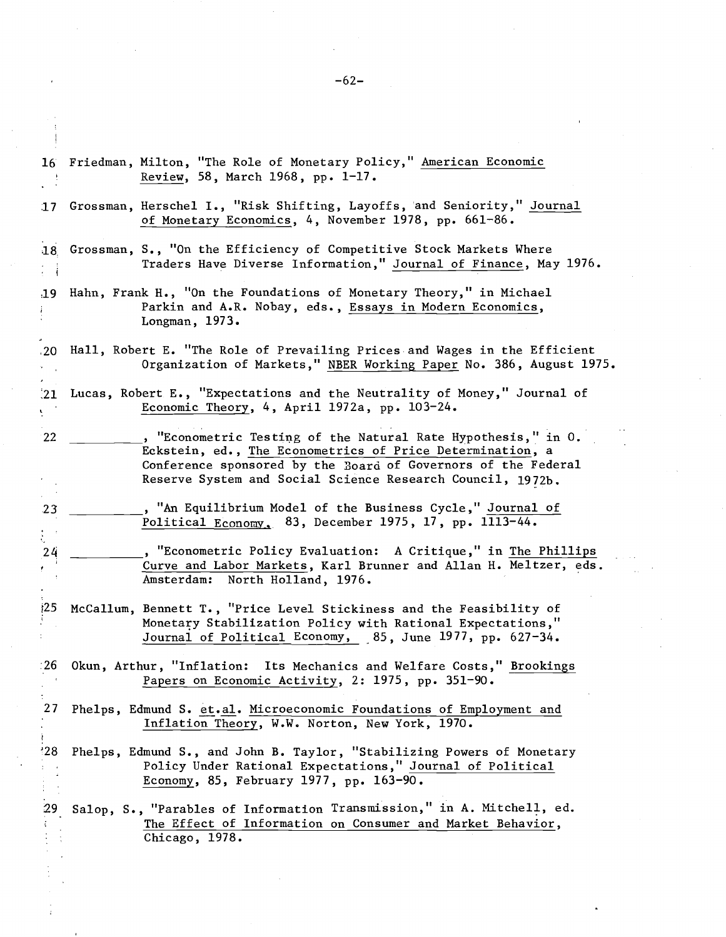16 Friedman, Milton, "The Role of Monetary Policy," American Economic Review, 58, March 1968, pp. 1-17. 17 Grossman, Herschel I., "Risk Shifting, Layoffs, and Seniority," Journal of Monetary Economics, 4, November 1978, pp. 661-86. ,18 Grossman, S., "On the Efficiency of Competitive Stock Markets Where Traders Have Diverse Information," Journal of Finance, May 1976. :19 Hahn, Frank H., "On the Foundations of Monetary Theory," in Michael Parkin and A.R. Nobay, eds., Essays in Modern Economics, Longman, 1973 • .20 Hall, Robert E. "The Role of Prevailing Prices and Wages in the Efficient Organization of Markets," NBER Working Paper No. 386, August 1975. :21 Lucas, Robert E., "Expectations and the Neutrality of Money," Journal of Economic Theory, 4, April 1972a, pp. 103-24.  $\mathbf{v}$ 22 **12** , "Econometric Testing of the Natural Rate Hypothesis," in O. Eckstein, ed., The Econometrics of Price Determination, a Conference sponsored by the Board of Governors of the Federal Reserve System and Social Science Research Council, 1972b. 23  $\blacksquare$ , "An Equilibrium Model of the Business Cycle," Journal of Political Economy, 83, December 1975,17, pp. 1113-44. entry and the contract of the contract of the contract of the Phillips and the Phillips of the Phillips of the Phillips of the Phillips of the Phillips of the Phillips of the Phillips of the Phillips of the Phillips of the  $\sim$ r Curve and Labor Markets, Karl Brunner and Allan H. Meltzer, eds. Amsterdam: North Holland, 1976. r25 McCallum, Bennett T., "Price Level Stickiness and the Feasibility of Monetary Stabilization Policy with Rational Expectations," Journal of Political Economy, 85, June 1977, pp. 627-34. :26 Okun, Arthur, "Inflation: Its Mechanics and Welfare Costs," Brookings Papers on Economic Activity, 2: 1975, pp. 351-90. 27 Phelps, Edmund S. et.al. Microeconomic Foundations of Employment and Inflation Theory, W.W. Norton, New York, 1970. '28 Phelps, Edmund S., and John B. Taylor, "Stabilizing Powers of Monetary Policy Under Rational Expectations," Journal of Political Economy, 85, February 1977, pp. 163-90. 29 Salop, S., "Parables of Information Transmission," in A. Mitchell, ed. The Effect of Information on Consumer and Market Behavior, Chicago, 1978.

-62-